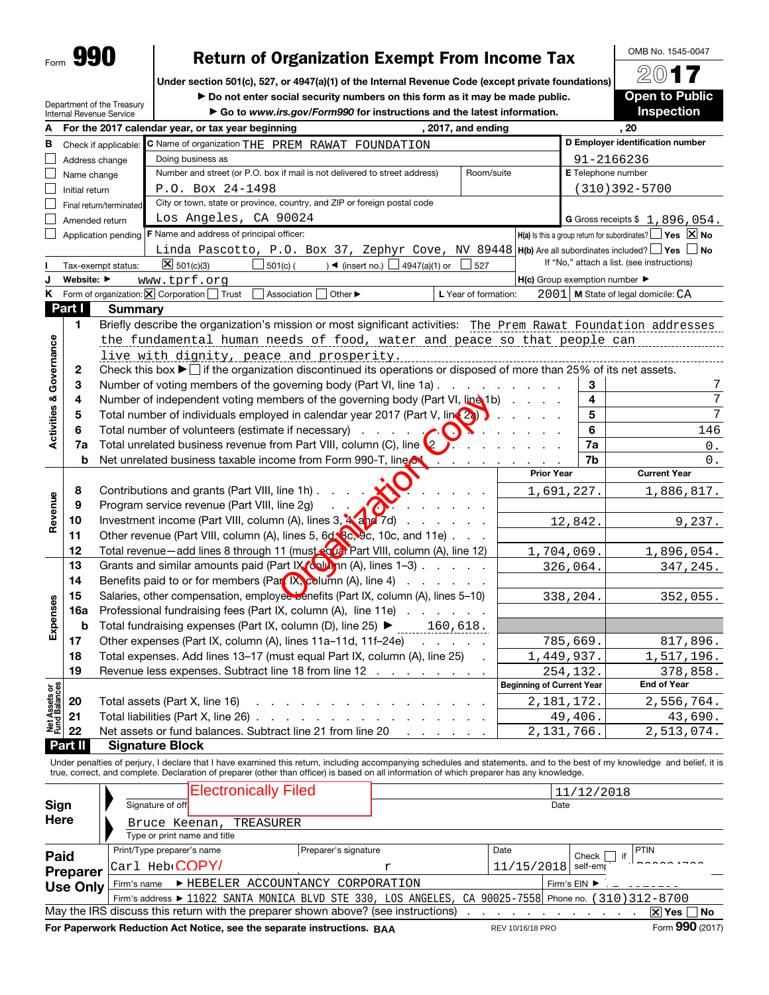| Form | י ז<br>Ī. |
|------|-----------|
|      |           |

OMB No. 1545-0047

**Return of Organization Exempt From Income Tax Under section 501(c), 527, or 4947(a)(1) of the Internal Revenue Code (except private foundations)**

Department of the Treasury Internal Revenue Service

▶ Do not enter social security numbers on this form as it may be made public. ▶ Go to *www.irs.gov/Form990* for instructions and the latest information

20**17 Open to Public Inspection**

| А                              |                                | טוונפו ווסו וחפעפו ועפ טפו עוטנ                                                                                                     | For the 2017 calendar year, or tax year beginning                                                                                                                          |                             |                                       | , 2017, and ending                          |                                                     |                  | , 20                                                                 |  |  |
|--------------------------------|--------------------------------|-------------------------------------------------------------------------------------------------------------------------------------|----------------------------------------------------------------------------------------------------------------------------------------------------------------------------|-----------------------------|---------------------------------------|---------------------------------------------|-----------------------------------------------------|------------------|----------------------------------------------------------------------|--|--|
| в                              |                                | Check if applicable:                                                                                                                | C Name of organization THE PREM RAWAT FOUNDATION                                                                                                                           |                             |                                       |                                             |                                                     |                  | D Employer identification number                                     |  |  |
|                                |                                |                                                                                                                                     | Doing business as                                                                                                                                                          |                             |                                       |                                             |                                                     |                  | 91-2166236                                                           |  |  |
|                                | Address change                 |                                                                                                                                     | Number and street (or P.O. box if mail is not delivered to street address)                                                                                                 |                             |                                       | Room/suite                                  |                                                     |                  | E Telephone number                                                   |  |  |
|                                | Name change                    |                                                                                                                                     |                                                                                                                                                                            |                             |                                       |                                             |                                                     |                  |                                                                      |  |  |
|                                |                                | P.O. Box 24-1498<br>$(310)392 - 5700$<br>Initial return<br>City or town, state or province, country, and ZIP or foreign postal code |                                                                                                                                                                            |                             |                                       |                                             |                                                     |                  |                                                                      |  |  |
|                                |                                | Final return/terminated                                                                                                             | Los Angeles, CA 90024                                                                                                                                                      |                             |                                       |                                             |                                                     |                  |                                                                      |  |  |
|                                | Amended return                 |                                                                                                                                     | F Name and address of principal officer:                                                                                                                                   |                             |                                       |                                             |                                                     |                  | G Gross receipts \$ 1,896,054.                                       |  |  |
|                                |                                | Application pending                                                                                                                 |                                                                                                                                                                            |                             |                                       |                                             |                                                     |                  | $H(a)$ is this a group return for subordinates? $\Box$ Yes $\Box$ No |  |  |
|                                |                                |                                                                                                                                     | Linda Pascotto, P.O. Box 37, Zephyr Cove, NV 89448 $ H(b)$ Are all subordinates included? $\Box$ Yes $\Box$ No                                                             |                             |                                       |                                             |                                                     |                  | If "No," attach a list. (see instructions)                           |  |  |
|                                |                                | Tax-exempt status:                                                                                                                  | $\mathbf{X}$ 501(c)(3)<br>$\Box$ 501(c) (                                                                                                                                  |                             | ) ◀ (insert no.) $\Box$ 4947(a)(1) or | ∫ 527                                       |                                                     |                  |                                                                      |  |  |
|                                | Website: $\blacktriangleright$ |                                                                                                                                     | www.tprf.org<br><b>K</b> Form of organization: $\boxed{\mathbf{X}}$ Corporation $\boxed{\phantom{a}}$ Trust<br>Association                                                 | Other $\blacktriangleright$ |                                       | L Year of formation:                        | $H(c)$ Group exemption number $\blacktriangleright$ |                  | 2001   M State of legal domicile: CA                                 |  |  |
|                                | Part I                         |                                                                                                                                     |                                                                                                                                                                            |                             |                                       |                                             |                                                     |                  |                                                                      |  |  |
|                                | 1                              | <b>Summary</b>                                                                                                                      | Briefly describe the organization's mission or most significant activities: The Prem Rawat Foundation addresses                                                            |                             |                                       |                                             |                                                     |                  |                                                                      |  |  |
|                                |                                |                                                                                                                                     |                                                                                                                                                                            |                             |                                       |                                             |                                                     |                  |                                                                      |  |  |
|                                |                                |                                                                                                                                     | the fundamental human needs of food, water and peace so that people can                                                                                                    |                             |                                       |                                             |                                                     |                  |                                                                      |  |  |
|                                |                                |                                                                                                                                     | live with dignity, peace and prosperity.<br>Check this box ▶ If the organization discontinued its operations or disposed of more than 25% of its net assets.               |                             |                                       |                                             |                                                     |                  |                                                                      |  |  |
|                                | 2                              |                                                                                                                                     |                                                                                                                                                                            |                             |                                       |                                             |                                                     |                  |                                                                      |  |  |
|                                | 3                              |                                                                                                                                     | Number of voting members of the governing body (Part VI, line 1a).                                                                                                         |                             |                                       | and a strategic control of the state of the |                                                     | 3                | 7<br>7                                                               |  |  |
|                                | 4                              |                                                                                                                                     | Number of independent voting members of the governing body (Part VI, lina 1b)                                                                                              |                             |                                       |                                             |                                                     | 4                | 7                                                                    |  |  |
|                                | 5                              |                                                                                                                                     | Total number of individuals employed in calendar year 2017 (Part V, line $2a$ )                                                                                            |                             |                                       |                                             |                                                     | 5                |                                                                      |  |  |
| Activities & Governance        | 6                              |                                                                                                                                     | Total number of volunteers (estimate if necessary)                                                                                                                         |                             |                                       |                                             |                                                     | 6                | 146                                                                  |  |  |
|                                | 7a                             |                                                                                                                                     | Total unrelated business revenue from Part VIII, column (C), line (2                                                                                                       |                             |                                       |                                             |                                                     | 7a               | 0.                                                                   |  |  |
|                                | b                              |                                                                                                                                     | Net unrelated business taxable income from Form 990-T, line, 34                                                                                                            |                             |                                       |                                             | <b>Prior Year</b>                                   | 7b               | 0.<br><b>Current Year</b>                                            |  |  |
|                                |                                |                                                                                                                                     |                                                                                                                                                                            |                             |                                       |                                             |                                                     |                  |                                                                      |  |  |
|                                | 8                              |                                                                                                                                     | Contributions and grants (Part VIII, line 1h).                                                                                                                             |                             |                                       |                                             | 1,691,227.                                          |                  | 1,886,817.                                                           |  |  |
| Revenue                        | 9                              |                                                                                                                                     | Program service revenue (Part VIII, line 2g)                                                                                                                               |                             |                                       |                                             |                                                     |                  |                                                                      |  |  |
|                                | 10                             |                                                                                                                                     | Investment income (Part VIII, column (A), lines 3, 4 (and 7d)                                                                                                              |                             |                                       |                                             |                                                     | 12,842.          | 9,237.                                                               |  |  |
|                                | 11<br>12                       |                                                                                                                                     | Other revenue (Part VIII, column (A), lines 5, 6d, 8d, 9c, 10c, and 11e).                                                                                                  |                             |                                       |                                             |                                                     |                  |                                                                      |  |  |
|                                | 13                             |                                                                                                                                     | Total revenue—add lines 8 through 11 (must eb a) Part VIII, column (A), line 12)                                                                                           |                             |                                       |                                             | 1,704,069.                                          |                  | 1,896,054.                                                           |  |  |
|                                | 14                             |                                                                                                                                     | Grants and similar amounts paid (Part IX $\sim$ bolomn (A), lines 1-3)<br>Benefits paid to or for members (Part IX, column (A), line 4)                                    |                             |                                       |                                             |                                                     | 326,064.         | 347,245.                                                             |  |  |
|                                | 15                             |                                                                                                                                     |                                                                                                                                                                            |                             | and the state of                      |                                             |                                                     |                  |                                                                      |  |  |
| Expenses                       | <b>16a</b>                     |                                                                                                                                     | Salaries, other compensation, employee benefits (Part IX, column (A), lines 5–10)                                                                                          |                             |                                       |                                             |                                                     | 338,204.         | 352,055.                                                             |  |  |
|                                |                                |                                                                                                                                     | Professional fundraising fees (Part IX, column (A), line 11e)                                                                                                              |                             |                                       |                                             |                                                     |                  |                                                                      |  |  |
|                                | b                              |                                                                                                                                     | Total fundraising expenses (Part IX, column (D), line 25) ▶                                                                                                                |                             | 160,618.                              |                                             |                                                     |                  |                                                                      |  |  |
|                                | 17                             |                                                                                                                                     | Other expenses (Part IX, column (A), lines 11a-11d, 11f-24e)                                                                                                               |                             | an an an an a                         |                                             |                                                     | 785,669.         | 817,896.                                                             |  |  |
|                                | 18                             |                                                                                                                                     | Total expenses. Add lines 13-17 (must equal Part IX, column (A), line 25)                                                                                                  |                             |                                       |                                             | 1,449,937.                                          |                  | 1,517,196.                                                           |  |  |
|                                | 19                             |                                                                                                                                     | Revenue less expenses. Subtract line 18 from line 12                                                                                                                       |                             |                                       |                                             | <b>Beginning of Current Year</b>                    | 254,132.         | 378,858.<br><b>End of Year</b>                                       |  |  |
| Net Assets or<br>Fund Balances |                                |                                                                                                                                     |                                                                                                                                                                            |                             |                                       |                                             |                                                     |                  |                                                                      |  |  |
|                                | 20                             |                                                                                                                                     | Total assets (Part X, line 16)<br>Total liabilities (Part X, line 26).                                                                                                     |                             |                                       |                                             | 2,181,172.                                          |                  | 2,556,764.                                                           |  |  |
|                                | 21<br>22                       |                                                                                                                                     | Net assets or fund balances. Subtract line 21 from line 20                                                                                                                 |                             |                                       |                                             | 2, 131, 766.                                        | 49,406.          | 43,690.<br>2,513,074.                                                |  |  |
|                                | Part II                        |                                                                                                                                     | <b>Signature Block</b>                                                                                                                                                     |                             |                                       |                                             |                                                     |                  |                                                                      |  |  |
|                                |                                |                                                                                                                                     | Under penalties of perjury, I declare that I have examined this return, including accompanying schedules and statements, and to the best of my knowledge and belief, it is |                             |                                       |                                             |                                                     |                  |                                                                      |  |  |
|                                |                                |                                                                                                                                     | true, correct, and complete. Declaration of preparer (other than officer) is based on all information of which preparer has any knowledge.                                 |                             |                                       |                                             |                                                     |                  |                                                                      |  |  |
|                                |                                |                                                                                                                                     | <b>Electronically Filed</b>                                                                                                                                                |                             |                                       |                                             |                                                     | 11/12/2018       |                                                                      |  |  |
| <b>Sign</b>                    |                                |                                                                                                                                     | Signature of off                                                                                                                                                           |                             |                                       |                                             | Date                                                |                  |                                                                      |  |  |
| <b>Here</b>                    |                                |                                                                                                                                     | TREASURER<br>Bruce Keenan,                                                                                                                                                 |                             |                                       |                                             |                                                     |                  |                                                                      |  |  |
|                                |                                |                                                                                                                                     | Type or print name and title                                                                                                                                               |                             |                                       |                                             |                                                     |                  |                                                                      |  |  |
|                                |                                |                                                                                                                                     | Print/Type preparer's name                                                                                                                                                 | Preparer's signature        |                                       | Date                                        |                                                     |                  | <b>PTIN</b>                                                          |  |  |
| Paid                           |                                |                                                                                                                                     | Carl Heb <sub>(COPY</sub>                                                                                                                                                  |                             | r                                     |                                             | 11/15/2018                                          | Check<br>self-em | if                                                                   |  |  |
|                                | <b>Preparer</b>                |                                                                                                                                     |                                                                                                                                                                            |                             |                                       |                                             |                                                     |                  |                                                                      |  |  |

Firm's address ▶ 11022 SANTA MONICA BLVD STE 330, LOS ANGELES, CA 90025-7558| Phone no. (310)312-8700

Firm's name > HEBELER ACCOUNTANCY CORPORATION

**Use Only**

Firm's  $EIN$   $\blacktriangleright$ 

.<br>72 - 0923209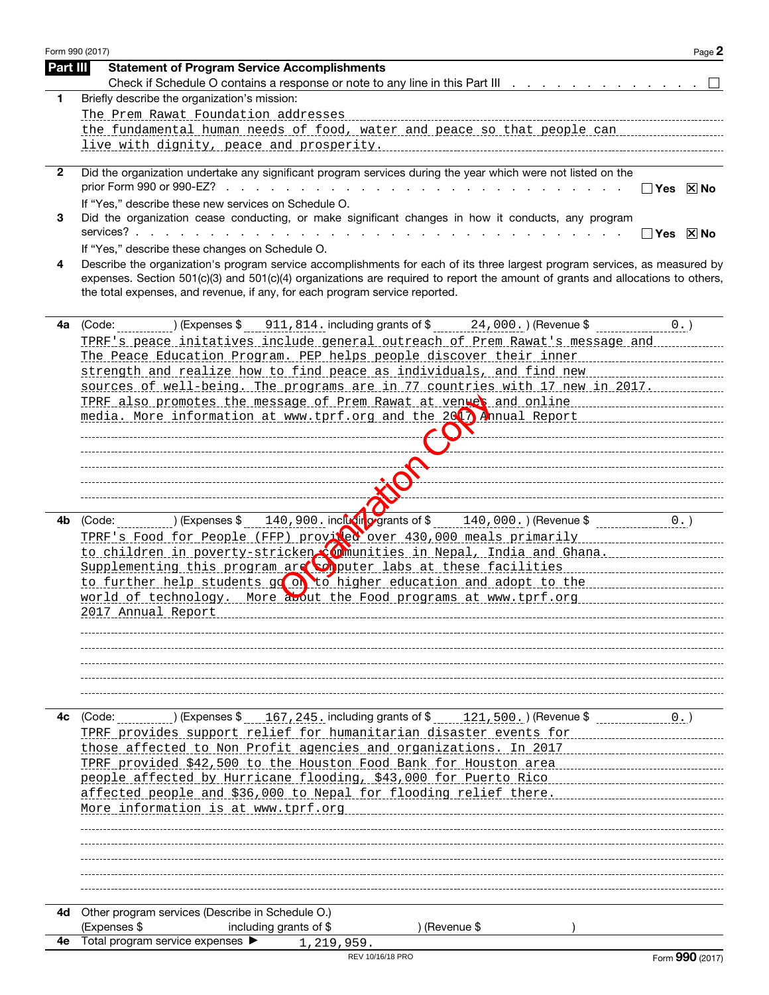| Form 990 (2017) | Page 2                                                                                                                                                                                                                                                                                                                                      |
|-----------------|---------------------------------------------------------------------------------------------------------------------------------------------------------------------------------------------------------------------------------------------------------------------------------------------------------------------------------------------|
| Part III        | <b>Statement of Program Service Accomplishments</b>                                                                                                                                                                                                                                                                                         |
|                 | Check if Schedule O contains a response or note to any line in this Part III $\ldots$ $\Box$                                                                                                                                                                                                                                                |
| 1.              | Briefly describe the organization's mission:                                                                                                                                                                                                                                                                                                |
|                 |                                                                                                                                                                                                                                                                                                                                             |
|                 | the fundamental human needs of food, water and peace so that people can                                                                                                                                                                                                                                                                     |
|                 |                                                                                                                                                                                                                                                                                                                                             |
| $\mathbf{2}$    | Did the organization undertake any significant program services during the year which were not listed on the                                                                                                                                                                                                                                |
|                 | and the state of<br>$\Box$ Yes $\Box$ No                                                                                                                                                                                                                                                                                                    |
|                 | If "Yes," describe these new services on Schedule O.                                                                                                                                                                                                                                                                                        |
| 3               | Did the organization cease conducting, or make significant changes in how it conducts, any program                                                                                                                                                                                                                                          |
|                 | $\Box$ Yes $\Box$ No                                                                                                                                                                                                                                                                                                                        |
|                 | If "Yes," describe these changes on Schedule O.                                                                                                                                                                                                                                                                                             |
| 4               | Describe the organization's program service accomplishments for each of its three largest program services, as measured by<br>expenses. Section 501(c)(3) and 501(c)(4) organizations are required to report the amount of grants and allocations to others,<br>the total expenses, and revenue, if any, for each program service reported. |
| 4a              | (Code: $($ Code: $)$ (Expenses \$ $911, 814$ , including grants of \$ $24, 000$ , ) (Revenue \$ $0$ , )                                                                                                                                                                                                                                     |
|                 | TPRF's peace initatives include general outreach of Prem Rawat's message and                                                                                                                                                                                                                                                                |
|                 |                                                                                                                                                                                                                                                                                                                                             |
|                 | strength_and_realize_how_to_find_peace_as_individuals__and_find_new________________________________                                                                                                                                                                                                                                         |
|                 | sources of well-being. The programs are in 77 countries with 17 new in 2017.                                                                                                                                                                                                                                                                |
|                 |                                                                                                                                                                                                                                                                                                                                             |
|                 |                                                                                                                                                                                                                                                                                                                                             |
|                 |                                                                                                                                                                                                                                                                                                                                             |
|                 |                                                                                                                                                                                                                                                                                                                                             |
|                 |                                                                                                                                                                                                                                                                                                                                             |
|                 | $\alpha$                                                                                                                                                                                                                                                                                                                                    |
|                 |                                                                                                                                                                                                                                                                                                                                             |
| 4b              | (Code: (Code: (Expenses \$ 140,900. including grants of \$ 140,000.) (Revenue \$ 140,000.) (Revenue \$ 1,000.)                                                                                                                                                                                                                              |
|                 | TPRF's Food for People (FFP) provited over 430,000 meals primarily                                                                                                                                                                                                                                                                          |
|                 |                                                                                                                                                                                                                                                                                                                                             |
|                 |                                                                                                                                                                                                                                                                                                                                             |
|                 | to further help students go on to higher education and adopt to the manuscrim manuscript                                                                                                                                                                                                                                                    |
|                 |                                                                                                                                                                                                                                                                                                                                             |
|                 | <u> 2017 Annual Report</u>                                                                                                                                                                                                                                                                                                                  |
|                 |                                                                                                                                                                                                                                                                                                                                             |
|                 |                                                                                                                                                                                                                                                                                                                                             |
|                 |                                                                                                                                                                                                                                                                                                                                             |
|                 |                                                                                                                                                                                                                                                                                                                                             |
|                 |                                                                                                                                                                                                                                                                                                                                             |
| 4c              | (Expenses $\frac{167,245}{245}$ including grants of $\frac{21,500}{24,500}$ ) (Revenue \$<br>(Code:                                                                                                                                                                                                                                         |
|                 | <u>. 0</u> )<br>TPRF provides support relief for humanitarian disaster events for                                                                                                                                                                                                                                                           |
|                 | those affected to Non Profit agencies and organizations. In 2017                                                                                                                                                                                                                                                                            |
|                 | TPRF provided \$42,500 to the Houston Food Bank for Houston area                                                                                                                                                                                                                                                                            |
|                 | people_affected_by_Hurricane_flooding, \$43,000 for Puerto_Rico_                                                                                                                                                                                                                                                                            |
|                 | affected people and \$36,000 to Nepal for flooding relief there.                                                                                                                                                                                                                                                                            |
|                 | More information is at www.tprf.org                                                                                                                                                                                                                                                                                                         |
|                 |                                                                                                                                                                                                                                                                                                                                             |
|                 |                                                                                                                                                                                                                                                                                                                                             |
|                 |                                                                                                                                                                                                                                                                                                                                             |
|                 |                                                                                                                                                                                                                                                                                                                                             |
|                 |                                                                                                                                                                                                                                                                                                                                             |
| 4d              | Other program services (Describe in Schedule O.)                                                                                                                                                                                                                                                                                            |
|                 | (Expenses \$<br>including grants of \$<br>) (Revenue \$                                                                                                                                                                                                                                                                                     |
| 4е              | Total program service expenses<br>1,219,959.                                                                                                                                                                                                                                                                                                |
|                 |                                                                                                                                                                                                                                                                                                                                             |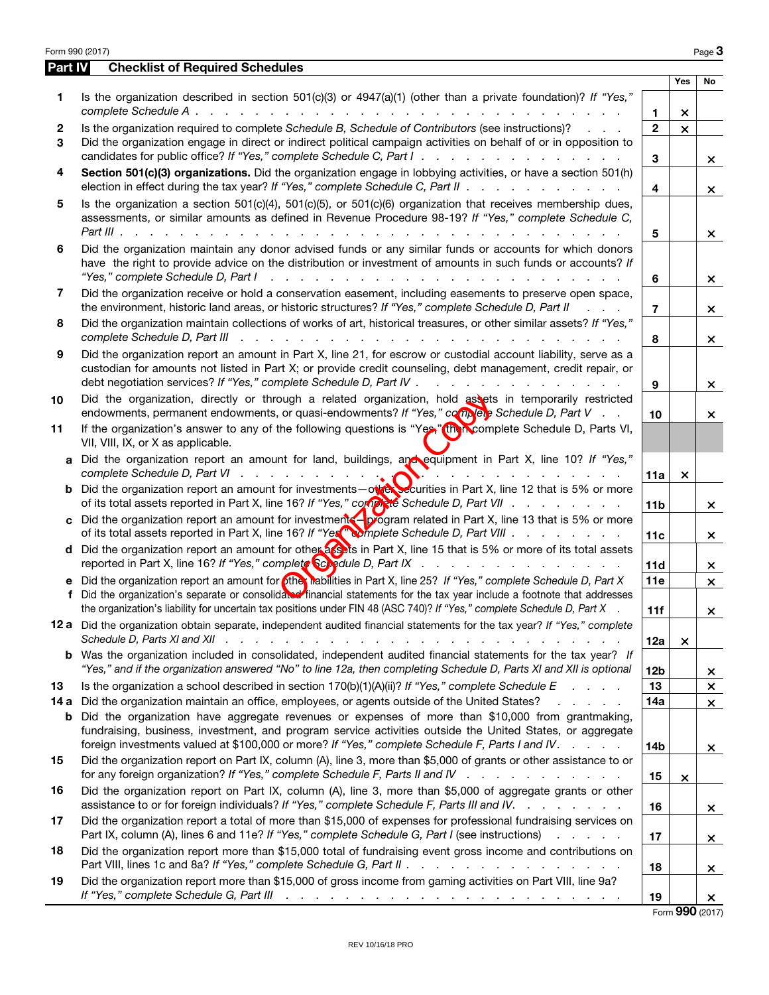|           | Form 990 (2017)                                                                                                                                                                                                                                                                                                                                                                                                                                                                                            |                         |                           | Page 3   |
|-----------|------------------------------------------------------------------------------------------------------------------------------------------------------------------------------------------------------------------------------------------------------------------------------------------------------------------------------------------------------------------------------------------------------------------------------------------------------------------------------------------------------------|-------------------------|---------------------------|----------|
| Part IV   | <b>Checklist of Required Schedules</b>                                                                                                                                                                                                                                                                                                                                                                                                                                                                     |                         |                           |          |
|           |                                                                                                                                                                                                                                                                                                                                                                                                                                                                                                            |                         | Yes                       | No       |
| 1         | Is the organization described in section 501(c)(3) or 4947(a)(1) (other than a private foundation)? If "Yes,"<br>complete Schedule A.                                                                                                                                                                                                                                                                                                                                                                      | 1.                      | $\times$                  |          |
| 2         | Is the organization required to complete Schedule B, Schedule of Contributors (see instructions)?<br><b>Contract Contract</b>                                                                                                                                                                                                                                                                                                                                                                              | $\overline{2}$          | $\boldsymbol{\mathsf{x}}$ |          |
| 3         | Did the organization engage in direct or indirect political campaign activities on behalf of or in opposition to<br>candidates for public office? If "Yes," complete Schedule C, Part I.<br>and a contract of the contract of the                                                                                                                                                                                                                                                                          | 3                       |                           | ×        |
| 4         | Section 501(c)(3) organizations. Did the organization engage in lobbying activities, or have a section 501(h)<br>election in effect during the tax year? If "Yes," complete Schedule C, Part II                                                                                                                                                                                                                                                                                                            | $\overline{\mathbf{4}}$ |                           | ×        |
| 5         | Is the organization a section $501(c)(4)$ , $501(c)(5)$ , or $501(c)(6)$ organization that receives membership dues,<br>assessments, or similar amounts as defined in Revenue Procedure 98-19? If "Yes," complete Schedule C,<br>Part III $\ldots$ , $\ldots$ , $\ldots$<br>the second contract of the contract of the contract of the contract of the contract of the contract of the contract of the contract of the contract of the contract of the contract of the contract of the contract of the con | 5                       |                           | $\times$ |
| 6         | Did the organization maintain any donor advised funds or any similar funds or accounts for which donors<br>have the right to provide advice on the distribution or investment of amounts in such funds or accounts? If<br>"Yes," complete Schedule D, Part I<br>and the contract of the contract of the contract of the contract of the contract of the contract of the contract of the contract of the contract of the contract of the contract of the contract of the contract of the contra             | 6                       |                           | ×        |
| 7         | Did the organization receive or hold a conservation easement, including easements to preserve open space,<br>the environment, historic land areas, or historic structures? If "Yes," complete Schedule D, Part II<br>$\mathbf{1}$ $\mathbf{1}$ $\mathbf{1}$                                                                                                                                                                                                                                                | $\overline{7}$          |                           | ×        |
| 8         | Did the organization maintain collections of works of art, historical treasures, or other similar assets? If "Yes,"<br>complete Schedule D, Part III<br>$\frac{1}{2}$ , $\frac{1}{2}$ , $\frac{1}{2}$ , $\frac{1}{2}$ , $\frac{1}{2}$ , $\frac{1}{2}$ , $\frac{1}{2}$ , $\frac{1}{2}$ , $\frac{1}{2}$ , $\frac{1}{2}$ , $\frac{1}{2}$ , $\frac{1}{2}$                                                                                                                                                      | 8                       |                           | $\times$ |
| 9         | Did the organization report an amount in Part X, line 21, for escrow or custodial account liability, serve as a<br>custodian for amounts not listed in Part X; or provide credit counseling, debt management, credit repair, or<br>debt negotiation services? If "Yes," complete Schedule D, Part IV .<br>and the contract of the contract of the                                                                                                                                                          | 9                       |                           | ×        |
| 10        | Did the organization, directly or through a related organization, hold assets in temporarily restricted<br>endowments, permanent endowments, or quasi-endowments? If "Yes," complete Schedule D, Part V.                                                                                                                                                                                                                                                                                                   | 10                      |                           | $\times$ |
| 11        | If the organization's answer to any of the following questions is "Yes," (Then complete Schedule D, Parts VI,<br>VII, VIII, IX, or X as applicable.                                                                                                                                                                                                                                                                                                                                                        |                         |                           |          |
|           | a Did the organization report an amount for land, buildings, and equipment in Part X, line 10? If "Yes,"<br>complete Schedule D, Part VI<br><u>and a straight and a straight and a straight and a straight and a straight and a straight and a straight and a straight and a straight and a straight and a straight and a straight and a straight and a straight and a strai</u>                                                                                                                           | 11a                     | ×                         |          |
|           | b Did the organization report an amount for investments-other securities in Part X, line 12 that is 5% or more<br>of its total assets reported in Part X, line 16? If "Yes," complete Schedule D, Part VII.                                                                                                                                                                                                                                                                                                | 11 <sub>b</sub>         |                           | ×.       |
|           | c Did the organization report an amount for investments program related in Part X, line 13 that is 5% or more<br>of its total assets reported in Part X, line 16? If "Yes complete Schedule D, Part VIII                                                                                                                                                                                                                                                                                                   | 11c                     |                           | ×        |
|           | d Did the organization report an amount for other assets in Part X, line 15 that is 5% or more of its total assets<br>reported in Part X, line 16? If "Yes," complete Conedule D, Part IX                                                                                                                                                                                                                                                                                                                  | 11d                     |                           | ×        |
|           | e Did the organization report an amount for other habilities in Part X, line 25? If "Yes," complete Schedule D, Part X                                                                                                                                                                                                                                                                                                                                                                                     | 11e                     |                           | $\times$ |
|           | f Did the organization's separate or consolidated financial statements for the tax year include a footnote that addresses<br>the organization's liability for uncertain tax positions under FIN 48 (ASC 740)? If "Yes," complete Schedule D, Part X                                                                                                                                                                                                                                                        | 11f                     |                           | ×.       |
|           | 12 a Did the organization obtain separate, independent audited financial statements for the tax year? If "Yes," complete                                                                                                                                                                                                                                                                                                                                                                                   | 12a                     | ×                         |          |
|           | <b>b</b> Was the organization included in consolidated, independent audited financial statements for the tax year? If<br>"Yes," and if the organization answered "No" to line 12a, then completing Schedule D, Parts XI and XII is optional                                                                                                                                                                                                                                                                | 12 <sub>b</sub>         |                           | ×.       |
| 13        | Is the organization a school described in section $170(b)(1)(A)(ii)?$ If "Yes," complete Schedule E                                                                                                                                                                                                                                                                                                                                                                                                        | 13                      |                           | $\times$ |
| 14 a<br>b | Did the organization maintain an office, employees, or agents outside of the United States?<br>and a state of<br>Did the organization have aggregate revenues or expenses of more than \$10,000 from grantmaking,<br>fundraising, business, investment, and program service activities outside the United States, or aggregate                                                                                                                                                                             | 14a                     |                           | ×        |
| 15        | foreign investments valued at \$100,000 or more? If "Yes," complete Schedule F, Parts I and IV.<br>Did the organization report on Part IX, column (A), line 3, more than \$5,000 of grants or other assistance to or                                                                                                                                                                                                                                                                                       | 14 <sub>b</sub>         |                           | ×.       |
|           | for any foreign organization? If "Yes," complete Schedule F, Parts II and IV                                                                                                                                                                                                                                                                                                                                                                                                                               | 15                      | ×                         |          |
| 16        | Did the organization report on Part IX, column (A), line 3, more than \$5,000 of aggregate grants or other<br>assistance to or for foreign individuals? If "Yes," complete Schedule F, Parts III and IV.                                                                                                                                                                                                                                                                                                   | 16                      |                           | ×.       |
| 17        | Did the organization report a total of more than \$15,000 of expenses for professional fundraising services on<br>Part IX, column (A), lines 6 and 11e? If "Yes," complete Schedule G, Part I (see instructions)                                                                                                                                                                                                                                                                                           | 17                      |                           | ×.       |
| 18        | Did the organization report more than \$15,000 total of fundraising event gross income and contributions on<br>Part VIII, lines 1c and 8a? If "Yes," complete Schedule G, Part II                                                                                                                                                                                                                                                                                                                          | 18                      |                           | ×.       |
| 19        | Did the organization report more than \$15,000 of gross income from gaming activities on Part VIII, line 9a?<br>If "Yes," complete Schedule G, Part III (b) and a series and a series and a series of the Schedule G, Part III                                                                                                                                                                                                                                                                             | 19                      |                           | ×.       |

Form **990** (2017)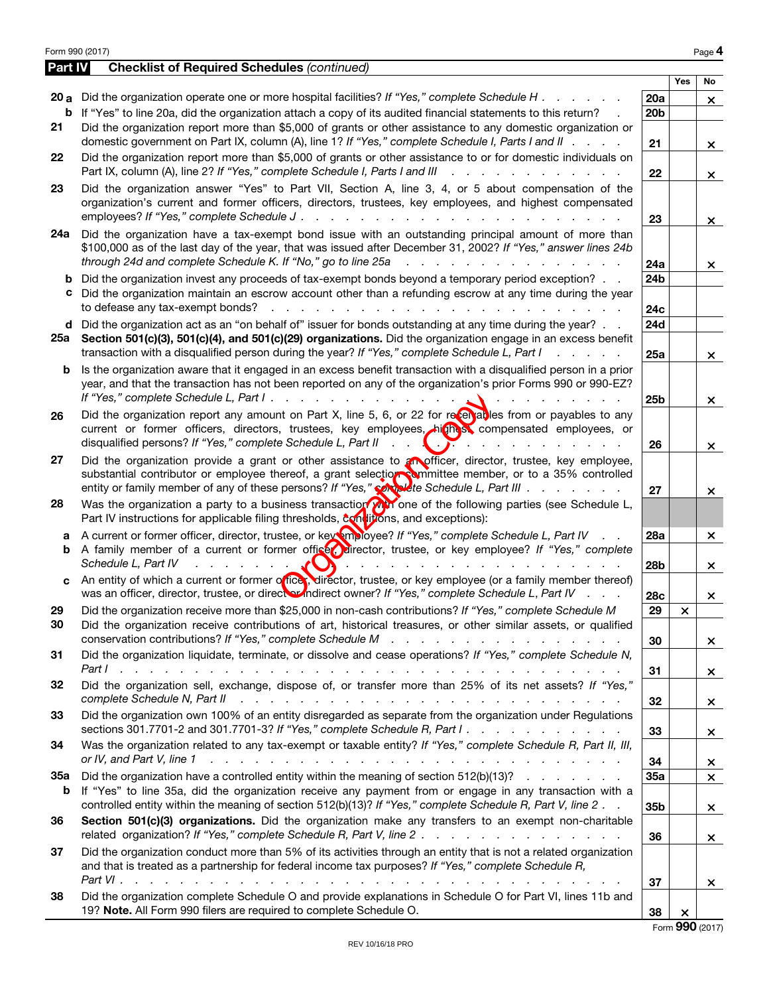| Form 990 (2017) |                                                                                                                                                                                                                                                                                                                                                                          |                 |     | Page 4          |
|-----------------|--------------------------------------------------------------------------------------------------------------------------------------------------------------------------------------------------------------------------------------------------------------------------------------------------------------------------------------------------------------------------|-----------------|-----|-----------------|
| Part IV         | <b>Checklist of Required Schedules (continued)</b>                                                                                                                                                                                                                                                                                                                       |                 |     |                 |
|                 |                                                                                                                                                                                                                                                                                                                                                                          |                 | Yes | No              |
|                 | 20 a Did the organization operate one or more hospital facilities? If "Yes," complete Schedule H.                                                                                                                                                                                                                                                                        | 20a             |     | $\times$        |
|                 | <b>b</b> If "Yes" to line 20a, did the organization attach a copy of its audited financial statements to this return?<br>Did the organization report more than \$5,000 of grants or other assistance to any domestic organization or                                                                                                                                     | 20 <sub>b</sub> |     |                 |
| 21              | domestic government on Part IX, column (A), line 1? If "Yes," complete Schedule I, Parts I and II                                                                                                                                                                                                                                                                        | 21              |     | $\times$        |
| 22              | Did the organization report more than \$5,000 of grants or other assistance to or for domestic individuals on                                                                                                                                                                                                                                                            |                 |     |                 |
|                 | Part IX, column (A), line 2? If "Yes," complete Schedule I, Parts I and III<br>and a state of the state of the state of                                                                                                                                                                                                                                                  | 22              |     | $\times$        |
| 23              | Did the organization answer "Yes" to Part VII, Section A, line 3, 4, or 5 about compensation of the                                                                                                                                                                                                                                                                      |                 |     |                 |
|                 | organization's current and former officers, directors, trustees, key employees, and highest compensated                                                                                                                                                                                                                                                                  |                 |     |                 |
|                 | employees? If "Yes," complete Schedule J.                                                                                                                                                                                                                                                                                                                                | 23              |     | $\mathsf{x}$    |
| 24a             | Did the organization have a tax-exempt bond issue with an outstanding principal amount of more than<br>\$100,000 as of the last day of the year, that was issued after December 31, 2002? If "Yes," answer lines 24b<br>through 24d and complete Schedule K. If "No," go to line 25a<br>and the contract of the contract of the con-                                     | 24a             |     | $\mathsf{x}$    |
|                 | b Did the organization invest any proceeds of tax-exempt bonds beyond a temporary period exception?                                                                                                                                                                                                                                                                      | 24b             |     |                 |
| c               | Did the organization maintain an escrow account other than a refunding escrow at any time during the year<br>to defease any tax-exempt bonds?<br><u>and a straightforward and a straight and a straight and a straight and a straight and a straight and a straight and a</u>                                                                                            | 24c             |     |                 |
|                 | $d$ Did the organization act as an "on behalf of" issuer for bonds outstanding at any time during the year? $\ldots$                                                                                                                                                                                                                                                     | <b>24d</b>      |     |                 |
|                 | 25a Section 501(c)(3), 501(c)(4), and 501(c)(29) organizations. Did the organization engage in an excess benefit                                                                                                                                                                                                                                                         |                 |     |                 |
|                 | transaction with a disqualified person during the year? If "Yes," complete Schedule L, Part I                                                                                                                                                                                                                                                                            | 25a             |     | $\mathsf{x}$    |
| b               | Is the organization aware that it engaged in an excess benefit transaction with a disqualified person in a prior<br>year, and that the transaction has not been reported on any of the organization's prior Forms 990 or 990-EZ?                                                                                                                                         |                 |     |                 |
|                 | If "Yes," complete Schedule L, Part I.<br><b>Contract Contract Street</b>                                                                                                                                                                                                                                                                                                | 25 <sub>b</sub> |     | ×.              |
| 26              | Did the organization report any amount on Part X, line 5, 6, or 22 for receivables from or payables to any                                                                                                                                                                                                                                                               |                 |     |                 |
|                 | current or former officers, directors, trustees, key employees, highes compensated employees, or                                                                                                                                                                                                                                                                         |                 |     |                 |
|                 | disqualified persons? If "Yes," complete Schedule L, Part II                                                                                                                                                                                                                                                                                                             | 26              |     | ×.              |
| 27              | Did the organization provide a grant or other assistance to $\partial \mathbf{r}$ officer, director, trustee, key employee,<br>substantial contributor or employee thereof, a grant selection committee member, or to a 35% controlled<br>entity or family member of any of these persons? If "Yes," or wild be Schedule L, Part III                                     | 27              |     | ×               |
| 28              | Was the organization a party to a business transaction with one of the following parties (see Schedule L,<br>Part IV instructions for applicable filing thresholds, conditions, and exceptions):                                                                                                                                                                         |                 |     |                 |
| а               | A current or former officer, director, trustee, or key moloyee? If "Yes," complete Schedule L, Part IV                                                                                                                                                                                                                                                                   | 28a             |     | ×               |
| b               | A family member of a current or former officer, director, trustee, or key employee? If "Yes," complete<br>Schedule L, Part IV<br>and the state of the                                                                                                                                                                                                                    | 28b             |     | ×.              |
|                 | c An entity of which a current or former officer, director, trustee, or key employee (or a family member thereof)<br>was an officer, director, trustee, or director Indirect owner? If "Yes," complete Schedule L, Part IV                                                                                                                                               | 28 <sub>c</sub> |     | ×               |
| 29              | Did the organization receive more than \$25,000 in non-cash contributions? If "Yes," complete Schedule M                                                                                                                                                                                                                                                                 | 29              | ×   |                 |
| 30              | Did the organization receive contributions of art, historical treasures, or other similar assets, or qualified                                                                                                                                                                                                                                                           | 30              |     | ×.              |
| 31              | Did the organization liquidate, terminate, or dissolve and cease operations? If "Yes," complete Schedule N,<br>Part I                                                                                                                                                                                                                                                    | 31              |     | ×.              |
| 32              | Did the organization sell, exchange, dispose of, or transfer more than 25% of its net assets? If "Yes,"<br>complete Schedule N, Part II<br>a constitution of the constitution of the constitution of the constitution of the constitution of the constitution of the constitution of the constitution of the constitution of the constitution of the constitution of the | 32              |     | ×.              |
| 33              | Did the organization own 100% of an entity disregarded as separate from the organization under Regulations<br>sections 301.7701-2 and 301.7701-3? If "Yes," complete Schedule R, Part I.                                                                                                                                                                                 | 33              |     | ×.              |
| 34              | Was the organization related to any tax-exempt or taxable entity? If "Yes," complete Schedule R, Part II, III,<br>or IV, and Part V, line 1<br>والمتعاون والمتعاون والمتعاون والمتعاون والمتعاون والمتعاون والمتعاون والمتعاون والمتعاونة والمتعاون                                                                                                                      | 34              |     | ×               |
| <b>35a</b>      | Did the organization have a controlled entity within the meaning of section 512(b)(13)?                                                                                                                                                                                                                                                                                  | 35a             |     | $\times$        |
| b               | If "Yes" to line 35a, did the organization receive any payment from or engage in any transaction with a<br>controlled entity within the meaning of section 512(b)(13)? If "Yes," complete Schedule R, Part V, line 2.                                                                                                                                                    | 35b             |     | ×.              |
| 36              | Section 501(c)(3) organizations. Did the organization make any transfers to an exempt non-charitable<br>related organization? If "Yes," complete Schedule R, Part V, line 2.                                                                                                                                                                                             | 36              |     | ×.              |
| 37              | Did the organization conduct more than 5% of its activities through an entity that is not a related organization                                                                                                                                                                                                                                                         |                 |     |                 |
|                 | and that is treated as a partnership for federal income tax purposes? If "Yes," complete Schedule R,                                                                                                                                                                                                                                                                     |                 |     |                 |
|                 | Part VI. $\cdots$ $\cdots$ $\cdots$ $\cdots$ $\cdots$<br>and a state of the state of the                                                                                                                                                                                                                                                                                 | 37              |     | ×.              |
| 38              | Did the organization complete Schedule O and provide explanations in Schedule O for Part VI, lines 11b and<br>19? Note. All Form 990 filers are required to complete Schedule O.                                                                                                                                                                                         |                 |     |                 |
|                 |                                                                                                                                                                                                                                                                                                                                                                          | 38              | ×   | Form 990 (2017) |
|                 |                                                                                                                                                                                                                                                                                                                                                                          |                 |     |                 |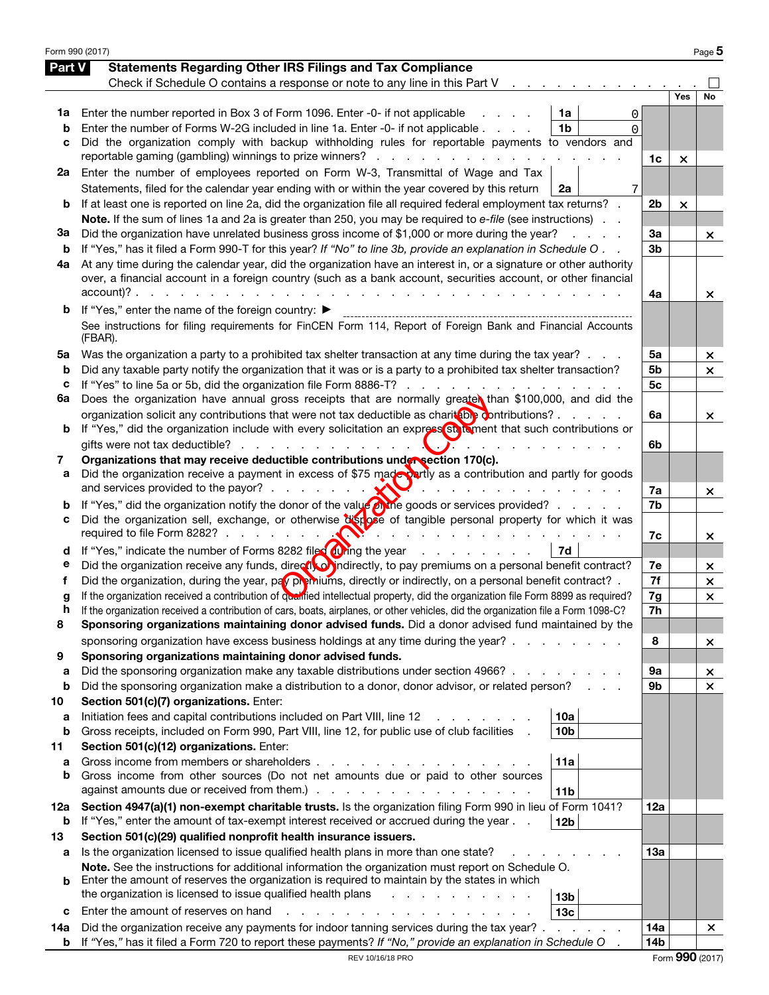|        | Form 990 (2017)                                                                                                                    |                |          | Page 5   |
|--------|------------------------------------------------------------------------------------------------------------------------------------|----------------|----------|----------|
| Part V | <b>Statements Regarding Other IRS Filings and Tax Compliance</b>                                                                   |                |          |          |
|        | Check if Schedule O contains a response or note to any line in this Part V                                                         |                |          |          |
|        |                                                                                                                                    |                | Yes      | No       |
| 1a     | Enter the number reported in Box 3 of Form 1096. Enter -0- if not applicable<br>1a<br>0                                            |                |          |          |
| b      | Enter the number of Forms W-2G included in line 1a. Enter -0- if not applicable<br>1 <sub>b</sub><br><sup>n</sup>                  |                |          |          |
| c      | Did the organization comply with backup withholding rules for reportable payments to vendors and                                   |                |          |          |
|        | reportable gaming (gambling) winnings to prize winners?                                                                            | 1c             | $\times$ |          |
| 2a     | Enter the number of employees reported on Form W-3, Transmittal of Wage and Tax                                                    |                |          |          |
|        | Statements, filed for the calendar year ending with or within the year covered by this return<br>2a<br>7                           |                |          |          |
| b      | If at least one is reported on line 2a, did the organization file all required federal employment tax returns?                     | 2 <sub>b</sub> | $\times$ |          |
|        | Note. If the sum of lines 1a and 2a is greater than 250, you may be required to e-file (see instructions).                         |                |          |          |
| За     | Did the organization have unrelated business gross income of \$1,000 or more during the year?                                      | За             |          |          |
| b      | If "Yes," has it filed a Form 990-T for this year? If "No" to line 3b, provide an explanation in Schedule O                        | 3b             |          | ×.       |
| 4a     | At any time during the calendar year, did the organization have an interest in, or a signature or other authority                  |                |          |          |
|        | over, a financial account in a foreign country (such as a bank account, securities account, or other financial                     |                |          |          |
|        | $account$ ?.<br><b>Contract Contract</b><br><b>Contract Contract Contract</b><br>the company of the company                        |                |          |          |
|        |                                                                                                                                    | 4a             |          | ×        |
| b      | If "Yes," enter the name of the foreign country: ▶                                                                                 |                |          |          |
|        | See instructions for filing requirements for FinCEN Form 114, Report of Foreign Bank and Financial Accounts                        |                |          |          |
|        | (FBAR).                                                                                                                            |                |          |          |
| 5a     | Was the organization a party to a prohibited tax shelter transaction at any time during the tax year?                              | 5a             |          | ×.       |
| b      | Did any taxable party notify the organization that it was or is a party to a prohibited tax shelter transaction?                   | 5b             |          | $\times$ |
| с      | If "Yes" to line 5a or 5b, did the organization file Form 8886-T?                                                                  | 5 <sub>c</sub> |          |          |
| 6a     | Does the organization have annual gross receipts that are normally greatex than \$100,000, and did the                             |                |          |          |
|        | organization solicit any contributions that were not tax deductible as charitable contributions?                                   | 6a             |          | $\times$ |
| b      | If "Yes," did the organization include with every solicitation an express statement that such contributions or                     |                |          |          |
|        | gifts were not tax deductible? $\ldots$ $\ldots$ $\ldots$ $\ldots$ $\ldots$                                                        | 6b             |          |          |
| 7      | Organizations that may receive deductible contributions under section 170(c).                                                      |                |          |          |
| а      | Did the organization receive a payment in excess of \$75 made bartly as a contribution and partly for goods                        |                |          |          |
|        | and services provided to the payor?                                                                                                | 7a             |          | ×.       |
| b      | If "Yes," did the organization notify the donor of the value $\partial_{k}$ the goods or services provided?                        | 7b             |          |          |
| c      | Did the organization sell, exchange, or otherwise dispose of tangible personal property for which it was                           |                |          |          |
|        | required to file Form 8282?                                                                                                        | 7c             |          | ×        |
| d      | If "Yes," indicate the number of Forms 8282 filed $\phi$ may the year $\cdots$ $\cdots$<br>7d                                      |                |          |          |
| е      | Did the organization receive any funds, directly ovindirectly, to pay premiums on a personal benefit contract?                     | 7e             |          | ×        |
| f      | Did the organization, during the year, pay premiums, directly or indirectly, on a personal benefit contract?.                      | 7f             |          | $\times$ |
| g      | If the organization received a contribution of qualitied intellectual property, did the organization file Form 8899 as required?   | 7g             |          | $\times$ |
| n      | If the organization received a contribution of cars, boats, airplanes, or other vehicles, did the organization file a Form 1098-C? | 7h             |          |          |
| 8      | Sponsoring organizations maintaining donor advised funds. Did a donor advised fund maintained by the                               |                |          |          |
|        | sponsoring organization have excess business holdings at any time during the year?                                                 | 8              |          | ×        |
| 9      | Sponsoring organizations maintaining donor advised funds.                                                                          |                |          |          |
| a      | Did the sponsoring organization make any taxable distributions under section 4966?                                                 | 9а             |          | ×        |
| b      | Did the sponsoring organization make a distribution to a donor, donor advisor, or related person?                                  | 9b             |          | $\times$ |
| 10     | Section 501(c)(7) organizations. Enter:                                                                                            |                |          |          |
| a      | Initiation fees and capital contributions included on Part VIII, line 12<br>10a                                                    |                |          |          |
| b      | Gross receipts, included on Form 990, Part VIII, line 12, for public use of club facilities<br>10 <sub>b</sub>                     |                |          |          |
| 11     | Section 501(c)(12) organizations. Enter:                                                                                           |                |          |          |
| a      | Gross income from members or shareholders<br>11a                                                                                   |                |          |          |
| b      | Gross income from other sources (Do not net amounts due or paid to other sources                                                   |                |          |          |
|        | against amounts due or received from them.).<br>the contract of the contract of the contract of<br>11 <sub>b</sub>                 |                |          |          |
| 12a    | Section 4947(a)(1) non-exempt charitable trusts. Is the organization filing Form 990 in lieu of Form 1041?                         | 12a            |          |          |
| b      | If "Yes," enter the amount of tax-exempt interest received or accrued during the year<br>12 <sub>b</sub>                           |                |          |          |
| 13     | Section 501(c)(29) qualified nonprofit health insurance issuers.                                                                   |                |          |          |
| а      | Is the organization licensed to issue qualified health plans in more than one state?                                               | 13а            |          |          |
|        | Note. See the instructions for additional information the organization must report on Schedule O.                                  |                |          |          |
| b      | Enter the amount of reserves the organization is required to maintain by the states in which                                       |                |          |          |
|        | the organization is licensed to issue qualified health plans<br>13 <sub>b</sub>                                                    |                |          |          |
| с      | Enter the amount of reserves on hand<br>13 <sub>c</sub>                                                                            |                |          |          |
| 14a    | Did the organization receive any payments for indoor tanning services during the tax year? .                                       | 14a            |          | ×        |
| b      | If "Yes," has it filed a Form 720 to report these payments? If "No," provide an explanation in Schedule O                          | 14b            |          |          |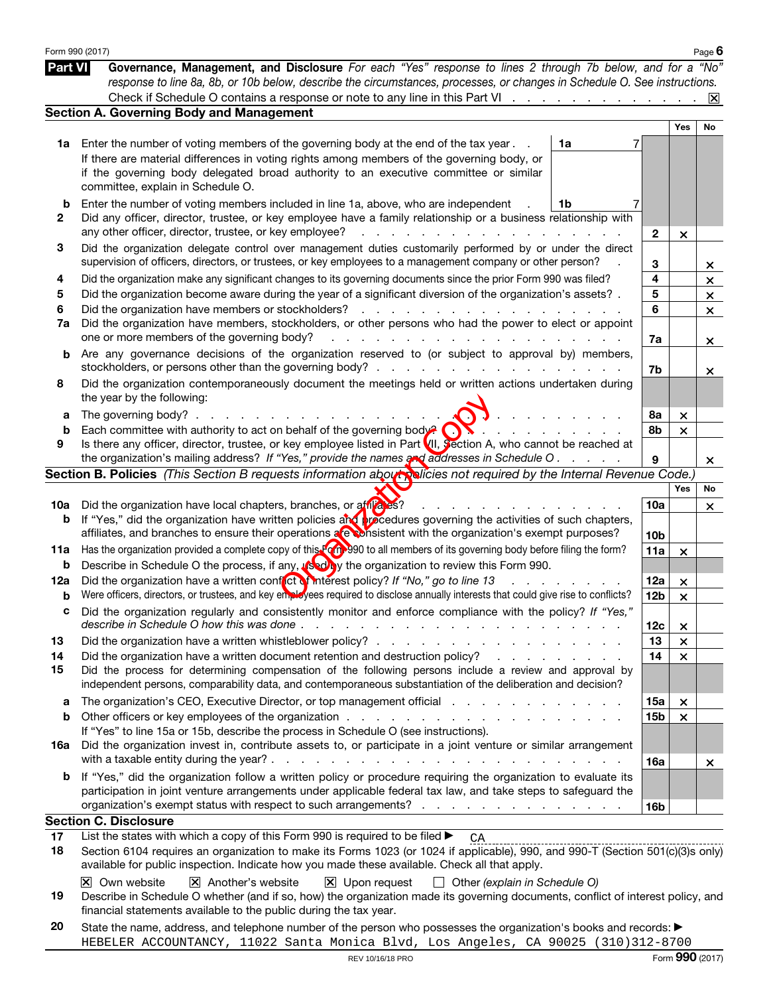|                   | Form 990 (2017)                                                                                                                                                                                                                                                                                                                                                                                                                                                                                            |                                       |                                                         |                           | Page $6$                                   |
|-------------------|------------------------------------------------------------------------------------------------------------------------------------------------------------------------------------------------------------------------------------------------------------------------------------------------------------------------------------------------------------------------------------------------------------------------------------------------------------------------------------------------------------|---------------------------------------|---------------------------------------------------------|---------------------------|--------------------------------------------|
| <b>Part VI</b>    | Governance, Management, and Disclosure For each "Yes" response to lines 2 through 7b below, and for a "No"<br>response to line 8a, 8b, or 10b below, describe the circumstances, processes, or changes in Schedule O. See instructions.                                                                                                                                                                                                                                                                    |                                       |                                                         |                           |                                            |
|                   | Check if Schedule O contains a response or note to any line in this Part VI<br>Section A. Governing Body and Management                                                                                                                                                                                                                                                                                                                                                                                    |                                       |                                                         |                           | $\mathbf{\mathsf{X}}$                      |
|                   |                                                                                                                                                                                                                                                                                                                                                                                                                                                                                                            |                                       |                                                         | <b>Yes</b>                | No                                         |
| 1a                | Enter the number of voting members of the governing body at the end of the tax year.                                                                                                                                                                                                                                                                                                                                                                                                                       | 1a                                    |                                                         |                           |                                            |
|                   | If there are material differences in voting rights among members of the governing body, or<br>if the governing body delegated broad authority to an executive committee or similar<br>committee, explain in Schedule O.                                                                                                                                                                                                                                                                                    |                                       |                                                         |                           |                                            |
| b<br>2            | Enter the number of voting members included in line 1a, above, who are independent<br>Did any officer, director, trustee, or key employee have a family relationship or a business relationship with<br>any other officer, director, trustee, or key employee?<br>and a straight and a straight and                                                                                                                                                                                                        | 1b                                    | $\mathbf{2}$                                            | $\pmb{\times}$            |                                            |
| 3                 | Did the organization delegate control over management duties customarily performed by or under the direct<br>supervision of officers, directors, or trustees, or key employees to a management company or other person?                                                                                                                                                                                                                                                                                    |                                       | 3                                                       |                           | ×                                          |
| 4<br>5<br>6<br>7a | Did the organization make any significant changes to its governing documents since the prior Form 990 was filed?<br>Did the organization become aware during the year of a significant diversion of the organization's assets? .<br>Did the organization have members or stockholders?<br>and a state<br>and a state of the state of the state of<br>Did the organization have members, stockholders, or other persons who had the power to elect or appoint<br>one or more members of the governing body? |                                       | $\overline{\mathbf{4}}$<br>$\overline{\mathbf{5}}$<br>6 |                           | $\mathsf{x}$<br>$\pmb{\times}$<br>$\times$ |
| b                 | Are any governance decisions of the organization reserved to (or subject to approval by) members,                                                                                                                                                                                                                                                                                                                                                                                                          |                                       | 7a<br>7b                                                |                           | ×<br>×                                     |
| 8                 | Did the organization contemporaneously document the meetings held or written actions undertaken during<br>the year by the following:                                                                                                                                                                                                                                                                                                                                                                       |                                       |                                                         |                           |                                            |
| а                 | The governing body?                                                                                                                                                                                                                                                                                                                                                                                                                                                                                        |                                       | 8а                                                      | ×                         |                                            |
| b                 | Each committee with authority to act on behalf of the governing body? $\bigcap$                                                                                                                                                                                                                                                                                                                                                                                                                            |                                       | 8b                                                      | $\pmb{\times}$            |                                            |
| 9                 | Is there any officer, director, trustee, or key employee listed in Part VII, Section A, who cannot be reached at<br>the organization's mailing address? If "Yes," provide the names and addresses in Schedule O.                                                                                                                                                                                                                                                                                           |                                       | 9                                                       |                           | ×                                          |
|                   | Section B. Policies (This Section B requests information about policies not required by the Internal Revenue Code.)                                                                                                                                                                                                                                                                                                                                                                                        |                                       |                                                         |                           |                                            |
|                   |                                                                                                                                                                                                                                                                                                                                                                                                                                                                                                            |                                       |                                                         | <b>Yes</b>                | No                                         |
| 10a               | Did the organization have local chapters, branches, or affiliates?                                                                                                                                                                                                                                                                                                                                                                                                                                         |                                       | 10a                                                     |                           | $\times$                                   |
| b                 | If "Yes," did the organization have written policies and procedures governing the activities of such chapters,<br>affiliates, and branches to ensure their operations are consistent with the organization's exempt purposes?                                                                                                                                                                                                                                                                              |                                       |                                                         |                           |                                            |
|                   |                                                                                                                                                                                                                                                                                                                                                                                                                                                                                                            |                                       |                                                         |                           |                                            |
|                   |                                                                                                                                                                                                                                                                                                                                                                                                                                                                                                            |                                       | 10 <sub>b</sub>                                         |                           |                                            |
| 11a               | Has the organization provided a complete copy of this Form 990 to all members of its governing body before filing the form?                                                                                                                                                                                                                                                                                                                                                                                |                                       | 11a                                                     | $\boldsymbol{\mathsf{x}}$ |                                            |
| b                 | Describe in Schedule O the process, if any, used by the organization to review this Form 990.                                                                                                                                                                                                                                                                                                                                                                                                              |                                       |                                                         |                           |                                            |
| 12a               | Did the organization have a written conflict of interest policy? If "No," go to line 13                                                                                                                                                                                                                                                                                                                                                                                                                    |                                       | 12a                                                     | $\pmb{\times}$            |                                            |
| b                 | Were officers, directors, or trustees, and key employees required to disclose annually interests that could give rise to conflicts?                                                                                                                                                                                                                                                                                                                                                                        |                                       | 12 <sub>b</sub>                                         | $\times$                  |                                            |
| с                 | Did the organization regularly and consistently monitor and enforce compliance with the policy? If "Yes,"                                                                                                                                                                                                                                                                                                                                                                                                  |                                       |                                                         |                           |                                            |
| 13                |                                                                                                                                                                                                                                                                                                                                                                                                                                                                                                            |                                       | 12c<br>13                                               | ×<br>$\times$             |                                            |
| 14                | Did the organization have a written document retention and destruction policy?                                                                                                                                                                                                                                                                                                                                                                                                                             | and the company of the company of the | 14                                                      | $\times$                  |                                            |
| 15                | Did the process for determining compensation of the following persons include a review and approval by<br>independent persons, comparability data, and contemporaneous substantiation of the deliberation and decision?                                                                                                                                                                                                                                                                                    |                                       |                                                         |                           |                                            |
| а                 | The organization's CEO, Executive Director, or top management official response to the contract of the organization's CEO, Executive Director, or top management official                                                                                                                                                                                                                                                                                                                                  |                                       | 15a                                                     | ×                         |                                            |
| b                 |                                                                                                                                                                                                                                                                                                                                                                                                                                                                                                            |                                       | 15 <sub>b</sub>                                         | $\pmb{\times}$            |                                            |
| 16a               | If "Yes" to line 15a or 15b, describe the process in Schedule O (see instructions).<br>Did the organization invest in, contribute assets to, or participate in a joint venture or similar arrangement                                                                                                                                                                                                                                                                                                      |                                       | 16a                                                     |                           |                                            |
| b                 | If "Yes," did the organization follow a written policy or procedure requiring the organization to evaluate its<br>participation in joint venture arrangements under applicable federal tax law, and take steps to safeguard the                                                                                                                                                                                                                                                                            |                                       |                                                         |                           | $\times$                                   |
|                   | organization's exempt status with respect to such arrangements?                                                                                                                                                                                                                                                                                                                                                                                                                                            |                                       | 16 <sub>b</sub>                                         |                           |                                            |
|                   | <b>Section C. Disclosure</b>                                                                                                                                                                                                                                                                                                                                                                                                                                                                               |                                       |                                                         |                           |                                            |
| 17<br>18          | List the states with which a copy of this Form 990 is required to be filed ><br>CA<br>Section 6104 requires an organization to make its Forms 1023 (or 1024 if applicable), 990, and 990-T (Section 501(c)(3)s only)<br>available for public inspection. Indicate how you made these available. Check all that apply.                                                                                                                                                                                      |                                       |                                                         |                           |                                            |

| Describe in Schedule O whether (and if so, how) the organization made its governing documents, conflict of interest policy, and |  |  |
|---------------------------------------------------------------------------------------------------------------------------------|--|--|
| financial statements available to the public during the tax year.                                                               |  |  |

20 State the name, address, and telephone number of the person who possesses the organization's books and records: HEBELER ACCOUNTANCY, 11022 Santa Monica Blvd, Los Angeles, CA 90025 (310)312-8700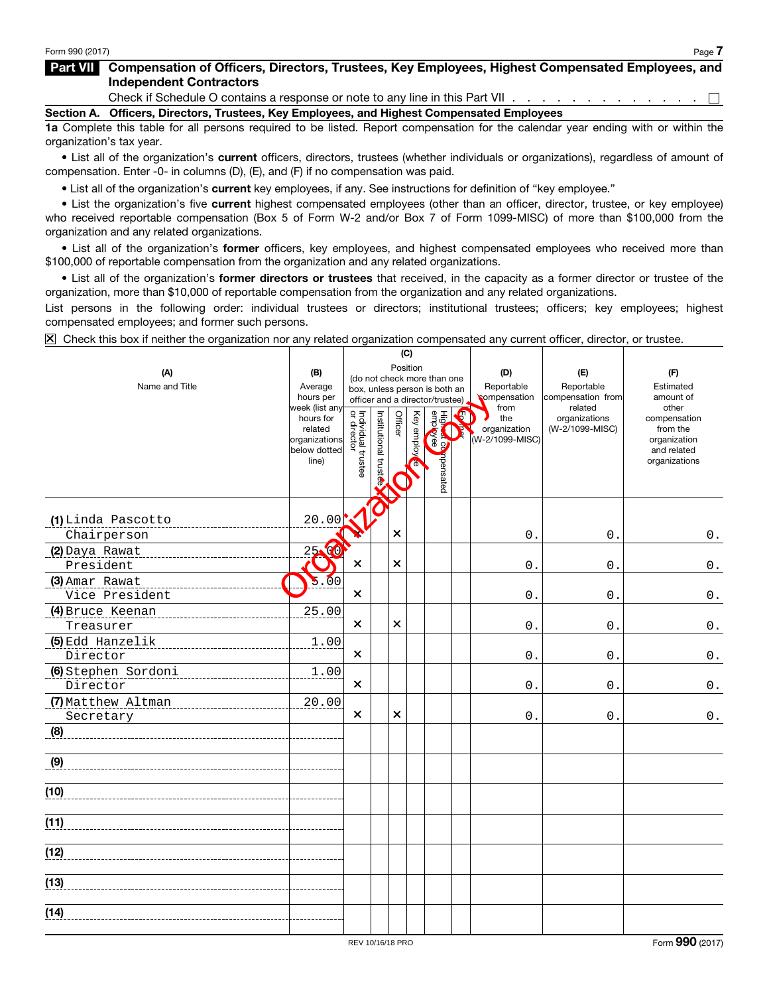# **Part VII Compensation of Officers, Directors, Trustees, Key Employees, Highest Compensated Employees, and Independent Contractors**

Check if Schedule O contains a response or note to any line in this Part VII . . . . . . . . . . . .  $\Box$ 

**Section A. Officers, Directors, Trustees, Key Employees, and Highest Compensated Employees**

**1a** Complete this table for all persons required to be listed. Report compensation for the calendar year ending with or within the organization's tax year.

• List all of the organization's **current** officers, directors, trustees (whether individuals or organizations), regardless of amount of compensation. Enter -0- in columns (D), (E), and (F) if no compensation was paid.

• List all of the organization's **current** key employees, if any. See instructions for definition of "key employee."

• List the organization's five **current** highest compensated employees (other than an officer, director, trustee, or key employee) who received reportable compensation (Box 5 of Form W-2 and/or Box 7 of Form 1099-MISC) of more than \$100,000 from the organization and any related organizations.

• List all of the organization's **former** officers, key employees, and highest compensated employees who received more than \$100,000 of reportable compensation from the organization and any related organizations.

• List all of the organization's **former directors or trustees** that received, in the capacity as a former director or trustee of the organization, more than \$10,000 of reportable compensation from the organization and any related organizations.

List persons in the following order: individual trustees or directors; institutional trustees; officers; key employees; highest compensated employees; and former such persons.

 $\Sigma$  Check this box if neither the organization nor any related organization compensated any current officer, director, or trustee.

|                     |                             |                                   |                                                              | (C)      |            |                                          |           |                                 |                              |                             |
|---------------------|-----------------------------|-----------------------------------|--------------------------------------------------------------|----------|------------|------------------------------------------|-----------|---------------------------------|------------------------------|-----------------------------|
| (A)                 | (B)                         |                                   |                                                              | Position |            |                                          |           | (D)                             | (E)                          | (F)                         |
| Name and Title      | Average                     |                                   | (do not check more than one<br>box, unless person is both an |          | Reportable | Reportable                               | Estimated |                                 |                              |                             |
|                     | hours per<br>week (list any |                                   |                                                              |          |            | officer and a director/trustee)          |           | compensation<br>from            | compensation from<br>related | amount of<br>other          |
|                     | hours for                   |                                   |                                                              | Officer  |            |                                          | C         | the                             | organizations                | compensation                |
|                     | related<br>organizations    |                                   |                                                              |          |            |                                          |           | organization<br>(W-2/1099-MISC) | (W-2/1099-MISC)              | from the                    |
|                     | below dotted                |                                   |                                                              |          | Key employ |                                          |           |                                 |                              | organization<br>and related |
|                     | line)                       | Individual trustee<br>or director | Institutional truste                                         |          |            |                                          |           |                                 |                              | organizations               |
|                     |                             |                                   |                                                              |          |            | Hig <b>her( con</b> pensated<br>employee |           |                                 |                              |                             |
|                     |                             |                                   |                                                              |          |            |                                          |           |                                 |                              |                             |
| (1) Linda Pascotto  | 20.00                       |                                   |                                                              |          |            |                                          |           |                                 |                              |                             |
| Chairperson         |                             |                                   |                                                              | ×        |            |                                          |           | 0.                              | $0$ .                        | $0$ .                       |
| (2) Daya Rawat      | 25.90                       |                                   |                                                              |          |            |                                          |           |                                 |                              |                             |
| President           |                             | ×                                 |                                                              | $\times$ |            |                                          |           | 0.                              | 0.                           | $0$ .                       |
| (3) Amar Rawat      | 5.00                        |                                   |                                                              |          |            |                                          |           |                                 |                              |                             |
| Vice President      |                             | $\times$                          |                                                              |          |            |                                          |           | 0.                              | $0$ .                        | $0$ .                       |
| (4) Bruce Keenan    | 25.00                       |                                   |                                                              |          |            |                                          |           |                                 |                              |                             |
| Treasurer           |                             | $\boldsymbol{\mathsf{x}}$         |                                                              | $\times$ |            |                                          |           | 0.                              | $0$ .                        | $0$ .                       |
| (5) Edd Hanzelik    | 1.00                        |                                   |                                                              |          |            |                                          |           |                                 |                              |                             |
| Director            |                             | $\pmb{\times}$                    |                                                              |          |            |                                          |           | $0$ .                           | $0$ .                        | $0$ .                       |
| (6) Stephen Sordoni | 1.00                        |                                   |                                                              |          |            |                                          |           |                                 |                              |                             |
| Director            |                             | $\times$                          |                                                              |          |            |                                          |           | 0.                              | 0.                           | $0$ .                       |
| (7) Matthew Altman  | 20.00                       |                                   |                                                              |          |            |                                          |           |                                 |                              |                             |
| Secretary           |                             | $\times$                          |                                                              | $\times$ |            |                                          |           | 0.                              | $0$ .                        | $0$ .                       |
| (8)                 |                             |                                   |                                                              |          |            |                                          |           |                                 |                              |                             |
| (9)                 |                             |                                   |                                                              |          |            |                                          |           |                                 |                              |                             |
|                     |                             |                                   |                                                              |          |            |                                          |           |                                 |                              |                             |
| (10)                |                             |                                   |                                                              |          |            |                                          |           |                                 |                              |                             |
|                     |                             |                                   |                                                              |          |            |                                          |           |                                 |                              |                             |
| (11)                |                             |                                   |                                                              |          |            |                                          |           |                                 |                              |                             |
|                     |                             |                                   |                                                              |          |            |                                          |           |                                 |                              |                             |
| (12)                |                             |                                   |                                                              |          |            |                                          |           |                                 |                              |                             |
| (13)                |                             |                                   |                                                              |          |            |                                          |           |                                 |                              |                             |
|                     |                             |                                   |                                                              |          |            |                                          |           |                                 |                              |                             |
| (14)                |                             |                                   |                                                              |          |            |                                          |           |                                 |                              |                             |
|                     |                             |                                   |                                                              |          |            |                                          |           |                                 |                              |                             |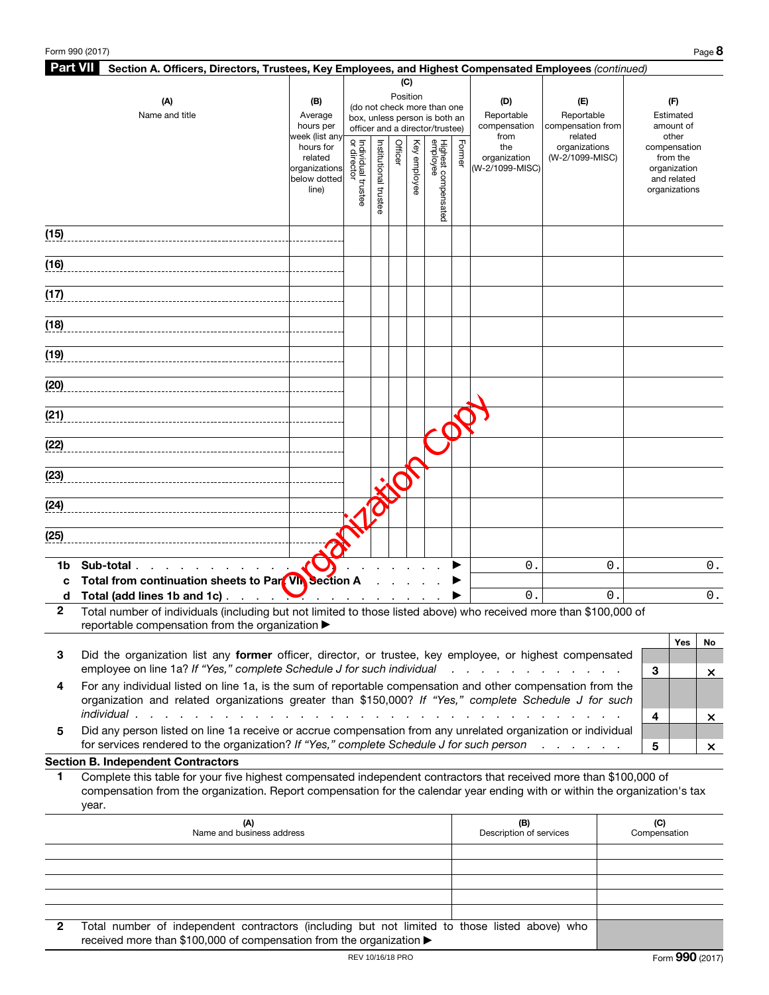| Form 990 (2017)                   |                                                                                                                   |                                                                |                                   |                       |          |              |                                 |        |                                        |                                  | Page 8                                                                   |
|-----------------------------------|-------------------------------------------------------------------------------------------------------------------|----------------------------------------------------------------|-----------------------------------|-----------------------|----------|--------------|---------------------------------|--------|----------------------------------------|----------------------------------|--------------------------------------------------------------------------|
| Part VII                          | Section A. Officers, Directors, Trustees, Key Employees, and Highest Compensated Employees (continued)            |                                                                |                                   |                       |          |              |                                 |        |                                        |                                  |                                                                          |
|                                   |                                                                                                                   |                                                                |                                   |                       | (C)      |              |                                 |        |                                        |                                  |                                                                          |
|                                   | (A)                                                                                                               | (B)                                                            |                                   |                       | Position |              | (do not check more than one     |        | (D)                                    | (E)                              | (F)                                                                      |
|                                   | Name and title                                                                                                    | Average                                                        |                                   |                       |          |              | box, unless person is both an   |        | Reportable                             | Reportable                       | Estimated                                                                |
|                                   |                                                                                                                   | hours per<br>week (list any                                    |                                   |                       |          |              | officer and a director/trustee) |        | compensation<br>from                   | compensation from<br>related     | amount of<br>other                                                       |
|                                   |                                                                                                                   | hours for<br>related<br>organizations<br>below dotted<br>line) | Individual trustee<br>or director | Institutional trustee | Officer  | Key employee | Highest compensated<br>employee | Former | the<br>organization<br>(W-2/1099-MISC) | organizations<br>(W-2/1099-MISC) | compensation<br>from the<br>organization<br>and related<br>organizations |
| (15)                              |                                                                                                                   |                                                                |                                   |                       |          |              |                                 |        |                                        |                                  |                                                                          |
| (16)                              |                                                                                                                   |                                                                |                                   |                       |          |              |                                 |        |                                        |                                  |                                                                          |
| (17)                              |                                                                                                                   |                                                                |                                   |                       |          |              |                                 |        |                                        |                                  |                                                                          |
| (18)                              |                                                                                                                   |                                                                |                                   |                       |          |              |                                 |        |                                        |                                  |                                                                          |
| (19)                              |                                                                                                                   |                                                                |                                   |                       |          |              |                                 |        |                                        |                                  |                                                                          |
| (20)                              |                                                                                                                   |                                                                |                                   |                       |          |              |                                 |        |                                        |                                  |                                                                          |
| (21)                              |                                                                                                                   |                                                                |                                   |                       |          |              |                                 |        |                                        |                                  |                                                                          |
| (22)                              |                                                                                                                   |                                                                |                                   |                       |          |              |                                 |        |                                        |                                  |                                                                          |
| (23)                              |                                                                                                                   |                                                                |                                   |                       |          |              |                                 |        |                                        |                                  |                                                                          |
| (24)                              |                                                                                                                   |                                                                |                                   |                       |          |              |                                 |        |                                        |                                  |                                                                          |
| (25)                              |                                                                                                                   |                                                                |                                   |                       |          |              |                                 |        |                                        |                                  |                                                                          |
| Sub-total.<br>1b                  |                                                                                                                   |                                                                |                                   |                       |          |              |                                 |        | $\mathsf{0}$ .                         | 0.                               | $0$ .                                                                    |
| C                                 | Total from continuation sheets to Part VN, Section A                                                              |                                                                |                                   |                       |          |              |                                 |        |                                        |                                  |                                                                          |
| Total (add lines 1b and 1c).<br>d | $\sim$ $\sim$<br><b>Contractor</b>                                                                                |                                                                |                                   |                       |          |              |                                 |        | $\mathsf{O}\,$ .                       | 0.                               | $0$ .                                                                    |
| $\mathbf{2}$                      | Total number of individuals (including but not limited to those listed above) who received more than \$100,000 of |                                                                |                                   |                       |          |              |                                 |        |                                        |                                  |                                                                          |

reportable compensation from the organization  $\blacktriangleright$ 

|                                                                                                                                                                                                                      |   | Yes |  |
|----------------------------------------------------------------------------------------------------------------------------------------------------------------------------------------------------------------------|---|-----|--|
| Did the organization list any former officer, director, or trustee, key employee, or highest compensated                                                                                                             |   |     |  |
| employee on line 1a? If "Yes," complete Schedule J for such individual response to response the set of the set                                                                                                       |   |     |  |
| For any individual listed on line 1a, is the sum of reportable compensation and other compensation from the<br>organization and related organizations greater than \$150,000? If "Yes," complete Schedule J for such |   |     |  |
|                                                                                                                                                                                                                      |   |     |  |
| Did any person listed on line 1a receive or accrue compensation from any unrelated organization or individual                                                                                                        |   |     |  |
| for services rendered to the organization? If "Yes," complete Schedule J for such person                                                                                                                             | 5 |     |  |

### **Section B. Independent Contractors**

**1** Complete this table for your five highest compensated independent contractors that received more than \$100,000 of compensation from the organization. Report compensation for the calendar year ending with or within the organization's tax year.

|              | (A)<br>Name and business address                                                                                                                                      | (B)<br>Description of services | (C)<br>Compensation |
|--------------|-----------------------------------------------------------------------------------------------------------------------------------------------------------------------|--------------------------------|---------------------|
|              |                                                                                                                                                                       |                                |                     |
|              |                                                                                                                                                                       |                                |                     |
|              |                                                                                                                                                                       |                                |                     |
|              |                                                                                                                                                                       |                                |                     |
|              |                                                                                                                                                                       |                                |                     |
| $\mathbf{2}$ | Total number of independent contractors (including but not limited to those listed above) who<br>received more than \$100,000 of compensation from the organization ▶ |                                |                     |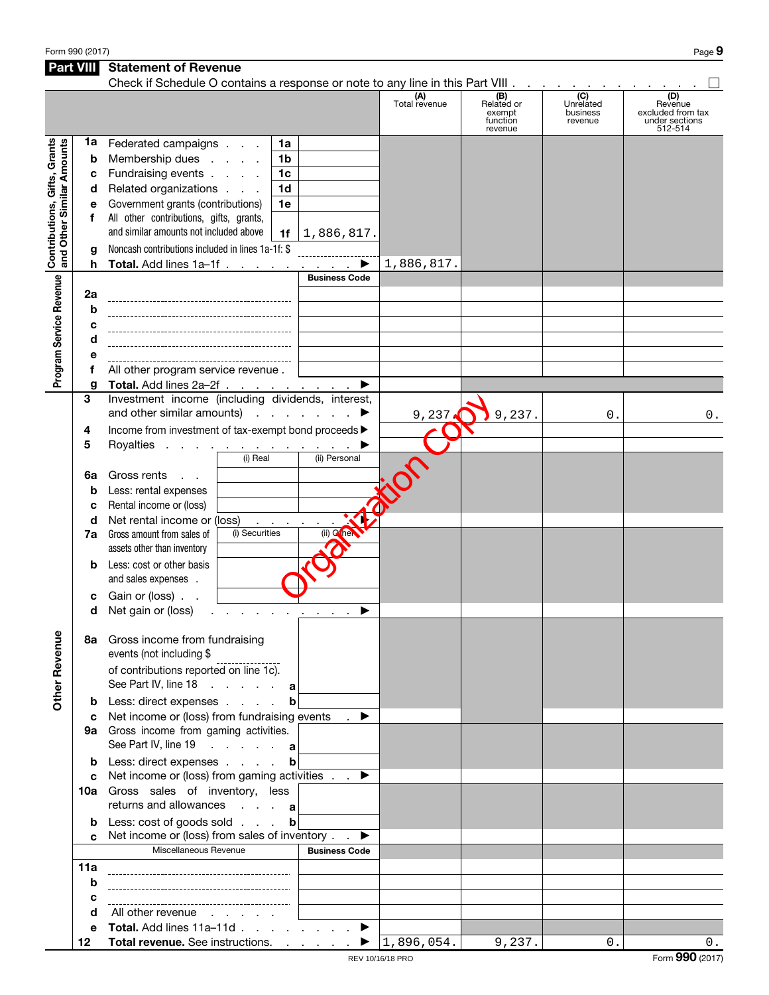Form 990 (2017) Page **9** 

**Part VIII Statement of Revenue** 

#### Check if Schedule O contains a response or note to any line in this Part VIII . .  $\Box$ **(D) (A)**  Total revenue **(B)**  Related or **(C)**  Unrelated Revenue excluded from tax business exempt function revenue under sections revenue 512-514 **Contributions, Gifts, Grants Contributions, Gifts, Grants**<br>and Other Similar Amounts **1a** Federated campaigns . . . **1a and Other Similar Amounts b** Membership dues .... **1b c** Fundraising events .... **1c d** Related organizations . . . **1d e** Government grants (contributions) **1e f** All other contributions, gifts, grants, and similar amounts not included above | 1f 1,886,817. **g** Noncash contributions included in lines 1a-1f: \$ 1,886,817. **h Total.** Add lines 1a–1f . . . . . . . . . ▶ Program Service Revenue **Business Code Program Service Revenue 2a b c d e f** All other program service revenue . **g Total.** Add lines 2a–2f . . . . . <u>. . . . ▶</u> **3** Investment income (including dividends, interest, Organization Copyand other similar amounts)  $\ldots$  . . . .  $\blacktriangleright$ 9,237.  $\bigcup_{9.237.} 9.237.$  0. 4 Income from investment of tax-exempt bond proceeds  $\blacktriangleright$ **5** Royalties . . . . . . . . . . . . ▶ (i) Real (ii) Personal **6a** Gross rents . . **b** Less: rental expenses **c** Rental income or (loss) **d** Net rental income or (loss) . . . . . . . a (i) Securities (ii) Other **7a** Gross amount from sales of assets other than inventory **b** Less: cost or other basis and sales expenses . **c** Gain or (loss) . . **d** Net gain or (loss) . . . . . . . . . ▶ Other Revenue **Other Revenue 8a** Gross income from fundraising events (not including \$ of contributions reported on line 1c). See Part IV, line 18 . . . . . **a b** Less: direct expenses .... **b c** Net income or (loss) from fundraising events .  $\blacktriangleright$ **9a** Gross income from gaming activities. See Part IV, line 19 . . . . . **a b** Less: direct expenses .... **b c** Net income or (loss) from gaming activities  $\cdot$   $\cdot$ **10a** Gross sales of inventory, less returns and allowances . . . **a b** Less: cost of goods sold . . . **b c** Net income or (loss) from sales of inventory . .  $\blacktriangleright$ Miscellaneous Revenue **Business Code 11a b c d** All other revenue . . . . . **e** Total. Add lines 11a–11d . . . . . . . . ▶  $|1,896,054.$  9,237. 0. 0. **12 Total revenue.** See instructions. . . . . . ▶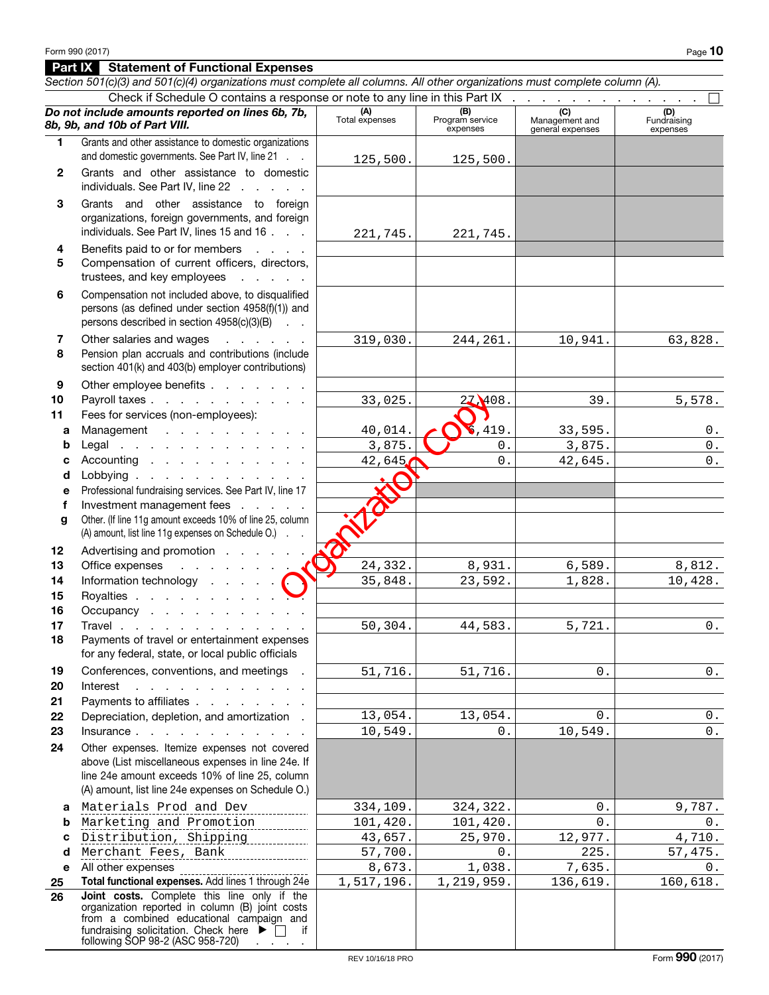# **Part IX Statement of Functional Expenses**

Section 501(c)(3) and 501(c)(4) organizations must complete all columns. All other organizations must complete column (A). Check if Schedule O contains a response or note to any line in this Part IX . . . . . . . . . . . . . . . .

| Check if Schedule O contains a response or note to any line in this Part IX<br>the contract of the contract of |                                                                                                                                                                                                                                                      |                       |                                    |                                           |                                |  |  |  |
|----------------------------------------------------------------------------------------------------------------|------------------------------------------------------------------------------------------------------------------------------------------------------------------------------------------------------------------------------------------------------|-----------------------|------------------------------------|-------------------------------------------|--------------------------------|--|--|--|
|                                                                                                                | Do not include amounts reported on lines 6b, 7b,<br>8b, 9b, and 10b of Part VIII.                                                                                                                                                                    | (A)<br>Total expenses | (B)<br>Program service<br>expenses | (C)<br>Management and<br>general expenses | (D)<br>Fundraising<br>expenses |  |  |  |
| 1                                                                                                              | Grants and other assistance to domestic organizations<br>and domestic governments. See Part IV, line 21                                                                                                                                              | 125,500.              | 125,500.                           |                                           |                                |  |  |  |
| $\mathbf{2}$                                                                                                   | Grants and other assistance to domestic<br>individuals. See Part IV, line 22<br><b>Contractor</b> Contractor                                                                                                                                         |                       |                                    |                                           |                                |  |  |  |
| 3                                                                                                              | Grants and other assistance to foreign<br>organizations, foreign governments, and foreign<br>individuals. See Part IV, lines 15 and 16                                                                                                               | 221,745.              | 221,745.                           |                                           |                                |  |  |  |
| 4<br>5                                                                                                         | Benefits paid to or for members<br><b>Service Control</b><br>Compensation of current officers, directors,<br>trustees, and key employees<br>and a strategic and                                                                                      |                       |                                    |                                           |                                |  |  |  |
| 6                                                                                                              | Compensation not included above, to disqualified<br>persons (as defined under section 4958(f)(1)) and<br>persons described in section 4958(c)(3)(B)<br>$\mathbf{r} = \mathbf{r}$                                                                     |                       |                                    |                                           |                                |  |  |  |
| 7<br>8                                                                                                         | Other salaries and wages<br>and a state<br>Pension plan accruals and contributions (include<br>section 401(k) and 403(b) employer contributions)                                                                                                     | 319,030.              | 244, 261.                          | 10,941.                                   | 63,828.                        |  |  |  |
| 9                                                                                                              | Other employee benefits                                                                                                                                                                                                                              |                       |                                    |                                           |                                |  |  |  |
| 10                                                                                                             | Payroll taxes                                                                                                                                                                                                                                        | 33,025.               | 27 <b>\</b> 408.                   | 39.                                       | 5,578.                         |  |  |  |
| 11                                                                                                             | Fees for services (non-employees):                                                                                                                                                                                                                   |                       |                                    |                                           |                                |  |  |  |
| а                                                                                                              | Management                                                                                                                                                                                                                                           | 40,014.               | 6,419.                             | 33,595.                                   | 0.                             |  |  |  |
| b                                                                                                              | Legal                                                                                                                                                                                                                                                | 3,875.                | 0.                                 | 3,875.                                    | $0$ .                          |  |  |  |
| c                                                                                                              | Accounting                                                                                                                                                                                                                                           | 42,645 $\sim$         | 0.                                 | 42,645.                                   | $0$ .                          |  |  |  |
|                                                                                                                |                                                                                                                                                                                                                                                      |                       |                                    |                                           |                                |  |  |  |
| d                                                                                                              | Lobbying                                                                                                                                                                                                                                             |                       |                                    |                                           |                                |  |  |  |
| е                                                                                                              | Professional fundraising services. See Part IV, line 17                                                                                                                                                                                              |                       |                                    |                                           |                                |  |  |  |
| f                                                                                                              | Investment management fees                                                                                                                                                                                                                           |                       |                                    |                                           |                                |  |  |  |
| g                                                                                                              | Other. (If line 11g amount exceeds 10% of line 25, column                                                                                                                                                                                            |                       |                                    |                                           |                                |  |  |  |
|                                                                                                                | (A) amount, list line 11g expenses on Schedule O.)                                                                                                                                                                                                   |                       |                                    |                                           |                                |  |  |  |
| 12                                                                                                             | Advertising and promotion                                                                                                                                                                                                                            |                       |                                    |                                           |                                |  |  |  |
| 13                                                                                                             | Office expenses                                                                                                                                                                                                                                      | 24,332.               | 8,931.                             | 6,589.                                    | 8,812.                         |  |  |  |
| 14                                                                                                             | Information technology                                                                                                                                                                                                                               | 35,848.               | 23,592.                            | 1,828.                                    | 10,428.                        |  |  |  |
| 15                                                                                                             | Royalties                                                                                                                                                                                                                                            |                       |                                    |                                           |                                |  |  |  |
| 16                                                                                                             | Occupancy                                                                                                                                                                                                                                            |                       |                                    |                                           |                                |  |  |  |
| 17                                                                                                             | Travel                                                                                                                                                                                                                                               | 50,304.               | 44,583.                            | 5,721.                                    | 0.                             |  |  |  |
| 18                                                                                                             | Payments of travel or entertainment expenses<br>for any federal, state, or local public officials                                                                                                                                                    |                       |                                    |                                           |                                |  |  |  |
| 19                                                                                                             | Conferences, conventions, and meetings                                                                                                                                                                                                               | 51,716.               | 51,716.                            | 0.                                        | 0.                             |  |  |  |
| 20                                                                                                             | Interest<br>the contract of the contract of the contract of the contract of the contract of the contract of the contract of                                                                                                                          |                       |                                    |                                           |                                |  |  |  |
| 21                                                                                                             | Payments to affiliates                                                                                                                                                                                                                               |                       |                                    |                                           |                                |  |  |  |
| 22                                                                                                             | Depreciation, depletion, and amortization.                                                                                                                                                                                                           | 13,054.               | 13,054.                            | 0.                                        | $0$ .                          |  |  |  |
| 23                                                                                                             | Insurance                                                                                                                                                                                                                                            | 10,549.               | 0.                                 | 10,549.                                   | $\mathsf 0$ .                  |  |  |  |
| 24                                                                                                             | Other expenses. Itemize expenses not covered                                                                                                                                                                                                         |                       |                                    |                                           |                                |  |  |  |
|                                                                                                                | above (List miscellaneous expenses in line 24e. If<br>line 24e amount exceeds 10% of line 25, column<br>(A) amount, list line 24e expenses on Schedule O.)                                                                                           |                       |                                    |                                           |                                |  |  |  |
| а                                                                                                              | Materials Prod and Dev                                                                                                                                                                                                                               | 334,109.              | 324,322.                           | 0.                                        | 9,787.                         |  |  |  |
| b                                                                                                              | Marketing and Promotion                                                                                                                                                                                                                              | 101,420.              | 101,420.                           | 0.                                        | 0.                             |  |  |  |
| с                                                                                                              | Distribution, Shipping                                                                                                                                                                                                                               | 43,657.               | 25,970.                            | 12,977.                                   | 4,710.                         |  |  |  |
| d                                                                                                              | Merchant Fees, Bank                                                                                                                                                                                                                                  | 57,700.               | 0.                                 | 225.                                      | 57,475.                        |  |  |  |
| е                                                                                                              | All other expenses                                                                                                                                                                                                                                   | 8,673.                | 1,038.                             | 7,635.                                    | 0.                             |  |  |  |
| 25                                                                                                             | Total functional expenses. Add lines 1 through 24e                                                                                                                                                                                                   | 1,517,196.            | 1,219,959.                         | 136,619.                                  | 160,618.                       |  |  |  |
| 26                                                                                                             | Joint costs. Complete this line only if the<br>organization reported in column (B) joint costs<br>from a combined educational campaign and<br>fundraising solicitation. Check here $\blacktriangleright \Box$ if<br>following SOP 98-2 (ASC 958-720) |                       |                                    |                                           |                                |  |  |  |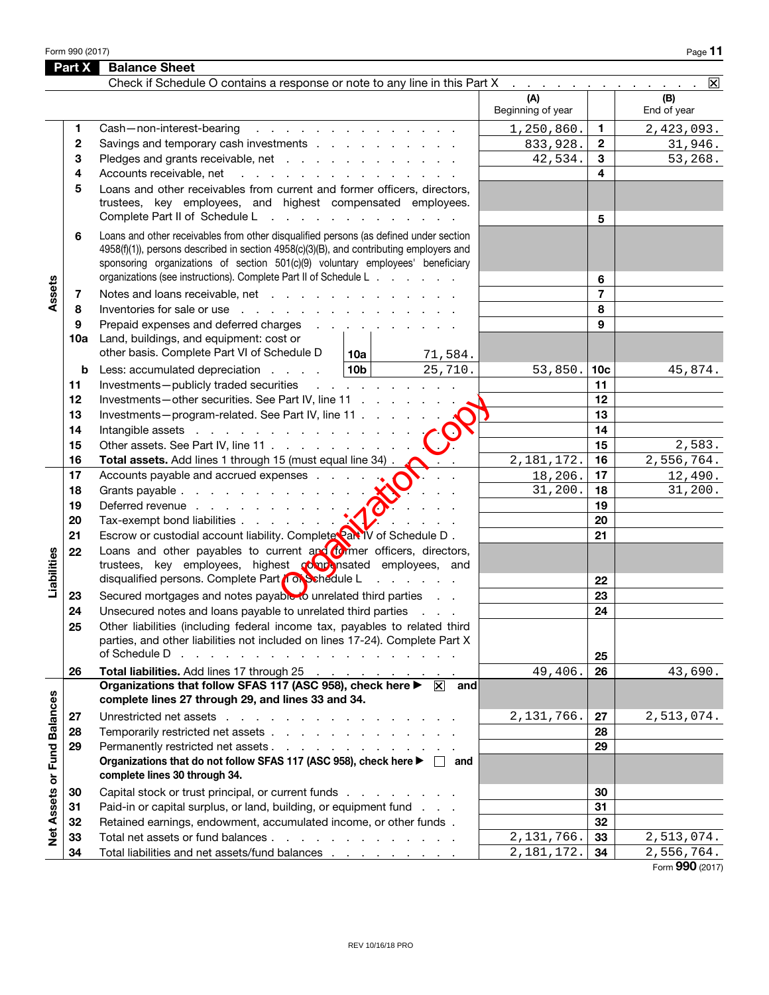Form 990 (2017) Page **11** 

|                             | Part X       | <b>Balance Sheet</b>                                                                                                                                                                                                                                                                                                                   |                          |                 |                    |
|-----------------------------|--------------|----------------------------------------------------------------------------------------------------------------------------------------------------------------------------------------------------------------------------------------------------------------------------------------------------------------------------------------|--------------------------|-----------------|--------------------|
|                             |              | Check if Schedule O contains a response or note to any line in this Part X x x x x x x x x x x x x x x x x x x                                                                                                                                                                                                                         |                          |                 | $\mathbf{\Sigma}$  |
|                             |              |                                                                                                                                                                                                                                                                                                                                        | (A)<br>Beginning of year |                 | (B)<br>End of year |
|                             | 1            | Cash-non-interest-bearing<br>and the contract of the contract of the contract of                                                                                                                                                                                                                                                       | 1,250,860.               | $\mathbf{1}$    | 2,423,093.         |
|                             | $\mathbf{2}$ | Savings and temporary cash investments                                                                                                                                                                                                                                                                                                 | 833,928.                 | $\mathbf{2}$    | 31,946.            |
|                             | 3            | Pledges and grants receivable, net                                                                                                                                                                                                                                                                                                     | 42,534.                  | 3               | 53,268.            |
|                             | 4            | Accounts receivable, net<br>the contract of the contract of the contract of                                                                                                                                                                                                                                                            |                          | 4               |                    |
|                             | 5            | Loans and other receivables from current and former officers, directors,<br>trustees, key employees, and highest compensated employees.<br>Complete Part II of Schedule L<br>the contract of the contract of the contract of                                                                                                           |                          | 5               |                    |
|                             | 6            | Loans and other receivables from other disqualified persons (as defined under section<br>4958(f)(1)), persons described in section 4958(c)(3)(B), and contributing employers and<br>sponsoring organizations of section 501(c)(9) voluntary employees' beneficiary<br>organizations (see instructions). Complete Part II of Schedule L |                          | 6               |                    |
| Assets                      | 7            | Notes and loans receivable, net                                                                                                                                                                                                                                                                                                        |                          | 7               |                    |
|                             | 8            | Inventories for sale or use recognized and the same state of the sale of the sale of the sale of the sale of the sale of the sale of the sale of the sale of the sale of the sale of the sale of the sale of the sale of the s                                                                                                         |                          | 8               |                    |
|                             | 9            | Prepaid expenses and deferred charges                                                                                                                                                                                                                                                                                                  |                          | 9               |                    |
|                             | 10a          | Land, buildings, and equipment: cost or<br>other basis. Complete Part VI of Schedule D<br>10a l<br>71,584.                                                                                                                                                                                                                             |                          |                 |                    |
|                             | b            | 10 <sub>b</sub><br>25,710.<br>Less: accumulated depreciation                                                                                                                                                                                                                                                                           | 53,850.                  | 10 <sub>c</sub> | 45,874.            |
|                             | 11           | Investments-publicly traded securities<br>and a strong contract and a                                                                                                                                                                                                                                                                  |                          | 11              |                    |
|                             | 12           | Investments-other securities. See Part IV, line 11                                                                                                                                                                                                                                                                                     |                          | 12              |                    |
|                             | 13           | Investments-program-related. See Part IV, line 11                                                                                                                                                                                                                                                                                      |                          | 13              |                    |
|                             | 14           | Intangible assets $\cdots$ $\cdots$ $\cdots$ $\cdots$ $\cdots$ $\cdots$                                                                                                                                                                                                                                                                |                          | 14              |                    |
|                             | 15           |                                                                                                                                                                                                                                                                                                                                        |                          | 15              | 2,583.             |
|                             | 16           | Total assets. Add lines 1 through 15 (must equal line 34).                                                                                                                                                                                                                                                                             | 2, 181, 172.             | 16              | 2,556,764.         |
|                             | 17           | Accounts payable and accrued expenses                                                                                                                                                                                                                                                                                                  | 18,206.                  | 17              | 12,490.            |
|                             | 18           | Grants payable $\ldots$ $\ldots$ $\ldots$ $\ldots$ $\star$                                                                                                                                                                                                                                                                             | 31,200.                  | 18              | 31,200.            |
|                             | 19           |                                                                                                                                                                                                                                                                                                                                        |                          | 19              |                    |
|                             | 20           |                                                                                                                                                                                                                                                                                                                                        |                          | 20              |                    |
|                             | 21           | Escrow or custodial account liability. Complete Part IV of Schedule D.                                                                                                                                                                                                                                                                 |                          | 21              |                    |
| Liabilities                 | 22           | Loans and other payables to current and reviner officers, directors,<br>trustees, key employees, highest gompensated employees, and                                                                                                                                                                                                    |                          |                 |                    |
|                             |              | disqualified persons. Complete Part not Schedule L<br>state and states                                                                                                                                                                                                                                                                 |                          | 22              |                    |
|                             | 23           | Secured mortgages and notes payable to unrelated third parties                                                                                                                                                                                                                                                                         |                          | 23              |                    |
|                             | 24           | Unsecured notes and loans payable to unrelated third parties                                                                                                                                                                                                                                                                           |                          | 24              |                    |
|                             | 25           | Other liabilities (including federal income tax, payables to related third<br>parties, and other liabilities not included on lines 17-24). Complete Part X<br>of Schedule D                                                                                                                                                            |                          |                 |                    |
|                             |              |                                                                                                                                                                                                                                                                                                                                        |                          | 25              |                    |
|                             | 26           | Total liabilities. Add lines 17 through 25                                                                                                                                                                                                                                                                                             | 49,406.                  | 26              | 43,690.            |
|                             |              | Organizations that follow SFAS 117 (ASC 958), check here $\blacktriangleright \; \mathbb{X}$ and<br>complete lines 27 through 29, and lines 33 and 34.                                                                                                                                                                                 |                          |                 |                    |
|                             | 27           | Unrestricted net assets                                                                                                                                                                                                                                                                                                                | 2,131,766.               | 27              | 2,513,074.         |
|                             | 28           | Temporarily restricted net assets                                                                                                                                                                                                                                                                                                      |                          | 28              |                    |
|                             | 29           | Permanently restricted net assets                                                                                                                                                                                                                                                                                                      |                          | 29              |                    |
| Net Assets or Fund Balances |              | Organizations that do not follow SFAS 117 (ASC 958), check here ▶ □ and<br>complete lines 30 through 34.                                                                                                                                                                                                                               |                          |                 |                    |
|                             | 30           | Capital stock or trust principal, or current funds                                                                                                                                                                                                                                                                                     |                          | 30              |                    |
|                             | 31           | Paid-in or capital surplus, or land, building, or equipment fund                                                                                                                                                                                                                                                                       |                          | 31              |                    |
|                             | 32           | Retained earnings, endowment, accumulated income, or other funds.                                                                                                                                                                                                                                                                      |                          | 32              |                    |
|                             | 33           | Total net assets or fund balances                                                                                                                                                                                                                                                                                                      | 2, 131, 766.             | 33              | 2,513,074.         |
|                             | 34           | Total liabilities and net assets/fund balances                                                                                                                                                                                                                                                                                         | 2, 181, 172.             | 34              | 2,556,764.         |

Form **990** (2017)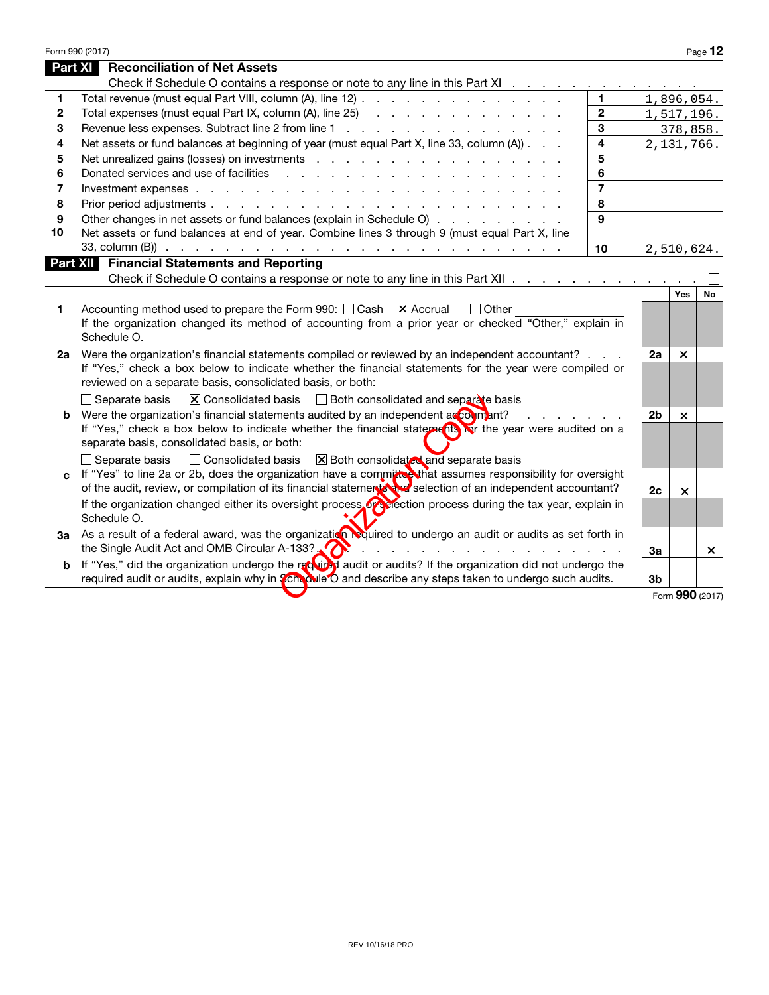|    | Form 990 (2017)                                                                                                                                                                                                                |                |                |                           | Page 12 |
|----|--------------------------------------------------------------------------------------------------------------------------------------------------------------------------------------------------------------------------------|----------------|----------------|---------------------------|---------|
|    | <b>Part XI</b><br><b>Reconciliation of Net Assets</b>                                                                                                                                                                          |                |                |                           |         |
|    | Check if Schedule O contains a response or note to any line in this Part XI                                                                                                                                                    |                |                |                           |         |
| 1  | Total revenue (must equal Part VIII, column (A), line 12)                                                                                                                                                                      | $\mathbf{1}$   |                | 1,896,054.                |         |
| 2  | Total expenses (must equal Part IX, column (A), line 25) (and a subset of the set of the set of the set of the set of the set of the set of the set of the set of the set of the set of the set of the set of the set of the s | $\mathbf{2}$   |                | 1,517,196.                |         |
| 3  |                                                                                                                                                                                                                                | 3              |                | 378,858.                  |         |
| 4  | Net assets or fund balances at beginning of year (must equal Part X, line 33, column (A)).                                                                                                                                     | 4              |                | 2,131,766.                |         |
| 5  |                                                                                                                                                                                                                                | 5              |                |                           |         |
| 6  | Donated services and use of facilities                                                                                                                                                                                         | 6              |                |                           |         |
| 7  |                                                                                                                                                                                                                                | $\overline{7}$ |                |                           |         |
| 8  |                                                                                                                                                                                                                                | 8              |                |                           |         |
| 9  | Other changes in net assets or fund balances (explain in Schedule O)                                                                                                                                                           | 9              |                |                           |         |
| 10 | Net assets or fund balances at end of year. Combine lines 3 through 9 (must equal Part X, line                                                                                                                                 |                |                |                           |         |
|    | 33, column (B)) $\cdots$ $\cdots$ $\cdots$ $\cdots$ $\cdots$ $\cdots$ $\cdots$ $\cdots$ $\cdots$ $\cdots$ $\cdots$ $\cdots$                                                                                                    | 10             |                | 2,510,624.                |         |
|    | <b>Part XII Financial Statements and Reporting</b>                                                                                                                                                                             |                |                |                           |         |
|    | Check if Schedule O contains a response or note to any line in this Part XII                                                                                                                                                   |                |                |                           |         |
|    |                                                                                                                                                                                                                                |                |                | <b>Yes</b>                | No      |
| 1  | Accounting method used to prepare the Form 990: □ Cash × 区 Accrual<br>$\Box$ Other                                                                                                                                             |                |                |                           |         |
|    | If the organization changed its method of accounting from a prior year or checked "Other," explain in<br>Schedule O.                                                                                                           |                |                |                           |         |
|    |                                                                                                                                                                                                                                |                |                |                           |         |
| 2а | Were the organization's financial statements compiled or reviewed by an independent accountant?                                                                                                                                |                | 2a             | $\times$                  |         |
|    | If "Yes," check a box below to indicate whether the financial statements for the year were compiled or<br>reviewed on a separate basis, consolidated basis, or both:                                                           |                |                |                           |         |
|    |                                                                                                                                                                                                                                |                |                |                           |         |
|    | $\Box$ Separate basis<br>$\boxed{\mathsf{X}}$ Consolidated basis $\boxed{\phantom{a}}$ Both consolidated and separate basis                                                                                                    |                |                |                           |         |
| b. | Were the organization's financial statements audited by an independent accountant?<br>If "Yes," check a box below to indicate whether the financial statements for the year were audited on a                                  |                | 2 <sub>b</sub> | $\boldsymbol{\mathsf{x}}$ |         |
|    | separate basis, consolidated basis, or both:                                                                                                                                                                                   |                |                |                           |         |
|    |                                                                                                                                                                                                                                |                |                |                           |         |
| C. | □ Consolidated basis ⊠ Both consolidated and separate basis<br>$\Box$ Separate basis<br>If "Yes" to line 2a or 2b, does the organization have a committed that assumes responsibility for oversight                            |                |                |                           |         |
|    | of the audit, review, or compilation of its financial statements and selection of an independent accountant?                                                                                                                   |                | 2c             |                           |         |
|    | If the organization changed either its oversight process of selection process during the tax year, explain in                                                                                                                  |                |                | $\boldsymbol{\mathsf{x}}$ |         |
|    | Schedule O.                                                                                                                                                                                                                    |                |                |                           |         |
| За | As a result of a federal award, was the organization required to undergo an audit or audits as set forth in                                                                                                                    |                |                |                           |         |
|    | the Single Audit Act and OMB Circular A-133? $\binom{1}{k}$                                                                                                                                                                    |                | 3a             |                           | ×.      |
| b  | If "Yes," did the organization undergo the required audit or audits? If the organization did not undergo the                                                                                                                   |                |                |                           |         |
|    | required audit or audits, explain why in <b>Schedule O</b> and describe any steps taken to undergo such audits.                                                                                                                |                | 3 <sub>b</sub> |                           |         |
|    |                                                                                                                                                                                                                                |                |                | Form 990 (2017)           |         |
|    |                                                                                                                                                                                                                                |                |                |                           |         |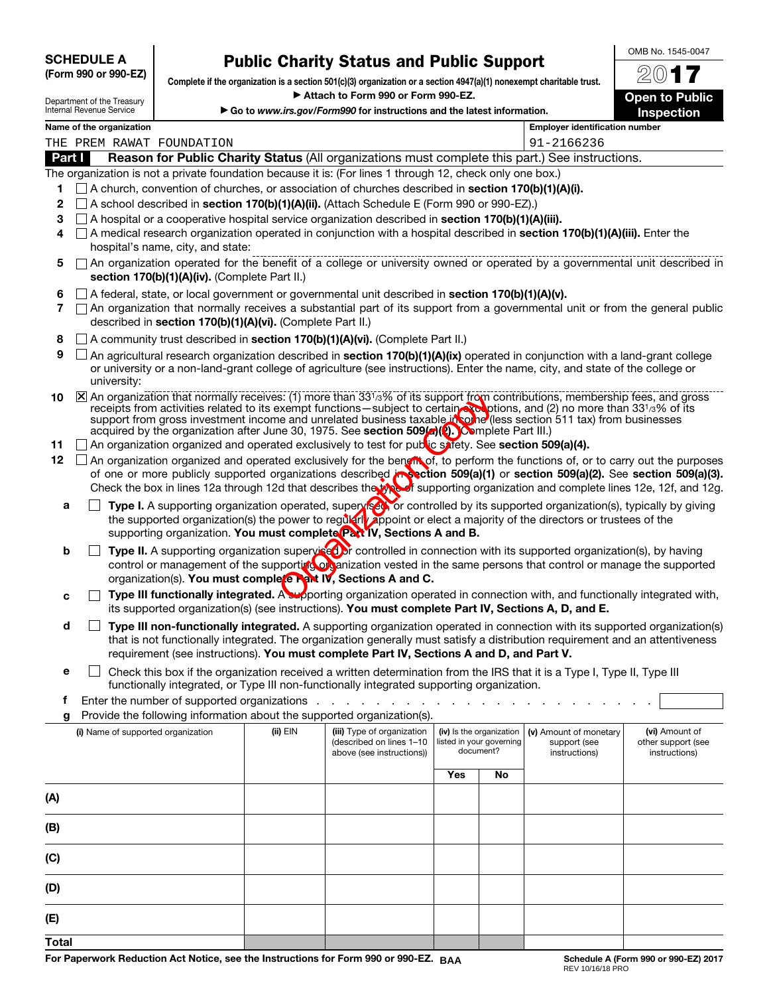**SCHEDULE A (Form 990 or 990-EZ)**

# **Public Charity Status and Public Support**

OMB No. 1545-0047

| Department of the Treasury |
|----------------------------|
| Internal Revenue Service   |

**Complete if the organization is a section 501(c)(3) organization or a section 4947(a)(1) nonexempt charitable trust.** a **Attach to Form 990 or Form 990-EZ.** 

▶ Go to *www.irs.gov/Form990* for instructions and the latest information.

**(C)**

**(D)**

**(E) Total**

| $20$ 17                                    |
|--------------------------------------------|
| <b>Open to Public</b><br><b>Inspection</b> |
|                                            |

| Name of the organization  |                                                                                                                                                                                                                                                                                                                                                       |  |                                                                                                                                                                                                                                                                                                                                                                                                                                                                                                                                                                                          |     |            | <b>Employer identification number</b> |  |  |
|---------------------------|-------------------------------------------------------------------------------------------------------------------------------------------------------------------------------------------------------------------------------------------------------------------------------------------------------------------------------------------------------|--|------------------------------------------------------------------------------------------------------------------------------------------------------------------------------------------------------------------------------------------------------------------------------------------------------------------------------------------------------------------------------------------------------------------------------------------------------------------------------------------------------------------------------------------------------------------------------------------|-----|------------|---------------------------------------|--|--|
| THE PREM RAWAT FOUNDATION |                                                                                                                                                                                                                                                                                                                                                       |  |                                                                                                                                                                                                                                                                                                                                                                                                                                                                                                                                                                                          |     | 91-2166236 |                                       |  |  |
| <b>Part I</b>             |                                                                                                                                                                                                                                                                                                                                                       |  | Reason for Public Charity Status (All organizations must complete this part.) See instructions.                                                                                                                                                                                                                                                                                                                                                                                                                                                                                          |     |            |                                       |  |  |
|                           |                                                                                                                                                                                                                                                                                                                                                       |  | The organization is not a private foundation because it is: (For lines 1 through 12, check only one box.)                                                                                                                                                                                                                                                                                                                                                                                                                                                                                |     |            |                                       |  |  |
| 1                         |                                                                                                                                                                                                                                                                                                                                                       |  | $\Box$ A church, convention of churches, or association of churches described in <b>section 170(b)(1)(A)(i).</b>                                                                                                                                                                                                                                                                                                                                                                                                                                                                         |     |            |                                       |  |  |
| 2                         |                                                                                                                                                                                                                                                                                                                                                       |  | A school described in section 170(b)(1)(A)(ii). (Attach Schedule E (Form 990 or 990-EZ).)                                                                                                                                                                                                                                                                                                                                                                                                                                                                                                |     |            |                                       |  |  |
| 3                         |                                                                                                                                                                                                                                                                                                                                                       |  | $\Box$ A hospital or a cooperative hospital service organization described in section 170(b)(1)(A)(iii).                                                                                                                                                                                                                                                                                                                                                                                                                                                                                 |     |            |                                       |  |  |
| 4                         |                                                                                                                                                                                                                                                                                                                                                       |  | A medical research organization operated in conjunction with a hospital described in section 170(b)(1)(A)(iii). Enter the                                                                                                                                                                                                                                                                                                                                                                                                                                                                |     |            |                                       |  |  |
|                           | hospital's name, city, and state:                                                                                                                                                                                                                                                                                                                     |  |                                                                                                                                                                                                                                                                                                                                                                                                                                                                                                                                                                                          |     |            |                                       |  |  |
| 5                         | section 170(b)(1)(A)(iv). (Complete Part II.)                                                                                                                                                                                                                                                                                                         |  | An organization operated for the benefit of a college or university owned or operated by a governmental unit described in                                                                                                                                                                                                                                                                                                                                                                                                                                                                |     |            |                                       |  |  |
| 6                         |                                                                                                                                                                                                                                                                                                                                                       |  | $\Box$ A federal, state, or local government or governmental unit described in section 170(b)(1)(A)(v).                                                                                                                                                                                                                                                                                                                                                                                                                                                                                  |     |            |                                       |  |  |
| 7                         | described in section 170(b)(1)(A)(vi). (Complete Part II.)                                                                                                                                                                                                                                                                                            |  | An organization that normally receives a substantial part of its support from a governmental unit or from the general public                                                                                                                                                                                                                                                                                                                                                                                                                                                             |     |            |                                       |  |  |
| 8                         |                                                                                                                                                                                                                                                                                                                                                       |  | A community trust described in section 170(b)(1)(A)(vi). (Complete Part II.)                                                                                                                                                                                                                                                                                                                                                                                                                                                                                                             |     |            |                                       |  |  |
| 9                         |                                                                                                                                                                                                                                                                                                                                                       |  | An agricultural research organization described in section 170(b)(1)(A)(ix) operated in conjunction with a land-grant college                                                                                                                                                                                                                                                                                                                                                                                                                                                            |     |            |                                       |  |  |
| university:               |                                                                                                                                                                                                                                                                                                                                                       |  | or university or a non-land-grant college of agriculture (see instructions). Enter the name, city, and state of the college or                                                                                                                                                                                                                                                                                                                                                                                                                                                           |     |            |                                       |  |  |
| 10<br>11                  |                                                                                                                                                                                                                                                                                                                                                       |  | X An organization that normally receives: (1) more than 337/3% of its support from contributions, membership fees, and gross<br>receipts from activities related to its exempt functions—subject to certain expertions, and (2) no more than 331/3% of its<br>support from gross investment income and unrelated business taxable income (less section 511 tax) from businesses<br>acquired by the organization after June 30, 1975. See section 509(a)(2). (Complete Part III.)<br>An organization organized and operated exclusively to test for public safety. See section 509(a)(4). |     |            |                                       |  |  |
| 12                        |                                                                                                                                                                                                                                                                                                                                                       |  | An organization organized and operated exclusively for the benefit of, to perform the functions of, or to carry out the purposes                                                                                                                                                                                                                                                                                                                                                                                                                                                         |     |            |                                       |  |  |
|                           |                                                                                                                                                                                                                                                                                                                                                       |  | of one or more publicly supported organizations described $\mathbf{A}\text{er}(\mathbf{A})$ or section 509(a)(2). See section 509(a)(3).<br>Check the box in lines 12a through 12d that describes the words of supporting organization and complete lines 12e, 12f, and 12g.                                                                                                                                                                                                                                                                                                             |     |            |                                       |  |  |
| а                         |                                                                                                                                                                                                                                                                                                                                                       |  | Type I. A supporting organization operated, supervised, or controlled by its supported organization(s), typically by giving                                                                                                                                                                                                                                                                                                                                                                                                                                                              |     |            |                                       |  |  |
|                           |                                                                                                                                                                                                                                                                                                                                                       |  | the supported organization(s) the power to regularly appoint or elect a majority of the directors or trustees of the<br>supporting organization. You must complete Part IV, Sections A and B.                                                                                                                                                                                                                                                                                                                                                                                            |     |            |                                       |  |  |
| b                         |                                                                                                                                                                                                                                                                                                                                                       |  | Type II. A supporting organization supervised or controlled in connection with its supported organization(s), by having                                                                                                                                                                                                                                                                                                                                                                                                                                                                  |     |            |                                       |  |  |
|                           |                                                                                                                                                                                                                                                                                                                                                       |  | control or management of the supporting organization vested in the same persons that control or manage the supported<br>organization(s). You must complete Raxt IV, Sections A and C.                                                                                                                                                                                                                                                                                                                                                                                                    |     |            |                                       |  |  |
| c                         |                                                                                                                                                                                                                                                                                                                                                       |  | Type III functionally integrated. A supporting organization operated in connection with, and functionally integrated with,                                                                                                                                                                                                                                                                                                                                                                                                                                                               |     |            |                                       |  |  |
|                           |                                                                                                                                                                                                                                                                                                                                                       |  | its supported organization(s) (see instructions). You must complete Part IV, Sections A, D, and E.                                                                                                                                                                                                                                                                                                                                                                                                                                                                                       |     |            |                                       |  |  |
| d                         | Type III non-functionally integrated. A supporting organization operated in connection with its supported organization(s)<br>that is not functionally integrated. The organization generally must satisfy a distribution requirement and an attentiveness<br>requirement (see instructions). You must complete Part IV, Sections A and D, and Part V. |  |                                                                                                                                                                                                                                                                                                                                                                                                                                                                                                                                                                                          |     |            |                                       |  |  |
| е                         | Check this box if the organization received a written determination from the IRS that it is a Type I, Type II, Type III<br>functionally integrated, or Type III non-functionally integrated supporting organization.                                                                                                                                  |  |                                                                                                                                                                                                                                                                                                                                                                                                                                                                                                                                                                                          |     |            |                                       |  |  |
| f                         | Enter the number of supported organizations.                                                                                                                                                                                                                                                                                                          |  |                                                                                                                                                                                                                                                                                                                                                                                                                                                                                                                                                                                          |     |            |                                       |  |  |
| g                         |                                                                                                                                                                                                                                                                                                                                                       |  | Provide the following information about the supported organization(s).                                                                                                                                                                                                                                                                                                                                                                                                                                                                                                                   |     |            |                                       |  |  |
|                           | (ii) EIN<br>(i) Name of supported organization<br>(iii) Type of organization<br>(iv) Is the organization<br>(v) Amount of monetary<br>(vi) Amount of<br>listed in your governing<br>(described on lines 1-10<br>support (see<br>other support (see<br>document?<br>above (see instructions))<br>instructions)<br>instructions)                        |  |                                                                                                                                                                                                                                                                                                                                                                                                                                                                                                                                                                                          |     |            |                                       |  |  |
|                           |                                                                                                                                                                                                                                                                                                                                                       |  |                                                                                                                                                                                                                                                                                                                                                                                                                                                                                                                                                                                          | Yes | No         |                                       |  |  |
| (A)                       |                                                                                                                                                                                                                                                                                                                                                       |  |                                                                                                                                                                                                                                                                                                                                                                                                                                                                                                                                                                                          |     |            |                                       |  |  |
| (B)                       |                                                                                                                                                                                                                                                                                                                                                       |  |                                                                                                                                                                                                                                                                                                                                                                                                                                                                                                                                                                                          |     |            |                                       |  |  |
|                           |                                                                                                                                                                                                                                                                                                                                                       |  |                                                                                                                                                                                                                                                                                                                                                                                                                                                                                                                                                                                          |     |            |                                       |  |  |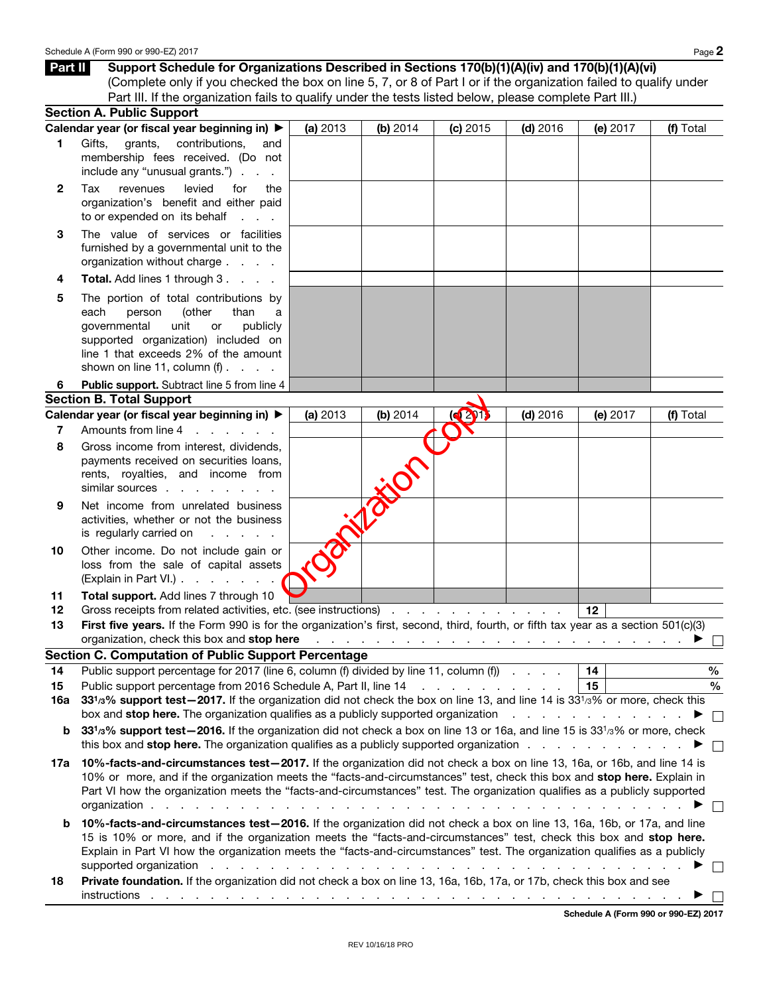|              | Schedule A (Form 990 or 990-EZ) 2017                                                                                                                                                                                                                                                                                                                                                                                                                                                                                                                                                                       |          |            |                                             |            |          | Page 2    |
|--------------|------------------------------------------------------------------------------------------------------------------------------------------------------------------------------------------------------------------------------------------------------------------------------------------------------------------------------------------------------------------------------------------------------------------------------------------------------------------------------------------------------------------------------------------------------------------------------------------------------------|----------|------------|---------------------------------------------|------------|----------|-----------|
| Part II      | Support Schedule for Organizations Described in Sections 170(b)(1)(A)(iv) and 170(b)(1)(A)(vi)                                                                                                                                                                                                                                                                                                                                                                                                                                                                                                             |          |            |                                             |            |          |           |
|              | (Complete only if you checked the box on line 5, 7, or 8 of Part I or if the organization failed to qualify under                                                                                                                                                                                                                                                                                                                                                                                                                                                                                          |          |            |                                             |            |          |           |
|              | Part III. If the organization fails to qualify under the tests listed below, please complete Part III.)                                                                                                                                                                                                                                                                                                                                                                                                                                                                                                    |          |            |                                             |            |          |           |
|              | <b>Section A. Public Support</b>                                                                                                                                                                                                                                                                                                                                                                                                                                                                                                                                                                           |          |            |                                             |            |          |           |
|              | Calendar year (or fiscal year beginning in) ▶                                                                                                                                                                                                                                                                                                                                                                                                                                                                                                                                                              | (a) 2013 | (b) 2014   | $(c)$ 2015                                  | $(d)$ 2016 | (e) 2017 | (f) Total |
| 1            | contributions,<br>Gifts,<br>grants,<br>and<br>membership fees received. (Do not<br>include any "unusual grants.")                                                                                                                                                                                                                                                                                                                                                                                                                                                                                          |          |            |                                             |            |          |           |
| $\mathbf{2}$ | levied<br>Tax<br>revenues<br>for<br>the<br>organization's benefit and either paid<br>to or expended on its behalf<br>$\mathcal{L}=\mathcal{L}=\mathcal{L}$ .                                                                                                                                                                                                                                                                                                                                                                                                                                               |          |            |                                             |            |          |           |
| 3            | The value of services or facilities<br>furnished by a governmental unit to the<br>organization without charge                                                                                                                                                                                                                                                                                                                                                                                                                                                                                              |          |            |                                             |            |          |           |
| 4            | Total. Add lines 1 through 3.                                                                                                                                                                                                                                                                                                                                                                                                                                                                                                                                                                              |          |            |                                             |            |          |           |
| 5            | The portion of total contributions by<br>each<br>(other<br>person<br>than<br>a<br>governmental<br>unit<br>publicly<br>or<br>supported organization) included on<br>line 1 that exceeds 2% of the amount<br>shown on line 11, column $(f)$ .                                                                                                                                                                                                                                                                                                                                                                |          |            |                                             |            |          |           |
| 6            | Public support. Subtract line 5 from line 4                                                                                                                                                                                                                                                                                                                                                                                                                                                                                                                                                                |          |            |                                             |            |          |           |
|              | <b>Section B. Total Support</b>                                                                                                                                                                                                                                                                                                                                                                                                                                                                                                                                                                            |          |            |                                             |            |          |           |
|              | Calendar year (or fiscal year beginning in) ▶                                                                                                                                                                                                                                                                                                                                                                                                                                                                                                                                                              | (a) 2013 | (b) $2014$ | (970)                                       | $(d)$ 2016 | (e) 2017 | (f) Total |
| 7            | Amounts from line 4<br>and a straight and a straight                                                                                                                                                                                                                                                                                                                                                                                                                                                                                                                                                       |          |            |                                             |            |          |           |
| 8            | Gross income from interest, dividends,<br>payments received on securities loans,<br>rents, royalties, and income from<br>similar sources                                                                                                                                                                                                                                                                                                                                                                                                                                                                   |          | 10-10-50-1 |                                             |            |          |           |
| 9            | Net income from unrelated business<br>activities, whether or not the business<br>is regularly carried on                                                                                                                                                                                                                                                                                                                                                                                                                                                                                                   |          |            |                                             |            |          |           |
| 10           | Other income. Do not include gain or<br>loss from the sale of capital assets<br>(Explain in Part VI.)                                                                                                                                                                                                                                                                                                                                                                                                                                                                                                      |          |            |                                             |            |          |           |
| 11           | Total support. Add lines 7 through 10                                                                                                                                                                                                                                                                                                                                                                                                                                                                                                                                                                      |          |            |                                             |            |          |           |
| 12           | Gross receipts from related activities, etc. (see instructions)                                                                                                                                                                                                                                                                                                                                                                                                                                                                                                                                            |          |            |                                             |            | 12       |           |
| 13           | First five years. If the Form 990 is for the organization's first, second, third, fourth, or fifth tax year as a section 501(c)(3)<br>organization, check this box and stop here                                                                                                                                                                                                                                                                                                                                                                                                                           |          |            |                                             |            |          |           |
|              | <b>Section C. Computation of Public Support Percentage</b>                                                                                                                                                                                                                                                                                                                                                                                                                                                                                                                                                 |          |            |                                             |            |          |           |
| 14           | Public support percentage for 2017 (line 6, column (f) divided by line 11, column (f)                                                                                                                                                                                                                                                                                                                                                                                                                                                                                                                      |          |            |                                             |            | 14       | $\%$      |
| 15           | Public support percentage from 2016 Schedule A, Part II, line 14                                                                                                                                                                                                                                                                                                                                                                                                                                                                                                                                           |          |            |                                             |            | 15       | $\%$      |
| 16a          | 331/3% support test-2017. If the organization did not check the box on line 13, and line 14 is 331/3% or more, check this                                                                                                                                                                                                                                                                                                                                                                                                                                                                                  |          |            |                                             |            |          |           |
|              | box and stop here. The organization qualifies as a publicly supported organization enterstanded by the state of $\blacktriangleright$<br>331/3% support test-2016. If the organization did not check a box on line 13 or 16a, and line 15 is 331/3% or more, check                                                                                                                                                                                                                                                                                                                                         |          |            |                                             |            |          |           |
| b            | this box and <b>stop here.</b> The organization qualifies as a publicly supported organization                                                                                                                                                                                                                                                                                                                                                                                                                                                                                                             |          |            |                                             |            |          |           |
| 17a          | 10%-facts-and-circumstances test-2017. If the organization did not check a box on line 13, 16a, or 16b, and line 14 is<br>10% or more, and if the organization meets the "facts-and-circumstances" test, check this box and stop here. Explain in<br>Part VI how the organization meets the "facts-and-circumstances" test. The organization qualifies as a publicly supported                                                                                                                                                                                                                             |          |            |                                             |            |          |           |
| b            | 10%-facts-and-circumstances test-2016. If the organization did not check a box on line 13, 16a, 16b, or 17a, and line<br>15 is 10% or more, and if the organization meets the "facts-and-circumstances" test, check this box and stop here.<br>Explain in Part VI how the organization meets the "facts-and-circumstances" test. The organization qualifies as a publicly<br>supported organization entertainment of the contract of the contract of the contract of the contract of the contract of the contract of the contract of the contract of the contract of the contract of the contract of the c |          |            |                                             |            |          |           |
|              |                                                                                                                                                                                                                                                                                                                                                                                                                                                                                                                                                                                                            |          |            | $\sim$ best and line 40, 40e, 40b, 47e, and |            |          |           |

**18 Private foundation.** If the organization did not check a box on line 13, 16a, 16b, 17a, or 17b, check this box and see instructions . . . . . . . . . . . . . . . . . . . . . . . . . . . . . . . . . . . . a

**Schedule A (Form 990 or 990-EZ) 2017**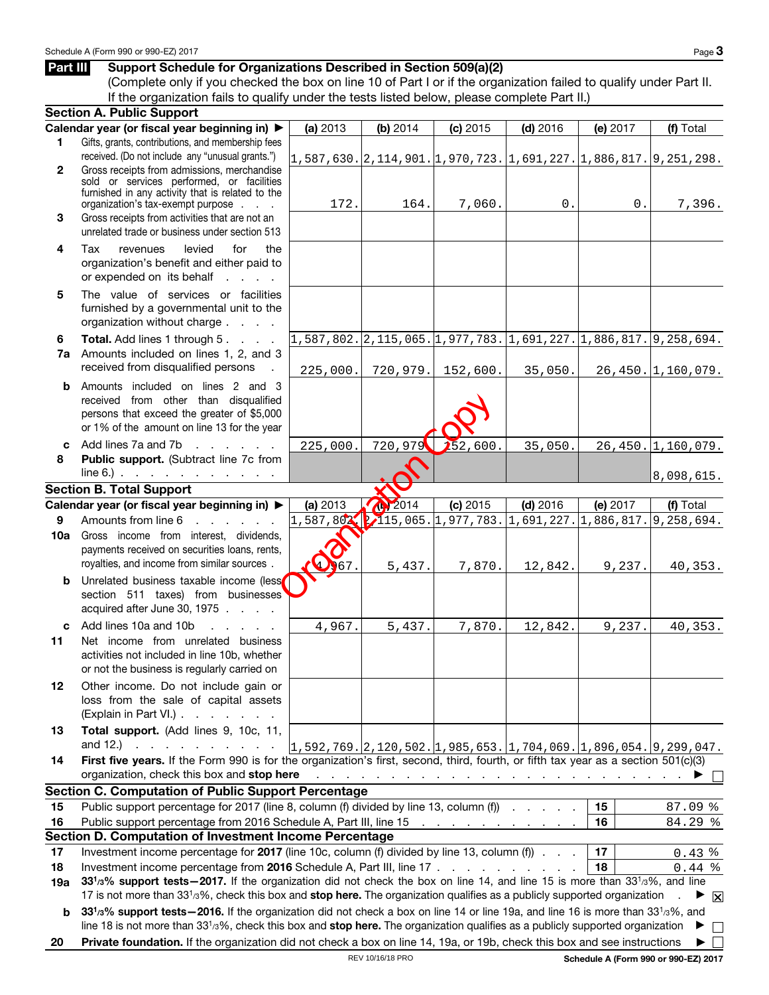# **Part III** Support Schedule for Organizations Described in Section 509(a)(2)

(Complete only if you checked the box on line 10 of Part I or if the organization failed to qualify under Part II. If the organization fails to qualify under the tests listed below, please complete Part II.)

|              | <b>Section A. Public Support</b>                                                                                                                                                                                                                                            |          |                                                                                |          |                                   |          |                                                                                                                        |
|--------------|-----------------------------------------------------------------------------------------------------------------------------------------------------------------------------------------------------------------------------------------------------------------------------|----------|--------------------------------------------------------------------------------|----------|-----------------------------------|----------|------------------------------------------------------------------------------------------------------------------------|
|              | Calendar year (or fiscal year beginning in) ▶                                                                                                                                                                                                                               | (a) 2013 | (b) $2014$                                                                     | (c) 2015 | $(d)$ 2016                        | (e) 2017 | (f) Total                                                                                                              |
| 1            | Gifts, grants, contributions, and membership fees                                                                                                                                                                                                                           |          |                                                                                |          |                                   |          |                                                                                                                        |
|              | received. (Do not include any "unusual grants.")                                                                                                                                                                                                                            |          |                                                                                |          |                                   |          | $\vert 1$ ,587,630. $\vert 2$ ,114,901. $\vert 1$ ,970,723. $\vert 1$ ,691,227. $\vert 1$ ,886,817. $\vert$ 9,251,298. |
| $\mathbf{2}$ | Gross receipts from admissions, merchandise                                                                                                                                                                                                                                 |          |                                                                                |          |                                   |          |                                                                                                                        |
|              | sold or services performed, or facilities<br>furnished in any activity that is related to the                                                                                                                                                                               |          |                                                                                |          |                                   |          |                                                                                                                        |
|              | organization's tax-exempt purpose                                                                                                                                                                                                                                           | 172.     | 164.                                                                           | 7,060.   | $0$ .                             | $0$ .    | 7,396.                                                                                                                 |
| 3            | Gross receipts from activities that are not an                                                                                                                                                                                                                              |          |                                                                                |          |                                   |          |                                                                                                                        |
|              | unrelated trade or business under section 513                                                                                                                                                                                                                               |          |                                                                                |          |                                   |          |                                                                                                                        |
| 4            | levied<br>Tax<br>revenues<br>for<br>the                                                                                                                                                                                                                                     |          |                                                                                |          |                                   |          |                                                                                                                        |
|              | organization's benefit and either paid to                                                                                                                                                                                                                                   |          |                                                                                |          |                                   |          |                                                                                                                        |
|              | or expended on its behalf<br><b>Service State</b>                                                                                                                                                                                                                           |          |                                                                                |          |                                   |          |                                                                                                                        |
| 5            | The value of services or facilities                                                                                                                                                                                                                                         |          |                                                                                |          |                                   |          |                                                                                                                        |
|              | furnished by a governmental unit to the                                                                                                                                                                                                                                     |          |                                                                                |          |                                   |          |                                                                                                                        |
|              | organization without charge                                                                                                                                                                                                                                                 |          |                                                                                |          |                                   |          |                                                                                                                        |
| 6            | <b>Total.</b> Add lines 1 through 5.                                                                                                                                                                                                                                        |          |                                                                                |          |                                   |          | $\vert 1, 587, 802.\vert 2, 115, 065.\vert 1, 977, 783.\vert 1, 691, 227.\vert 1, 886, 817.\vert 9, 258, 694.\vert$    |
| 7a           | Amounts included on lines 1, 2, and 3                                                                                                                                                                                                                                       |          |                                                                                |          |                                   |          |                                                                                                                        |
|              | received from disqualified persons                                                                                                                                                                                                                                          |          |                                                                                |          |                                   |          |                                                                                                                        |
|              |                                                                                                                                                                                                                                                                             | 225,000. | 720,979.                                                                       | 152,600. | 35,050.                           |          | $26, 450.$ 1, 160, 079.                                                                                                |
| b            | Amounts included on lines 2 and 3                                                                                                                                                                                                                                           |          |                                                                                |          |                                   |          |                                                                                                                        |
|              | received from other than disqualified<br>persons that exceed the greater of \$5,000                                                                                                                                                                                         |          |                                                                                |          |                                   |          |                                                                                                                        |
|              | or 1% of the amount on line 13 for the year                                                                                                                                                                                                                                 |          |                                                                                |          |                                   |          |                                                                                                                        |
|              |                                                                                                                                                                                                                                                                             |          |                                                                                |          |                                   |          |                                                                                                                        |
| c            | Add lines 7a and 7b<br>and the control of<br>Public support. (Subtract line 7c from                                                                                                                                                                                         | 225,000. | 720,979                                                                        | 152,600. | 35,050.                           |          | $26, 450.$ 1, 160, 079.                                                                                                |
| 8            | $line 6.)$                                                                                                                                                                                                                                                                  |          |                                                                                |          |                                   |          |                                                                                                                        |
|              | <b>Section B. Total Support</b>                                                                                                                                                                                                                                             |          |                                                                                |          |                                   |          | 8,098,615.                                                                                                             |
|              |                                                                                                                                                                                                                                                                             |          |                                                                                |          |                                   |          |                                                                                                                        |
|              | Calendar year (or fiscal year beginning in) ▶                                                                                                                                                                                                                               | (a) 2013 | $\sqrt{N}$ 2014                                                                | (c) 2015 | $(d)$ 2016                        | (e) 2017 | (f) Total                                                                                                              |
| 9            | Amounts from line 6<br>and a state of the state                                                                                                                                                                                                                             |          | $1,587,802$ , $215,065$ , $1,977,783$ , $1,691,227$ , $1,886,817$ .            |          |                                   |          | 9, 258, 694.                                                                                                           |
|              | <b>10a</b> Gross income from interest, dividends,                                                                                                                                                                                                                           |          |                                                                                |          |                                   |          |                                                                                                                        |
|              | payments received on securities loans, rents,<br>royalties, and income from similar sources.                                                                                                                                                                                |          |                                                                                |          |                                   |          |                                                                                                                        |
|              |                                                                                                                                                                                                                                                                             | 967.     | 5,437.                                                                         | 7,870.   | 12,842.                           | 9,237.   | 40,353.                                                                                                                |
| b            | Unrelated business taxable income (less                                                                                                                                                                                                                                     |          |                                                                                |          |                                   |          |                                                                                                                        |
|              | section 511 taxes) from businesses                                                                                                                                                                                                                                          |          |                                                                                |          |                                   |          |                                                                                                                        |
|              | acquired after June 30, 1975                                                                                                                                                                                                                                                |          |                                                                                |          |                                   |          |                                                                                                                        |
| c            | Add lines 10a and 10b<br>and a state of the                                                                                                                                                                                                                                 | 4,967.   | 5,437.                                                                         | 7,870.   | 12,842.                           | 9,237.   | 40, 353.                                                                                                               |
| 11           | Net income from unrelated business                                                                                                                                                                                                                                          |          |                                                                                |          |                                   |          |                                                                                                                        |
|              | activities not included in line 10b, whether                                                                                                                                                                                                                                |          |                                                                                |          |                                   |          |                                                                                                                        |
|              | or not the business is regularly carried on                                                                                                                                                                                                                                 |          |                                                                                |          |                                   |          |                                                                                                                        |
| 12           | Other income. Do not include gain or                                                                                                                                                                                                                                        |          |                                                                                |          |                                   |          |                                                                                                                        |
|              | loss from the sale of capital assets                                                                                                                                                                                                                                        |          |                                                                                |          |                                   |          |                                                                                                                        |
|              | (Explain in Part VI.)                                                                                                                                                                                                                                                       |          |                                                                                |          |                                   |          |                                                                                                                        |
| 13           | Total support. (Add lines 9, 10c, 11,                                                                                                                                                                                                                                       |          |                                                                                |          |                                   |          |                                                                                                                        |
|              | and 12.) $\cdots$ $\cdots$ $\cdots$                                                                                                                                                                                                                                         |          |                                                                                |          |                                   |          | $\vert 1, 592, 769. \vert 2, 120, 502. \vert 1, 985, 653. \vert 1, 704, 069. \vert 1, 896, 054. \vert 9, 299, 047.$    |
| 14           | First five years. If the Form 990 is for the organization's first, second, third, fourth, or fifth tax year as a section 501(c)(3)                                                                                                                                          |          |                                                                                |          |                                   |          |                                                                                                                        |
|              | organization, check this box and stop here                                                                                                                                                                                                                                  |          | المتعاقب والمتعاقب والمتعاقب والمتعاقب والمتعاقب والمتعاقب والمتعاقب والمتعاقب |          |                                   |          |                                                                                                                        |
|              | <b>Section C. Computation of Public Support Percentage</b>                                                                                                                                                                                                                  |          |                                                                                |          |                                   |          |                                                                                                                        |
| 15           | Public support percentage for 2017 (line 8, column (f) divided by line 13, column (f)                                                                                                                                                                                       |          |                                                                                |          |                                   | 15       | 87.09 %                                                                                                                |
| 16           | Public support percentage from 2016 Schedule A, Part III, line 15                                                                                                                                                                                                           |          |                                                                                |          | and the company of the company of | 16       | 84.29 %                                                                                                                |
|              | Section D. Computation of Investment Income Percentage                                                                                                                                                                                                                      |          |                                                                                |          |                                   |          |                                                                                                                        |
| 17           | Investment income percentage for 2017 (line 10c, column (f) divided by line 13, column (f)                                                                                                                                                                                  |          |                                                                                |          |                                   | 17       | 0.43%                                                                                                                  |
| 18           | Investment income percentage from 2016 Schedule A, Part III, line 17                                                                                                                                                                                                        |          |                                                                                |          |                                   | 18       | 0.44%                                                                                                                  |
| 19a          | 331/3% support tests - 2017. If the organization did not check the box on line 14, and line 15 is more than 331/3%, and line                                                                                                                                                |          |                                                                                |          |                                   |          |                                                                                                                        |
|              | 17 is not more than 33 <sup>1</sup> /3%, check this box and stop here. The organization qualifies as a publicly supported organization<br>331/3% support tests - 2016. If the organization did not check a box on line 14 or line 19a, and line 16 is more than 331/3%, and |          |                                                                                |          |                                   |          | ▶ ⊠                                                                                                                    |
| b            |                                                                                                                                                                                                                                                                             |          |                                                                                |          |                                   |          |                                                                                                                        |
|              | line 18 is not more than $3313%$ , check this box and stop here. The organization qualifies as a publicly supported organization                                                                                                                                            |          |                                                                                |          |                                   |          | ▶<br>$\Box$                                                                                                            |
| 20           | Private foundation. If the organization did not check a box on line 14, 19a, or 19b, check this box and see instructions<br>▶<br>$\mathbf{1}$                                                                                                                               |          |                                                                                |          |                                   |          |                                                                                                                        |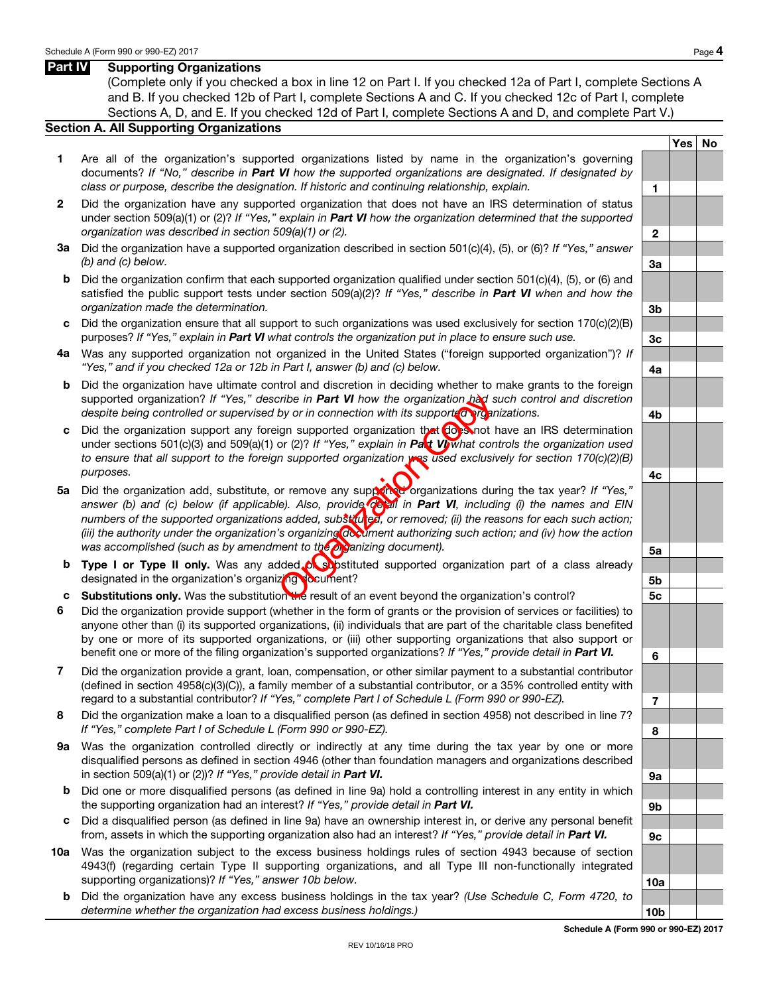# **Part IV Supporting Organizations**

(Complete only if you checked a box in line 12 on Part I. If you checked 12a of Part I, complete Sections A and B. If you checked 12b of Part I, complete Sections A and C. If you checked 12c of Part I, complete Sections A, D, and E. If you checked 12d of Part I, complete Sections A and D, and complete Part V.)

### **Section A. All Supporting Organizations**

- **1** Are all of the organization's supported organizations listed by name in the organization's governing documents? If "No," describe in *Part VI* how the supported organizations are designated. If designated by class or purpose, describe the designation. If historic and continuing relationship, explain. **1**
- **2** Did the organization have any supported organization that does not have an IRS determination of status under section 509(a)(1) or (2)? If "Yes," explain in *Part VI* how the organization determined that the supported organization was described in section 509(a)(1) or (2). **2**
- **3a** Did the organization have a supported organization described in section 501(c)(4), (5), or (6)? If "Yes," answer (b) and (c) below. **3a**
- **b** Did the organization confirm that each supported organization qualified under section 501(c)(4), (5), or (6) and satisfied the public support tests under section 509(a)(2)? If "Yes," describe in **Part VI** when and how the organization made the determination. **3b**
- **c** Did the organization ensure that all support to such organizations was used exclusively for section 170(c)(2)(B) purposes? If "Yes," explain in *Part VI* what controls the organization put in place to ensure such use. **3c**
- **4a** Was any supported organization not organized in the United States ("foreign supported organization")? If "Yes," and if you checked 12a or 12b in Part I, answer (b) and (c) below. **4a**
- **b** Did the organization have ultimate control and discretion in deciding whether to make grants to the foreign supported organization? If "Yes," describe in **Part VI** how the organization had such control and discretion despite being controlled or supervised by or in connection with its support *about the organizations*.
- **c** Did the organization support any foreign supported organization that does not have an IRS determination under sections 501(c)(3) and 509(a)(1) or (2)? If "Yes," explain in *Part VI* what controls the organization used to ensure that all support to the foreign supported organization was used exclusively for section 170(c)(2)(B) purposes.
- 5a Did the organization add, substitute, or remove any supported organizations during the tax year? If "Yes," answer (b) and (c) below (if applicable). Also, provide **Getail** in **Part VI**, including (i) the names and EIN numbers of the supported organizations added, substituted, or removed; (ii) the reasons for each such action; (iii) the authority under the organization's organizing  $\alpha$  of ment authorizing such action; and (iv) how the action was accomplished (such as by amendment to the *proanizing document)*. cribe in **Part VI** how the organization had s<br>by or in connection with its supported organization<br>ign supported organization that **Co**ps not h<br>or (2)? If "Yes," explain in **Part VI** what con<br>n supported organization was us
- **b Type I or Type II only.** Was any added or substituted supported organization part of a class already designated in the organization's organizing document? **5b**
- **c Substitutions only.** Was the substitution the result of an event beyond the organization's control?
- **6** Did the organization provide support (whether in the form of grants or the provision of services or facilities) to anyone other than (i) its supported organizations, (ii) individuals that are part of the charitable class benefited by one or more of its supported organizations, or (iii) other supporting organizations that also support or benefit one or more of the filing organization's supported organizations? If "Yes," provide detail in *Part VI.* **6**
- **7** Did the organization provide a grant, loan, compensation, or other similar payment to a substantial contributor (defined in section 4958(c)(3)(C)), a family member of a substantial contributor, or a 35% controlled entity with regard to a substantial contributor? If "Yes," complete Part I of Schedule L (Form 990 or 990-EZ). **7**
- **8** Did the organization make a loan to a disqualified person (as defined in section 4958) not described in line 7? If "Yes," complete Part I of Schedule L (Form 990 or 990-EZ). **8**
- **9a** Was the organization controlled directly or indirectly at any time during the tax year by one or more disqualified persons as defined in section 4946 (other than foundation managers and organizations described in section 509(a)(1) or (2))? If "Yes," provide detail in *Part VI.* **9a**
- **b** Did one or more disqualified persons (as defined in line 9a) hold a controlling interest in any entity in which the supporting organization had an interest? If "Yes," provide detail in **Part VI. 9b 9b 9b**
- **c** Did a disqualified person (as defined in line 9a) have an ownership interest in, or derive any personal benefit from, assets in which the supporting organization also had an interest? If "Yes," provide detail in *Part VI.* **9c**
- **10a** Was the organization subject to the excess business holdings rules of section 4943 because of section 4943(f) (regarding certain Type II supporting organizations, and all Type III non-functionally integrated supporting organizations)? If "Yes," answer 10b below. **10a**
	- **b** Did the organization have any excess business holdings in the tax year? (Use Schedule C, Form 4720, to determine whether the organization had excess business holdings.) **10b**

**Yes No**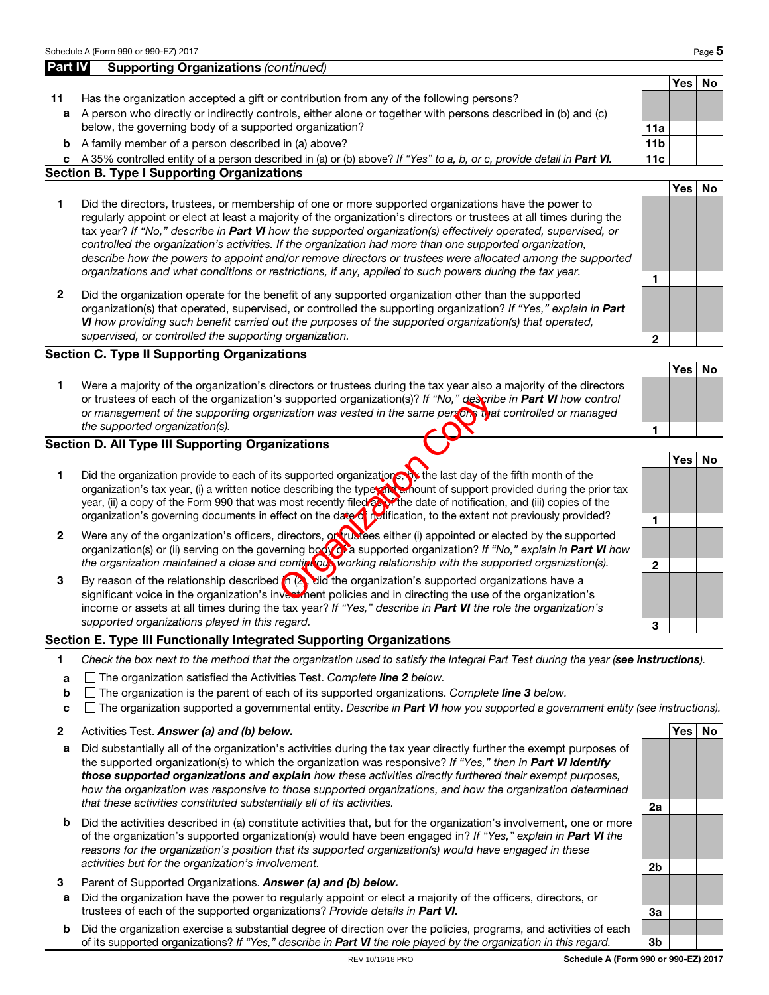| <b>Part IV</b> | <b>Supporting Organizations (continued)</b>                                                                                                                                                                                                                                                                                                                                                                                                                                                                                                                                                                                                                                  |                 |            |           |
|----------------|------------------------------------------------------------------------------------------------------------------------------------------------------------------------------------------------------------------------------------------------------------------------------------------------------------------------------------------------------------------------------------------------------------------------------------------------------------------------------------------------------------------------------------------------------------------------------------------------------------------------------------------------------------------------------|-----------------|------------|-----------|
|                |                                                                                                                                                                                                                                                                                                                                                                                                                                                                                                                                                                                                                                                                              |                 | <b>Yes</b> | <b>No</b> |
| 11             | Has the organization accepted a gift or contribution from any of the following persons?                                                                                                                                                                                                                                                                                                                                                                                                                                                                                                                                                                                      |                 |            |           |
|                | a A person who directly or indirectly controls, either alone or together with persons described in (b) and (c)                                                                                                                                                                                                                                                                                                                                                                                                                                                                                                                                                               |                 |            |           |
|                | below, the governing body of a supported organization?                                                                                                                                                                                                                                                                                                                                                                                                                                                                                                                                                                                                                       | 11a             |            |           |
| b              | A family member of a person described in (a) above?                                                                                                                                                                                                                                                                                                                                                                                                                                                                                                                                                                                                                          | 11 <sub>b</sub> |            |           |
|                | c A 35% controlled entity of a person described in (a) or (b) above? If "Yes" to a, b, or c, provide detail in Part VI.                                                                                                                                                                                                                                                                                                                                                                                                                                                                                                                                                      | 11c             |            |           |
|                | Section B. Type I Supporting Organizations                                                                                                                                                                                                                                                                                                                                                                                                                                                                                                                                                                                                                                   |                 |            |           |
|                |                                                                                                                                                                                                                                                                                                                                                                                                                                                                                                                                                                                                                                                                              |                 | Yes        | <b>No</b> |
| 1              | Did the directors, trustees, or membership of one or more supported organizations have the power to<br>regularly appoint or elect at least a majority of the organization's directors or trustees at all times during the<br>tax year? If "No," describe in Part VI how the supported organization(s) effectively operated, supervised, or<br>controlled the organization's activities. If the organization had more than one supported organization,<br>describe how the powers to appoint and/or remove directors or trustees were allocated among the supported<br>organizations and what conditions or restrictions, if any, applied to such powers during the tax year. | 1               |            |           |
| $\mathbf{2}$   | Did the organization operate for the benefit of any supported organization other than the supported<br>organization(s) that operated, supervised, or controlled the supporting organization? If "Yes," explain in Part<br>VI how providing such benefit carried out the purposes of the supported organization(s) that operated,<br>supervised, or controlled the supporting organization.                                                                                                                                                                                                                                                                                   | $\mathbf{2}$    |            |           |
|                | <b>Section C. Type II Supporting Organizations</b>                                                                                                                                                                                                                                                                                                                                                                                                                                                                                                                                                                                                                           |                 |            |           |
|                |                                                                                                                                                                                                                                                                                                                                                                                                                                                                                                                                                                                                                                                                              |                 | <b>Yes</b> | <b>No</b> |
| 1              | Were a majority of the organization's directors or trustees during the tax year also a majority of the directors<br>or trustees of each of the organization's supported organization(s)? If "No," describe in Part VI how control<br>or management of the supporting organization was vested in the same pergons that controlled or managed<br>the supported organization(s).                                                                                                                                                                                                                                                                                                | 1               |            |           |
|                | <b>Section D. All Type III Supporting Organizations</b>                                                                                                                                                                                                                                                                                                                                                                                                                                                                                                                                                                                                                      |                 |            |           |
|                |                                                                                                                                                                                                                                                                                                                                                                                                                                                                                                                                                                                                                                                                              |                 | Yes        | <b>No</b> |
| 1              | Did the organization provide to each of its supported organizations, $\alpha$ the last day of the fifth month of the<br>organization's tax year, (i) a written notice describing the type <b>xincan</b> ount of support provided during the prior tax<br>year, (ii) a copy of the Form 990 that was most recently filed as orther date of notification, and (iii) copies of the<br>organization's governing documents in effect on the date $\alpha$ redification, to the extent not previously provided?                                                                                                                                                                    |                 |            |           |
|                |                                                                                                                                                                                                                                                                                                                                                                                                                                                                                                                                                                                                                                                                              | 1               |            |           |
| $\mathbf{2}$   | Were any of the organization's officers, directors, or trustees either (i) appointed or elected by the supported<br>organization(s) or (ii) serving on the governing body of a supported organization? If "No," explain in Part VI how<br>the organization maintained a close and continuous working relationship with the supported organization(s).                                                                                                                                                                                                                                                                                                                        | $\mathbf{2}$    |            |           |
| 3              | By reason of the relationship described $(n \ge 1)$ did the organization's supported organizations have a<br>significant voice in the organization's investment policies and in directing the use of the organization's<br>income or assets at all times during the tax year? If "Yes," describe in Part VI the role the organization's<br>supported organizations played in this regard.                                                                                                                                                                                                                                                                                    | 3               |            |           |

#### **Section E. Type III Functionally Integrated Supporting Organizations**

- **1** Check the box next to the method that the organization used to satisfy the Integral Part Test during the year (*see instructions*).
- **a** The organization satisfied the Activities Test. Complete *line 2* below.
- **b** The organization is the parent of each of its supported organizations. Complete **line 3** below.
- **c** The organization supported a governmental entity. Describe in *Part VI* how you supported a government entity (see instructions).
- **2** Activities Test. *Answer (a) and (b) below.* **Yes No**
- **a** Did substantially all of the organization's activities during the tax year directly further the exempt purposes of the supported organization(s) to which the organization was responsive? If "Yes," then in *Part VI identify those supported organizations and explain* how these activities directly furthered their exempt purposes, how the organization was responsive to those supported organizations, and how the organization determined that these activities constituted substantially all of its activities. **2a**
- **b** Did the activities described in (a) constitute activities that, but for the organization's involvement, one or more of the organization's supported organization(s) would have been engaged in? If "Yes," explain in *Part VI* the reasons for the organization's position that its supported organization(s) would have engaged in these activities but for the organization's involvement. **2b**
- **3** Parent of Supported Organizations. *Answer (a) and (b) below.*
- **a** Did the organization have the power to regularly appoint or elect a majority of the officers, directors, or trustees of each of the supported organizations? Provide details in *Part VI.* **3a**
- **b** Did the organization exercise a substantial degree of direction over the policies, programs, and activities of each of its supported organizations? If "Yes," describe in *Part VI* the role played by the organization in this regard. **3b**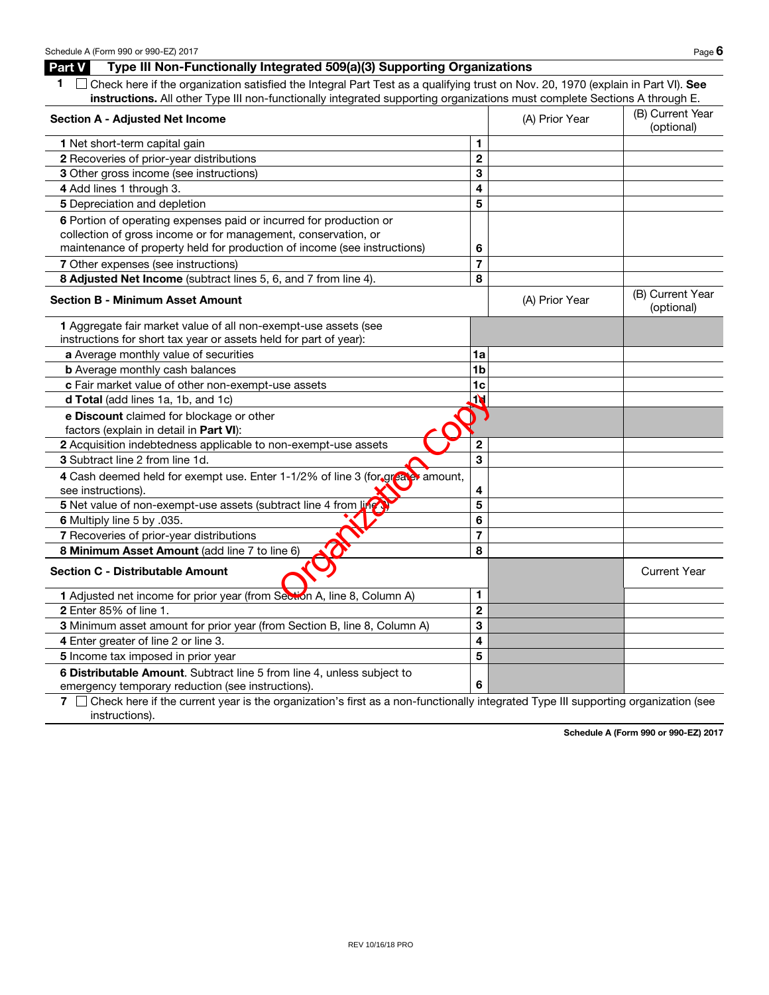| □ Check here if the organization satisfied the Integral Part Test as a qualifying trust on Nov. 20, 1970 (explain in Part VI). See |
|------------------------------------------------------------------------------------------------------------------------------------|
| instructions. All other Type III non-functionally integrated supporting organizations must complete Sections A through E.          |

| <b>Section A - Adjusted Net Income</b>                                                                                                                                                                                                                                                                                                                                                                                                                                                     |                         | (A) Prior Year | (B) Current Year<br>(optional) |
|--------------------------------------------------------------------------------------------------------------------------------------------------------------------------------------------------------------------------------------------------------------------------------------------------------------------------------------------------------------------------------------------------------------------------------------------------------------------------------------------|-------------------------|----------------|--------------------------------|
| 1 Net short-term capital gain                                                                                                                                                                                                                                                                                                                                                                                                                                                              | 1                       |                |                                |
| 2 Recoveries of prior-year distributions                                                                                                                                                                                                                                                                                                                                                                                                                                                   | $\overline{\mathbf{c}}$ |                |                                |
| 3 Other gross income (see instructions)                                                                                                                                                                                                                                                                                                                                                                                                                                                    | 3                       |                |                                |
| 4 Add lines 1 through 3.                                                                                                                                                                                                                                                                                                                                                                                                                                                                   | $\overline{\mathbf{4}}$ |                |                                |
| 5 Depreciation and depletion                                                                                                                                                                                                                                                                                                                                                                                                                                                               | 5                       |                |                                |
| 6 Portion of operating expenses paid or incurred for production or                                                                                                                                                                                                                                                                                                                                                                                                                         |                         |                |                                |
| collection of gross income or for management, conservation, or                                                                                                                                                                                                                                                                                                                                                                                                                             |                         |                |                                |
| maintenance of property held for production of income (see instructions)                                                                                                                                                                                                                                                                                                                                                                                                                   | 6                       |                |                                |
| 7 Other expenses (see instructions)                                                                                                                                                                                                                                                                                                                                                                                                                                                        | $\overline{7}$          |                |                                |
| 8 Adjusted Net Income (subtract lines 5, 6, and 7 from line 4).                                                                                                                                                                                                                                                                                                                                                                                                                            | 8                       |                |                                |
| <b>Section B - Minimum Asset Amount</b>                                                                                                                                                                                                                                                                                                                                                                                                                                                    |                         | (A) Prior Year | (B) Current Year<br>(optional) |
| 1 Aggregate fair market value of all non-exempt-use assets (see                                                                                                                                                                                                                                                                                                                                                                                                                            |                         |                |                                |
| instructions for short tax year or assets held for part of year):                                                                                                                                                                                                                                                                                                                                                                                                                          |                         |                |                                |
| a Average monthly value of securities                                                                                                                                                                                                                                                                                                                                                                                                                                                      | 1a                      |                |                                |
| <b>b</b> Average monthly cash balances                                                                                                                                                                                                                                                                                                                                                                                                                                                     | 1 <sub>b</sub>          |                |                                |
| c Fair market value of other non-exempt-use assets                                                                                                                                                                                                                                                                                                                                                                                                                                         | 1 <sub>c</sub>          |                |                                |
| d Total (add lines 1a, 1b, and 1c)                                                                                                                                                                                                                                                                                                                                                                                                                                                         | $\mathbf N$             |                |                                |
| e Discount claimed for blockage or other<br>factors (explain in detail in Part VI):                                                                                                                                                                                                                                                                                                                                                                                                        |                         |                |                                |
| 2 Acquisition indebtedness applicable to non-exempt-use assets                                                                                                                                                                                                                                                                                                                                                                                                                             | $\mathbf{2}$            |                |                                |
| 3 Subtract line 2 from line 1d.                                                                                                                                                                                                                                                                                                                                                                                                                                                            | 3                       |                |                                |
| 4 Cash deemed held for exempt use. Enter 1-1/2% of line 3 (for greater amount,<br>see instructions).                                                                                                                                                                                                                                                                                                                                                                                       | 4                       |                |                                |
| 5 Net value of non-exempt-use assets (subtract line 4 from line                                                                                                                                                                                                                                                                                                                                                                                                                            | 5                       |                |                                |
| 6 Multiply line 5 by .035.                                                                                                                                                                                                                                                                                                                                                                                                                                                                 | 6                       |                |                                |
| 7 Recoveries of prior-year distributions                                                                                                                                                                                                                                                                                                                                                                                                                                                   | $\overline{7}$          |                |                                |
| 8 Minimum Asset Amount (add line 7 to line 6)                                                                                                                                                                                                                                                                                                                                                                                                                                              | 8                       |                |                                |
| <b>Section C - Distributable Amount</b>                                                                                                                                                                                                                                                                                                                                                                                                                                                    |                         |                | <b>Current Year</b>            |
| 1 Adjusted net income for prior year (from Section A, line 8, Column A)                                                                                                                                                                                                                                                                                                                                                                                                                    | 1                       |                |                                |
| 2 Enter 85% of line 1.                                                                                                                                                                                                                                                                                                                                                                                                                                                                     | $\mathbf{2}$            |                |                                |
| 3 Minimum asset amount for prior year (from Section B, line 8, Column A)                                                                                                                                                                                                                                                                                                                                                                                                                   | 3                       |                |                                |
| 4 Enter greater of line 2 or line 3.                                                                                                                                                                                                                                                                                                                                                                                                                                                       | 4                       |                |                                |
| 5 Income tax imposed in prior year                                                                                                                                                                                                                                                                                                                                                                                                                                                         | 5                       |                |                                |
| 6 Distributable Amount. Subtract line 5 from line 4, unless subject to                                                                                                                                                                                                                                                                                                                                                                                                                     |                         |                |                                |
| emergency temporary reduction (see instructions).                                                                                                                                                                                                                                                                                                                                                                                                                                          | 6                       |                |                                |
| $\blacksquare$ $\blacksquare$ $\blacksquare$ $\blacksquare$ $\blacksquare$ $\blacksquare$ $\blacksquare$ $\blacksquare$ $\blacksquare$ $\blacksquare$ $\blacksquare$ $\blacksquare$ $\blacksquare$ $\blacksquare$ $\blacksquare$ $\blacksquare$ $\blacksquare$ $\blacksquare$ $\blacksquare$ $\blacksquare$ $\blacksquare$ $\blacksquare$ $\blacksquare$ $\blacksquare$ $\blacksquare$ $\blacksquare$ $\blacksquare$ $\blacksquare$ $\blacksquare$ $\blacksquare$ $\blacksquare$ $\blacks$ |                         |                |                                |

**7**  $□$  Check here if the current year is the organization's first as a non-functionally integrated Type III supporting organization (see instructions).

**Schedule A (Form 990 or 990-EZ) 2017**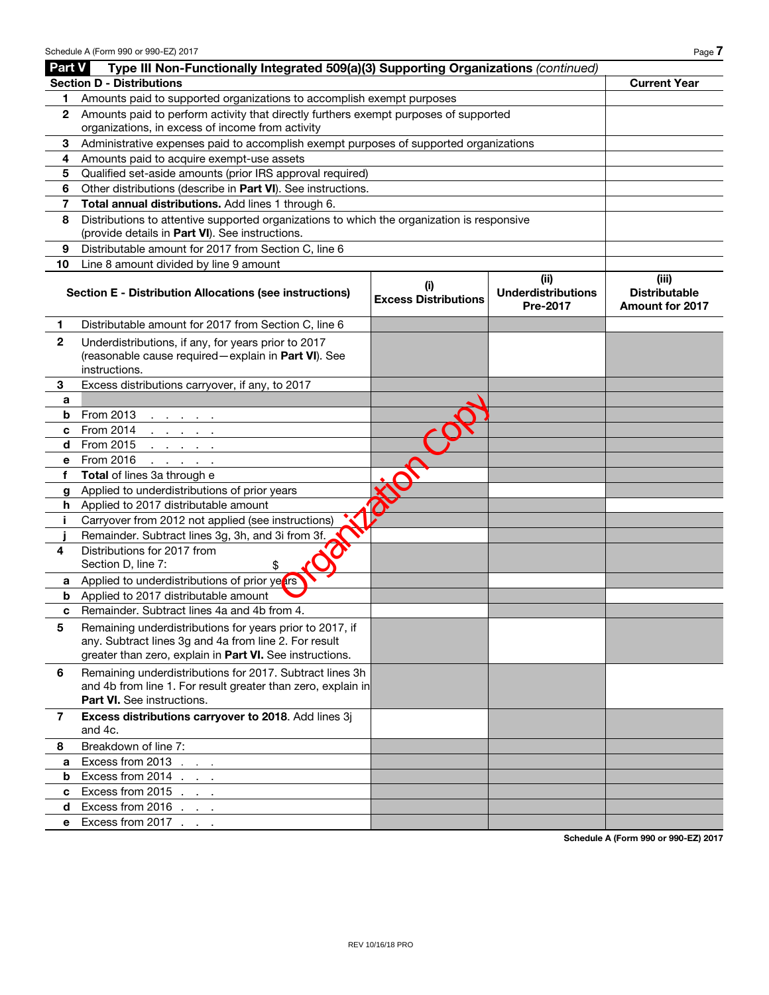|               | Schedule A (Form 990 or 990-EZ) 2017                                                                                                                          |                                    |                                               | Page 7                                                  |
|---------------|---------------------------------------------------------------------------------------------------------------------------------------------------------------|------------------------------------|-----------------------------------------------|---------------------------------------------------------|
| <b>Part V</b> | Type III Non-Functionally Integrated 509(a)(3) Supporting Organizations (continued)                                                                           |                                    |                                               |                                                         |
|               | <b>Section D - Distributions</b>                                                                                                                              |                                    |                                               | <b>Current Year</b>                                     |
| 1             | Amounts paid to supported organizations to accomplish exempt purposes                                                                                         |                                    |                                               |                                                         |
| 2             | Amounts paid to perform activity that directly furthers exempt purposes of supported                                                                          |                                    |                                               |                                                         |
|               | organizations, in excess of income from activity                                                                                                              |                                    |                                               |                                                         |
| 3             | Administrative expenses paid to accomplish exempt purposes of supported organizations                                                                         |                                    |                                               |                                                         |
| 4             | Amounts paid to acquire exempt-use assets                                                                                                                     |                                    |                                               |                                                         |
| 5             | Qualified set-aside amounts (prior IRS approval required)                                                                                                     |                                    |                                               |                                                         |
| 6             | Other distributions (describe in Part VI). See instructions.                                                                                                  |                                    |                                               |                                                         |
| 7             | Total annual distributions. Add lines 1 through 6.                                                                                                            |                                    |                                               |                                                         |
| 8             | Distributions to attentive supported organizations to which the organization is responsive                                                                    |                                    |                                               |                                                         |
|               | (provide details in Part VI). See instructions.                                                                                                               |                                    |                                               |                                                         |
| 9             | Distributable amount for 2017 from Section C, line 6                                                                                                          |                                    |                                               |                                                         |
| 10            | Line 8 amount divided by line 9 amount                                                                                                                        |                                    |                                               |                                                         |
|               | <b>Section E - Distribution Allocations (see instructions)</b>                                                                                                | (i)<br><b>Excess Distributions</b> | (ii)<br><b>Underdistributions</b><br>Pre-2017 | (iii)<br><b>Distributable</b><br><b>Amount for 2017</b> |
| 1.            | Distributable amount for 2017 from Section C. line 6                                                                                                          |                                    |                                               |                                                         |
| $\mathbf 2$   | Underdistributions, if any, for years prior to 2017                                                                                                           |                                    |                                               |                                                         |
|               | (reasonable cause required - explain in Part VI). See                                                                                                         |                                    |                                               |                                                         |
|               | instructions.                                                                                                                                                 |                                    |                                               |                                                         |
| 3             | Excess distributions carryover, if any, to 2017                                                                                                               |                                    |                                               |                                                         |
| a             |                                                                                                                                                               |                                    |                                               |                                                         |
| b             | From 2013<br>and a strategic and                                                                                                                              |                                    |                                               |                                                         |
| c             | From 2014<br>and a strategic and                                                                                                                              |                                    |                                               |                                                         |
| d             | From 2015<br>and a strategic and                                                                                                                              |                                    |                                               |                                                         |
| е             | From 2016<br>and a strain and                                                                                                                                 |                                    |                                               |                                                         |
| f             | <b>Total</b> of lines 3a through e                                                                                                                            |                                    |                                               |                                                         |
| g             | Applied to underdistributions of prior years                                                                                                                  |                                    |                                               |                                                         |
| h             | Applied to 2017 distributable amount                                                                                                                          |                                    |                                               |                                                         |
| j.            | Carryover from 2012 not applied (see instructions)                                                                                                            |                                    |                                               |                                                         |
|               | Remainder. Subtract lines 3g, 3h, and 3i from 3f.                                                                                                             |                                    |                                               |                                                         |
| 4             | Distributions for 2017 from<br>Section D, line 7:                                                                                                             |                                    |                                               |                                                         |
| a             | Applied to underdistributions of prior years                                                                                                                  |                                    |                                               |                                                         |
| b             | Applied to 2017 distributable amount                                                                                                                          |                                    |                                               |                                                         |
| c             | Remainder. Subtract lines 4a and 4b from 4.                                                                                                                   |                                    |                                               |                                                         |
| 5             | Remaining underdistributions for years prior to 2017, if                                                                                                      |                                    |                                               |                                                         |
|               | any. Subtract lines 3g and 4a from line 2. For result                                                                                                         |                                    |                                               |                                                         |
|               | greater than zero, explain in Part VI. See instructions.                                                                                                      |                                    |                                               |                                                         |
| 6             | Remaining underdistributions for 2017. Subtract lines 3h<br>and 4b from line 1. For result greater than zero, explain in<br><b>Part VI.</b> See instructions. |                                    |                                               |                                                         |
| 7             | Excess distributions carryover to 2018. Add lines 3j<br>and 4c.                                                                                               |                                    |                                               |                                                         |
| 8             | Breakdown of line 7:                                                                                                                                          |                                    |                                               |                                                         |
| a             | Excess from 2013                                                                                                                                              |                                    |                                               |                                                         |
| b             | Excess from 2014                                                                                                                                              |                                    |                                               |                                                         |
| c             | Excess from 2015                                                                                                                                              |                                    |                                               |                                                         |
| d             | Excess from 2016                                                                                                                                              |                                    |                                               |                                                         |
| е             | Excess from 2017                                                                                                                                              |                                    |                                               |                                                         |

**Schedule A (Form 990 or 990-EZ) 2017**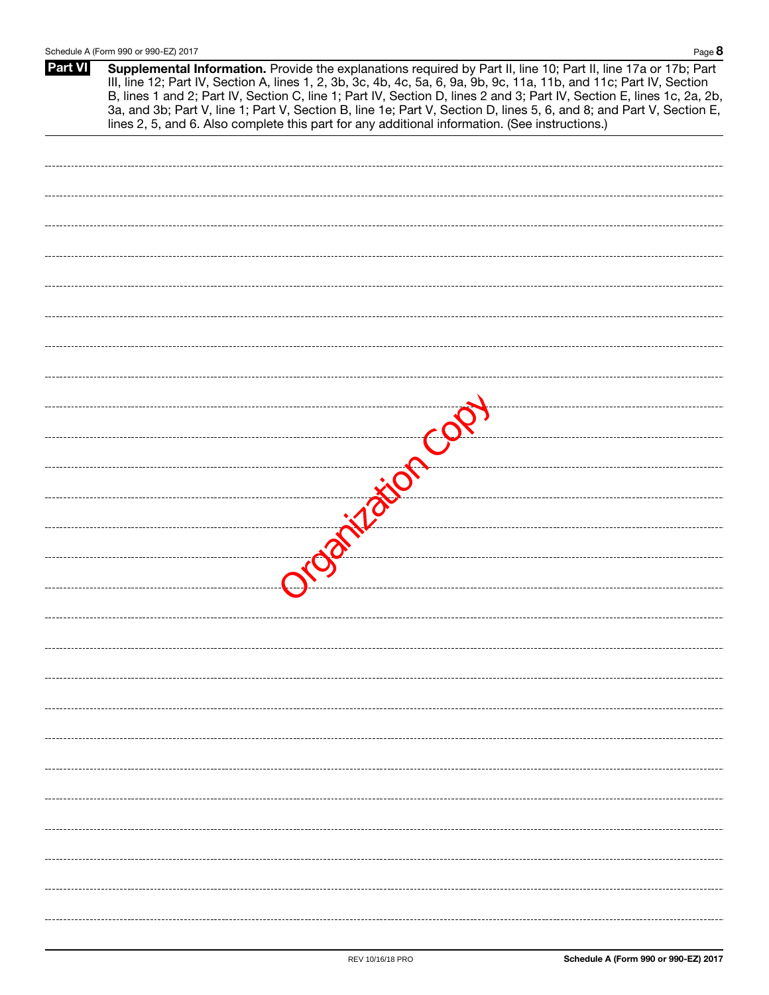|                | Page 8<br>Schedule A (Form 990 or 990-EZ) 2017                                                                         |
|----------------|------------------------------------------------------------------------------------------------------------------------|
| <b>Part VI</b> | Supplemental Information. Provide the explanations required by Part II, line 10; Part II, line 17a or 17b; Part        |
|                | III, line 12; Part IV, Section A, lines 1, 2, 3b, 3c, 4b, 4c, 5a, 6, 9a, 9b, 9c, 11a, 11b, and 11c; Part IV, Section   |
|                | B, lines 1 and 2; Part IV, Section C, line 1; Part IV, Section D, lines 2 and 3; Part IV, Section E, lines 1c, 2a, 2b, |
|                | 3a, and 3b; Part V, line 1; Part V, Section B, line 1e; Part V, Section D, lines 5, 6, and 8; and Part V, Section E,   |
|                | lines 2, 5, and 6. Also complete this part for any additional information. (See instructions.)                         |

| $\mathcal{S}_{\lambda}$   |
|---------------------------|
|                           |
| COR                       |
| O Britished Communication |
|                           |
|                           |
|                           |
|                           |
|                           |
|                           |
|                           |
|                           |
|                           |
|                           |
|                           |
|                           |
|                           |
|                           |
|                           |
|                           |
|                           |
|                           |
|                           |
|                           |
|                           |
|                           |
|                           |
|                           |
|                           |
|                           |
|                           |
|                           |
|                           |
|                           |
|                           |
|                           |
|                           |
|                           |
|                           |
|                           |
|                           |
|                           |
|                           |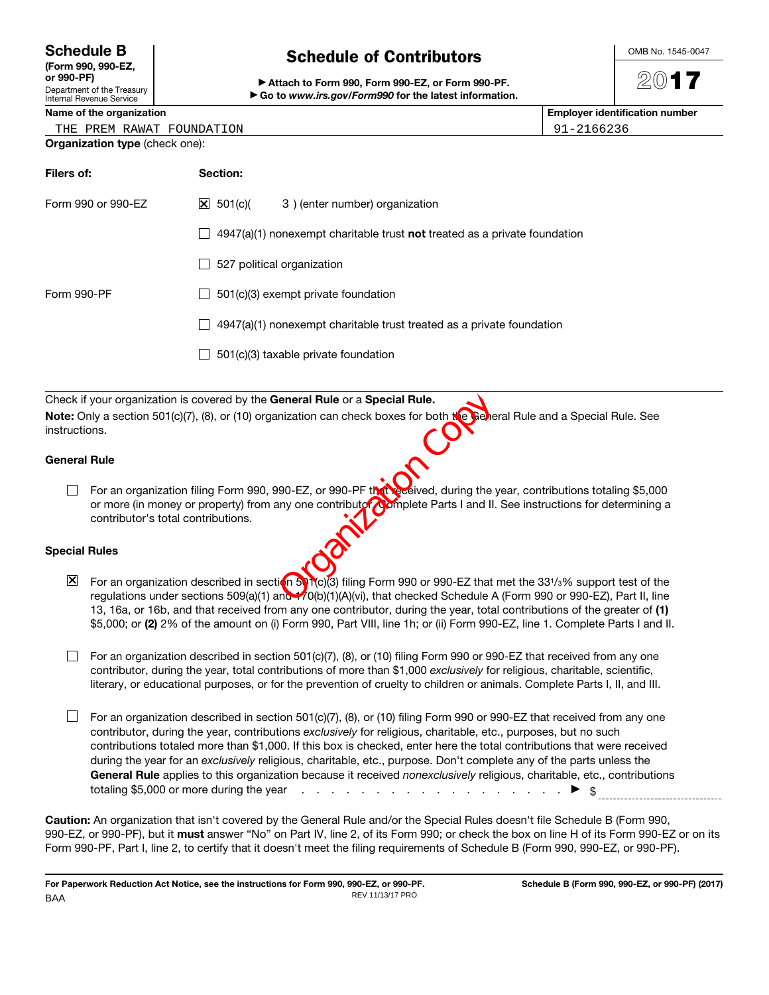# **Schedule B**

**(Form 990, 990-EZ, or 990-PF)** Department of the Treasury

# Internal Revenue Service

**Name of the organization Employer identification number** THE PREM RAWAT FOUNDATION **1200 PM 2010 1200 PM 2010 PM 2010 1200 PM 2010 PM 2010 PM 2010 PM 2010 PM 2010 PM 2010** 

# **Organization type** (check one):

| Filers of:         | Section:                                                                           |
|--------------------|------------------------------------------------------------------------------------|
| Form 990 or 990-EZ | $\boxed{\mathsf{X}}$ 501(c)(<br>3) (enter number) organization                     |
|                    | $4947(a)(1)$ nonexempt charitable trust <b>not</b> treated as a private foundation |
|                    | 527 political organization                                                         |
| Form 990-PF        | 501(c)(3) exempt private foundation                                                |
|                    | 4947(a)(1) nonexempt charitable trust treated as a private foundation              |
|                    | 501(c)(3) taxable private foundation                                               |
|                    |                                                                                    |

**Schedule of Contributors**

Attach to Form 990, Form 990-EZ, or Form 990-PF. ▶ Go to *www.irs.gov/Form990* for the latest information.

Check if your organization is covered by the **General Rule** or a **Special Rule. Note:** Only a section 501(c)(7), (8), or (10) organization can check boxes for both the General Rule and a Special Rule. See instructions. Example or a Special Rule.<br>
The mization can check boxes for both the General Rule.<br>
1990-EZ, or 990-PF the Received, during the your one contributor Complete Parts I and II.<br>
1990-EZ (Organization Complete Parts I and II.

# **General Rule**

 $\Box$  For an organization filing Form 990, 990-EZ, or 990-PF that received, during the year, contributions totaling \$5,000 or more (in money or property) from any one contributor. Complete Parts I and II. See instructions for determining a contributor's total contributions.

# **Special Rules**

- $\boxtimes$  For an organization described in section 50  $N_0(3)$  filing Form 990 or 990-EZ that met the 331/3% support test of the regulations under sections 509(a)(1) and  $\frac{1}{2}$ (b)(1)(A)(vi), that checked Schedule A (Form 990 or 990-EZ), Part II, line 13, 16a, or 16b, and that received from any one contributor, during the year, total contributions of the greater of **(1)**  \$5,000; or **(2)** 2% of the amount on (i) Form 990, Part VIII, line 1h; or (ii) Form 990-EZ, line 1. Complete Parts I and II.
- $\Box$  For an organization described in section 501(c)(7), (8), or (10) filing Form 990 or 990-EZ that received from any one contributor, during the year, total contributions of more than \$1,000 exclusively for religious, charitable, scientific, literary, or educational purposes, or for the prevention of cruelty to children or animals. Complete Parts I, II, and III.
- $\Box$  For an organization described in section 501(c)(7), (8), or (10) filing Form 990 or 990-EZ that received from any one contributor, during the year, contributions exclusively for religious, charitable, etc., purposes, but no such contributions totaled more than \$1,000. If this box is checked, enter here the total contributions that were received during the year for an exclusively religious, charitable, etc., purpose. Don't complete any of the parts unless the General Rule applies to this organization because it received nonexclusively religious, charitable, etc., contributions totaling \$5,000 or more during the year .................. <sup>a</sup> \$

**Caution:** An organization that isn't covered by the General Rule and/or the Special Rules doesn't file Schedule B (Form 990, 990-EZ, or 990-PF), but it **must** answer "No" on Part IV, line 2, of its Form 990; or check the box on line H of its Form 990-EZ or on its Form 990-PF, Part I, line 2, to certify that it doesn't meet the filing requirements of Schedule B (Form 990, 990-EZ, or 990-PF).

OMB No. 1545-0047

20**17**

| ٠ |  |
|---|--|
|   |  |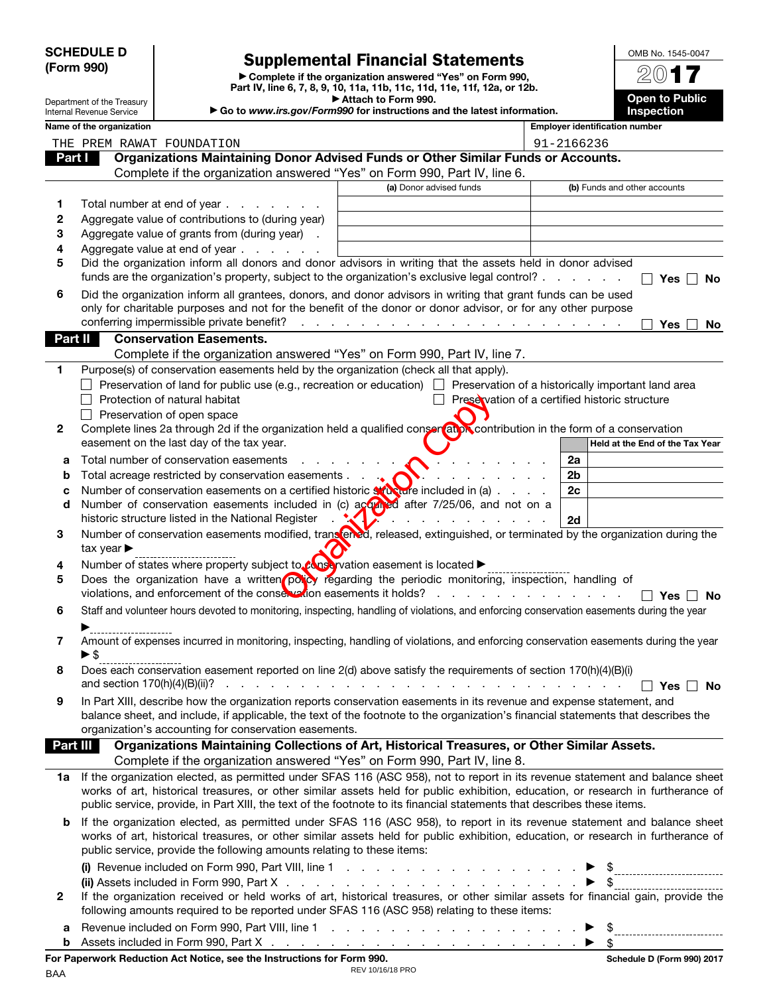| <b>SCHEDULE D</b> |  |
|-------------------|--|
| (Form 990)        |  |

Department of the Treasury

# **Supplemental Financial Statements**

▶ Complete if the organization answered "Yes" on Form 990, **Part IV, line 6, 7, 8, 9, 10, 11a, 11b, 11c, 11d, 11e, 11f, 12a, or 12b.** 

▶ Attach to Form 990.

| OMB No. 1545-0047                          |
|--------------------------------------------|
| 2017                                       |
| <b>Open to Public</b><br><b>Inspection</b> |

| Internal Revenue Service | υσμαιτιποπι νι τισ πτσασμιγ    |                          |                                                                                                                    | Go to www.irs.gov/Form990 for instructions and the latest information.                                                                                                                                                                                                | Inspection                                     |
|--------------------------|--------------------------------|--------------------------|--------------------------------------------------------------------------------------------------------------------|-----------------------------------------------------------------------------------------------------------------------------------------------------------------------------------------------------------------------------------------------------------------------|------------------------------------------------|
|                          |                                | Name of the organization |                                                                                                                    |                                                                                                                                                                                                                                                                       | <b>Employer identification number</b>          |
|                          |                                |                          | THE PREM RAWAT FOUNDATION                                                                                          |                                                                                                                                                                                                                                                                       | 91-2166236                                     |
| Part I                   |                                |                          |                                                                                                                    | Organizations Maintaining Donor Advised Funds or Other Similar Funds or Accounts.                                                                                                                                                                                     |                                                |
|                          |                                |                          |                                                                                                                    | Complete if the organization answered "Yes" on Form 990, Part IV, line 6.                                                                                                                                                                                             |                                                |
|                          |                                |                          |                                                                                                                    | (a) Donor advised funds                                                                                                                                                                                                                                               | (b) Funds and other accounts                   |
| 1.                       |                                |                          | Total number at end of year                                                                                        |                                                                                                                                                                                                                                                                       |                                                |
| 2                        |                                |                          | Aggregate value of contributions to (during year)                                                                  |                                                                                                                                                                                                                                                                       |                                                |
| З                        |                                |                          | Aggregate value of grants from (during year) .                                                                     |                                                                                                                                                                                                                                                                       |                                                |
| 4<br>5                   |                                |                          | Aggregate value at end of year                                                                                     | Did the organization inform all donors and donor advisors in writing that the assets held in donor advised                                                                                                                                                            |                                                |
|                          |                                |                          |                                                                                                                    | funds are the organization's property, subject to the organization's exclusive legal control?                                                                                                                                                                         | $\Box$ Yes $\Box$ No                           |
| 6                        |                                |                          |                                                                                                                    | Did the organization inform all grantees, donors, and donor advisors in writing that grant funds can be used                                                                                                                                                          |                                                |
|                          |                                |                          |                                                                                                                    | only for charitable purposes and not for the benefit of the donor or donor advisor, or for any other purpose                                                                                                                                                          |                                                |
|                          |                                |                          |                                                                                                                    |                                                                                                                                                                                                                                                                       | Yes $  $<br>No                                 |
| Part II                  |                                |                          | <b>Conservation Easements.</b>                                                                                     |                                                                                                                                                                                                                                                                       |                                                |
|                          |                                |                          |                                                                                                                    | Complete if the organization answered "Yes" on Form 990, Part IV, line 7.                                                                                                                                                                                             |                                                |
| 1                        |                                |                          | Purpose(s) of conservation easements held by the organization (check all that apply).                              |                                                                                                                                                                                                                                                                       |                                                |
|                          |                                |                          |                                                                                                                    | Preservation of land for public use (e.g., recreation or education) □ Preservation of a historically important land area                                                                                                                                              |                                                |
|                          |                                |                          | Protection of natural habitat                                                                                      |                                                                                                                                                                                                                                                                       | Preservation of a certified historic structure |
|                          |                                |                          | Preservation of open space                                                                                         |                                                                                                                                                                                                                                                                       |                                                |
| 2                        |                                |                          | easement on the last day of the tax year.                                                                          | Complete lines 2a through 2d if the organization held a qualified conservation contribution in the form of a conservation                                                                                                                                             | Held at the End of the Tax Year                |
|                          |                                |                          | Total number of conservation easements                                                                             |                                                                                                                                                                                                                                                                       | 2a                                             |
| а<br>b                   |                                |                          | Total acreage restricted by conservation easements                                                                 |                                                                                                                                                                                                                                                                       | 2b                                             |
| с                        |                                |                          |                                                                                                                    | Number of conservation easements on a certified historic sx(b) ture included in (a) $\ldots$ .                                                                                                                                                                        | 2c                                             |
| d                        |                                |                          |                                                                                                                    | Number of conservation easements included in (c) acquired after 7/25/06, and not on a                                                                                                                                                                                 |                                                |
|                          |                                |                          | historic structure listed in the National Register                                                                 |                                                                                                                                                                                                                                                                       | 2d                                             |
| З                        | tax year $\blacktriangleright$ |                          |                                                                                                                    | Number of conservation easements modified, transferred, released, extinguished, or terminated by the organization during the                                                                                                                                          |                                                |
| 4                        |                                |                          | Number of states where property subject to $c$ on $\frac{1}{2}$ arvation easement is located $\blacktriangleright$ |                                                                                                                                                                                                                                                                       |                                                |
| 5                        |                                |                          |                                                                                                                    | Does the organization have a written policy regarding the periodic monitoring, inspection, handling of                                                                                                                                                                |                                                |
|                          |                                |                          | violations, and enforcement of the conservation easements it holds?                                                | the contract of the contract of the contract of                                                                                                                                                                                                                       | ∣ ∣ Yes ∣ ∣ No                                 |
| 6                        |                                |                          |                                                                                                                    | Staff and volunteer hours devoted to monitoring, inspecting, handling of violations, and enforcing conservation easements during the year                                                                                                                             |                                                |
|                          |                                |                          |                                                                                                                    |                                                                                                                                                                                                                                                                       |                                                |
| 7                        | ▶\$                            |                          |                                                                                                                    | Amount of expenses incurred in monitoring, inspecting, handling of violations, and enforcing conservation easements during the year                                                                                                                                   |                                                |
| 8                        |                                |                          | and section $170(h)(4)(B)(ii)?$                                                                                    | Does each conservation easement reported on line 2(d) above satisfy the requirements of section 170(h)(4)(B)(i)<br>and a series of the contract of the contract of                                                                                                    | $  $ Yes $  $ No                               |
| 9                        |                                |                          | organization's accounting for conservation easements.                                                              | In Part XIII, describe how the organization reports conservation easements in its revenue and expense statement, and<br>balance sheet, and include, if applicable, the text of the footnote to the organization's financial statements that describes the             |                                                |
| Part III                 |                                |                          |                                                                                                                    | Organizations Maintaining Collections of Art, Historical Treasures, or Other Similar Assets.<br>Complete if the organization answered "Yes" on Form 990, Part IV, line 8.                                                                                             |                                                |
|                          |                                |                          |                                                                                                                    | 1a If the organization elected, as permitted under SFAS 116 (ASC 958), not to report in its revenue statement and balance sheet                                                                                                                                       |                                                |
|                          |                                |                          |                                                                                                                    | works of art, historical treasures, or other similar assets held for public exhibition, education, or research in furtherance of                                                                                                                                      |                                                |
|                          |                                |                          |                                                                                                                    | public service, provide, in Part XIII, the text of the footnote to its financial statements that describes these items.                                                                                                                                               |                                                |
|                          |                                |                          | public service, provide the following amounts relating to these items:                                             | <b>b</b> If the organization elected, as permitted under SFAS 116 (ASC 958), to report in its revenue statement and balance sheet<br>works of art, historical treasures, or other similar assets held for public exhibition, education, or research in furtherance of |                                                |
|                          |                                |                          |                                                                                                                    |                                                                                                                                                                                                                                                                       |                                                |
|                          |                                |                          |                                                                                                                    |                                                                                                                                                                                                                                                                       |                                                |
| 2                        |                                |                          |                                                                                                                    | If the organization received or held works of art, historical treasures, or other similar assets for financial gain, provide the<br>following amounts required to be reported under SFAS 116 (ASC 958) relating to these items:                                       |                                                |
| а                        |                                |                          |                                                                                                                    |                                                                                                                                                                                                                                                                       | -\$                                            |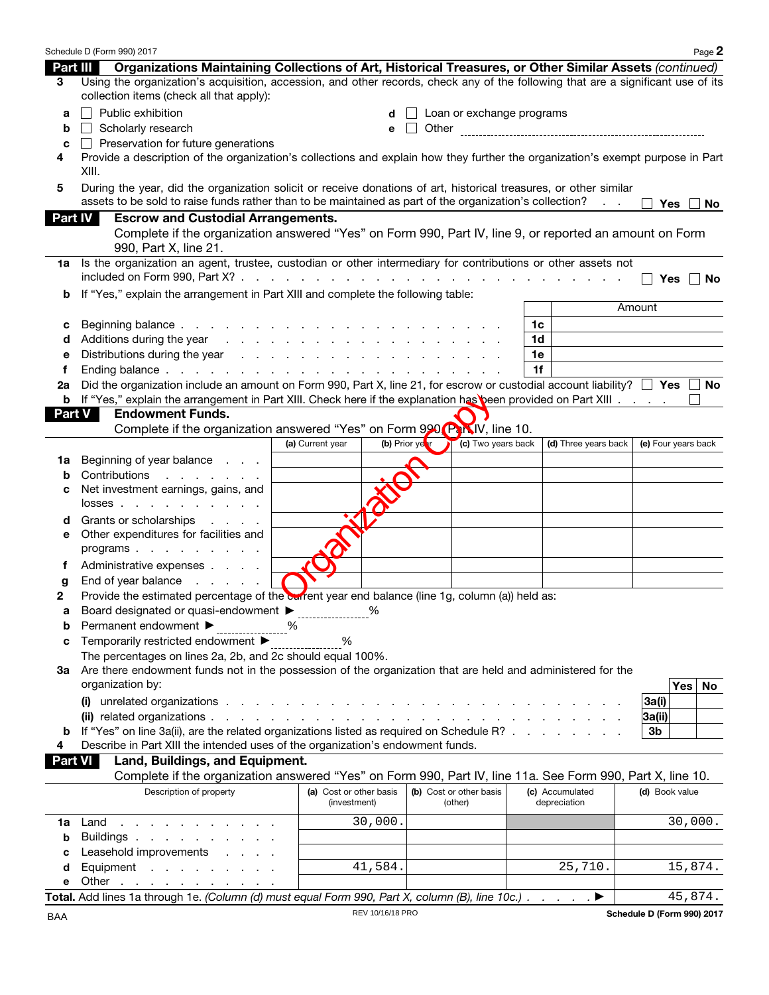|                | Schedule D (Form 990) 2017                                                                                                                                                                                                   |                                         |         |                |                                    |    |                                 | Page 2              |
|----------------|------------------------------------------------------------------------------------------------------------------------------------------------------------------------------------------------------------------------------|-----------------------------------------|---------|----------------|------------------------------------|----|---------------------------------|---------------------|
| Part III       | Organizations Maintaining Collections of Art, Historical Treasures, or Other Similar Assets (continued)                                                                                                                      |                                         |         |                |                                    |    |                                 |                     |
| 3              | Using the organization's acquisition, accession, and other records, check any of the following that are a significant use of its<br>collection items (check all that apply):                                                 |                                         |         |                |                                    |    |                                 |                     |
| a              | Public exhibition                                                                                                                                                                                                            |                                         |         |                | Loan or exchange programs          |    |                                 |                     |
| b              | Scholarly research                                                                                                                                                                                                           |                                         | e       |                |                                    |    |                                 |                     |
| c              | Preservation for future generations                                                                                                                                                                                          |                                         |         |                |                                    |    |                                 |                     |
| 4              | Provide a description of the organization's collections and explain how they further the organization's exempt purpose in Part<br>XIII.                                                                                      |                                         |         |                |                                    |    |                                 |                     |
| 5              | During the year, did the organization solicit or receive donations of art, historical treasures, or other similar<br>assets to be sold to raise funds rather than to be maintained as part of the organization's collection? |                                         |         |                |                                    |    |                                 | Yes<br>No           |
| <b>Part IV</b> | <b>Escrow and Custodial Arrangements.</b>                                                                                                                                                                                    |                                         |         |                |                                    |    |                                 |                     |
|                | Complete if the organization answered "Yes" on Form 990, Part IV, line 9, or reported an amount on Form<br>990, Part X, line 21.                                                                                             |                                         |         |                |                                    |    |                                 |                     |
| 1a             | Is the organization an agent, trustee, custodian or other intermediary for contributions or other assets not<br>included on Form 990, Part $X$ ?                                                                             |                                         |         |                | the contract of the contract of    |    |                                 | ∣ Yes ∣∣No          |
| b              | If "Yes," explain the arrangement in Part XIII and complete the following table:                                                                                                                                             |                                         |         |                |                                    |    |                                 |                     |
|                |                                                                                                                                                                                                                              |                                         |         |                |                                    |    |                                 | Amount              |
| c              |                                                                                                                                                                                                                              |                                         |         |                |                                    | 1c |                                 |                     |
| d              | Additions during the year resonal and resonal and resonal and the set of the set of the set of the set of the                                                                                                                |                                         |         |                |                                    | 1d |                                 |                     |
| е              |                                                                                                                                                                                                                              |                                         |         |                |                                    | 1e |                                 |                     |
| f              |                                                                                                                                                                                                                              |                                         |         |                |                                    | 1f |                                 |                     |
| 2a             | Did the organization include an amount on Form 990, Part X, line 21, for escrow or custodial account liability? $\square$ Yes $\square$                                                                                      |                                         |         |                |                                    |    |                                 | No.                 |
|                | <b>b</b> If "Yes," explain the arrangement in Part XIII. Check here if the explanation has been provided on Part XIII                                                                                                        |                                         |         |                |                                    |    |                                 |                     |
| <b>Part V</b>  | <b>Endowment Funds.</b>                                                                                                                                                                                                      |                                         |         |                |                                    |    |                                 |                     |
|                | Complete if the organization answered "Yes" on Form 990 Par IV, line 10.                                                                                                                                                     |                                         |         |                |                                    |    |                                 |                     |
|                |                                                                                                                                                                                                                              | (a) Current year                        |         | (b) Prior year | (c) Two years back                 |    | (d) Three years back            | (e) Four years back |
| 1a             | Beginning of year balance                                                                                                                                                                                                    |                                         |         |                |                                    |    |                                 |                     |
| b              | Contributions<br>and a state of the state of the                                                                                                                                                                             |                                         |         |                |                                    |    |                                 |                     |
| с              | Net investment earnings, gains, and<br>$losses$                                                                                                                                                                              |                                         |         |                |                                    |    |                                 |                     |
| d              | Grants or scholarships                                                                                                                                                                                                       |                                         |         |                |                                    |    |                                 |                     |
| е              | Other expenditures for facilities and<br>programs                                                                                                                                                                            |                                         |         |                |                                    |    |                                 |                     |
| f              | Administrative expenses                                                                                                                                                                                                      |                                         |         |                |                                    |    |                                 |                     |
| g              | End of year balance                                                                                                                                                                                                          |                                         |         |                |                                    |    |                                 |                     |
| 2              | Provide the estimated percentage of the ourrent year end balance (line 1g, column (a)) held as:                                                                                                                              |                                         |         |                |                                    |    |                                 |                     |
| а              | Board designated or quasi-endowment $\blacktriangleright$                                                                                                                                                                    |                                         | ℅       |                |                                    |    |                                 |                     |
| b              | Permanent endowment ▶                                                                                                                                                                                                        | %                                       |         |                |                                    |    |                                 |                     |
| c              | Temporarily restricted endowment ▶                                                                                                                                                                                           | %                                       |         |                |                                    |    |                                 |                     |
|                | The percentages on lines 2a, 2b, and 2c should equal 100%.                                                                                                                                                                   |                                         |         |                |                                    |    |                                 |                     |
|                | 3a Are there endowment funds not in the possession of the organization that are held and administered for the                                                                                                                |                                         |         |                |                                    |    |                                 |                     |
|                | organization by:                                                                                                                                                                                                             |                                         |         |                |                                    |    |                                 | Yes<br>No           |
|                |                                                                                                                                                                                                                              |                                         |         |                |                                    |    |                                 | 3a(i)               |
|                |                                                                                                                                                                                                                              |                                         |         |                |                                    |    |                                 | 3a(ii)              |
| b              | If "Yes" on line 3a(ii), are the related organizations listed as required on Schedule R?                                                                                                                                     |                                         |         |                |                                    |    |                                 | 3b                  |
| 4              | Describe in Part XIII the intended uses of the organization's endowment funds.                                                                                                                                               |                                         |         |                |                                    |    |                                 |                     |
|                | Land, Buildings, and Equipment.<br><b>Part VI</b>                                                                                                                                                                            |                                         |         |                |                                    |    |                                 |                     |
|                | Complete if the organization answered "Yes" on Form 990, Part IV, line 11a. See Form 990, Part X, line 10.                                                                                                                   |                                         |         |                |                                    |    |                                 |                     |
|                | Description of property                                                                                                                                                                                                      | (a) Cost or other basis<br>(investment) |         |                | (b) Cost or other basis<br>(other) |    | (c) Accumulated<br>depreciation | (d) Book value      |
| 1a             | Land $\cdots$ $\cdots$                                                                                                                                                                                                       |                                         | 30,000. |                |                                    |    |                                 | 30,000.             |
| b              | Buildings                                                                                                                                                                                                                    |                                         |         |                |                                    |    |                                 |                     |
| c              | Leasehold improvements                                                                                                                                                                                                       |                                         |         |                |                                    |    |                                 |                     |
| d              | Equipment                                                                                                                                                                                                                    |                                         | 41,584. |                |                                    |    | 25,710.                         | 15,874.             |
| е              | Other $\cdots$ $\cdots$ $\cdots$                                                                                                                                                                                             |                                         |         |                |                                    |    |                                 |                     |
|                | Total. Add lines 1a through 1e. (Column (d) must equal Form 990, Part X, column (B), line 10c.)                                                                                                                              |                                         |         |                |                                    |    | $\rightarrow$                   | 45,874.             |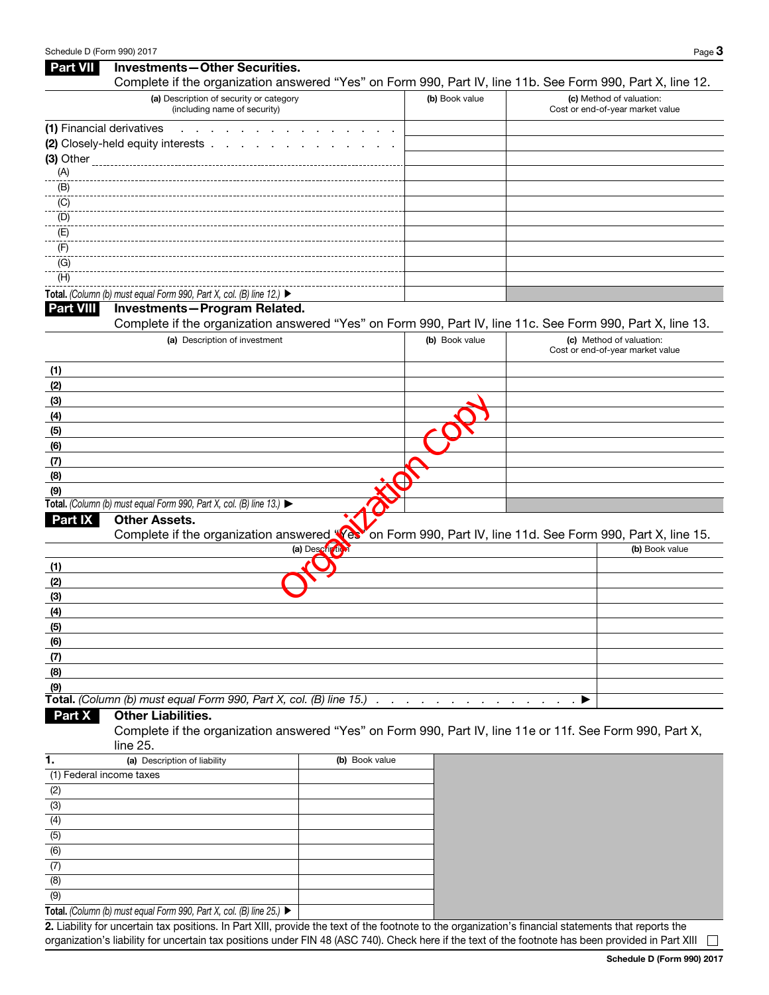| <b>Part VII</b>           | <b>Investments-Other Securities.</b>                                                                                                                                                  |                                       |                                                              |                |
|---------------------------|---------------------------------------------------------------------------------------------------------------------------------------------------------------------------------------|---------------------------------------|--------------------------------------------------------------|----------------|
|                           | Complete if the organization answered "Yes" on Form 990, Part IV, line 11b. See Form 990, Part X, line 12.<br>(a) Description of security or category<br>(including name of security) | (b) Book value                        | (c) Method of valuation:<br>Cost or end-of-year market value |                |
| (1) Financial derivatives |                                                                                                                                                                                       |                                       |                                                              |                |
|                           | (2) Closely-held equity interests .                                                                                                                                                   |                                       |                                                              |                |
| $(3)$ Other               |                                                                                                                                                                                       |                                       |                                                              |                |
| (A)                       |                                                                                                                                                                                       |                                       |                                                              |                |
| (B)                       |                                                                                                                                                                                       |                                       |                                                              |                |
| (C)                       |                                                                                                                                                                                       |                                       |                                                              |                |
| (D)                       |                                                                                                                                                                                       |                                       |                                                              |                |
| (E)                       |                                                                                                                                                                                       |                                       |                                                              |                |
| (F)                       |                                                                                                                                                                                       |                                       |                                                              |                |
| (G)                       |                                                                                                                                                                                       |                                       |                                                              |                |
| (H)                       |                                                                                                                                                                                       |                                       |                                                              |                |
|                           | Total. (Column (b) must equal Form 990, Part X, col. (B) line 12.) ▶                                                                                                                  |                                       |                                                              |                |
| <b>Part VIII</b>          | <b>Investments-Program Related.</b>                                                                                                                                                   |                                       |                                                              |                |
|                           | Complete if the organization answered "Yes" on Form 990, Part IV, line 11c. See Form 990, Part X, line 13.                                                                            |                                       |                                                              |                |
|                           | (a) Description of investment                                                                                                                                                         | (b) Book value                        | (c) Method of valuation:<br>Cost or end-of-year market value |                |
| (1)                       |                                                                                                                                                                                       |                                       |                                                              |                |
| (2)                       |                                                                                                                                                                                       |                                       |                                                              |                |
| (3)                       |                                                                                                                                                                                       |                                       |                                                              |                |
| (4)                       |                                                                                                                                                                                       |                                       |                                                              |                |
| (5)                       |                                                                                                                                                                                       |                                       |                                                              |                |
| (6)                       |                                                                                                                                                                                       |                                       |                                                              |                |
| (7)                       |                                                                                                                                                                                       |                                       |                                                              |                |
| (8)                       |                                                                                                                                                                                       |                                       |                                                              |                |
| (9)                       |                                                                                                                                                                                       |                                       |                                                              |                |
|                           | Total. (Column (b) must equal Form 990, Part X, col. (B) line 13.)                                                                                                                    |                                       |                                                              |                |
| Part IX                   | <b>Other Assets.</b>                                                                                                                                                                  |                                       |                                                              |                |
|                           | Complete if the organization answered "(Pes <sup>wo</sup> on Form 990, Part IV, line 11d. See Form 990, Part X, line 15.<br>(a) Description                                           |                                       |                                                              | (b) Book value |
| (1)                       |                                                                                                                                                                                       |                                       |                                                              |                |
| (2)                       |                                                                                                                                                                                       |                                       |                                                              |                |
| (3)                       |                                                                                                                                                                                       |                                       |                                                              |                |
| (4)                       |                                                                                                                                                                                       |                                       |                                                              |                |
| (5)                       |                                                                                                                                                                                       |                                       |                                                              |                |
| (6)                       |                                                                                                                                                                                       |                                       |                                                              |                |
| (7)                       |                                                                                                                                                                                       |                                       |                                                              |                |
| (8)                       |                                                                                                                                                                                       |                                       |                                                              |                |
| (9)                       |                                                                                                                                                                                       |                                       |                                                              |                |
|                           | Total. (Column (b) must equal Form 990, Part X, col. (B) line 15.).                                                                                                                   | $\mathbf{z} = \mathbf{z}$ .<br>$\sim$ |                                                              |                |
| Part X                    | <b>Other Liabilities.</b><br>Complete if the organization answered "Yes" on Form 990, Part IV, line 11e or 11f. See Form 990, Part X,<br>line 25.                                     |                                       |                                                              |                |
| 1.                        | (a) Description of liability<br>(b) Book value                                                                                                                                        |                                       |                                                              |                |
| (1) Federal income taxes  |                                                                                                                                                                                       |                                       |                                                              |                |
| (2)                       |                                                                                                                                                                                       |                                       |                                                              |                |
| (3)                       |                                                                                                                                                                                       |                                       |                                                              |                |
| (4)                       |                                                                                                                                                                                       |                                       |                                                              |                |
| (5)                       |                                                                                                                                                                                       |                                       |                                                              |                |
| (6)                       |                                                                                                                                                                                       |                                       |                                                              |                |
| (7)                       |                                                                                                                                                                                       |                                       |                                                              |                |
| (8)                       |                                                                                                                                                                                       |                                       |                                                              |                |
| (9)                       |                                                                                                                                                                                       |                                       |                                                              |                |

Total. (Column (b) must equal Form 990, Part X, col. (B) line 25.)

**2.** Liability for uncertain tax positions. In Part XIII, provide the text of the footnote to the organization's financial statements that reports the organization's liability for uncertain tax positions under FIN 48 (ASC 740). Check here if the text of the footnote has been provided in Part XIII  $\Box$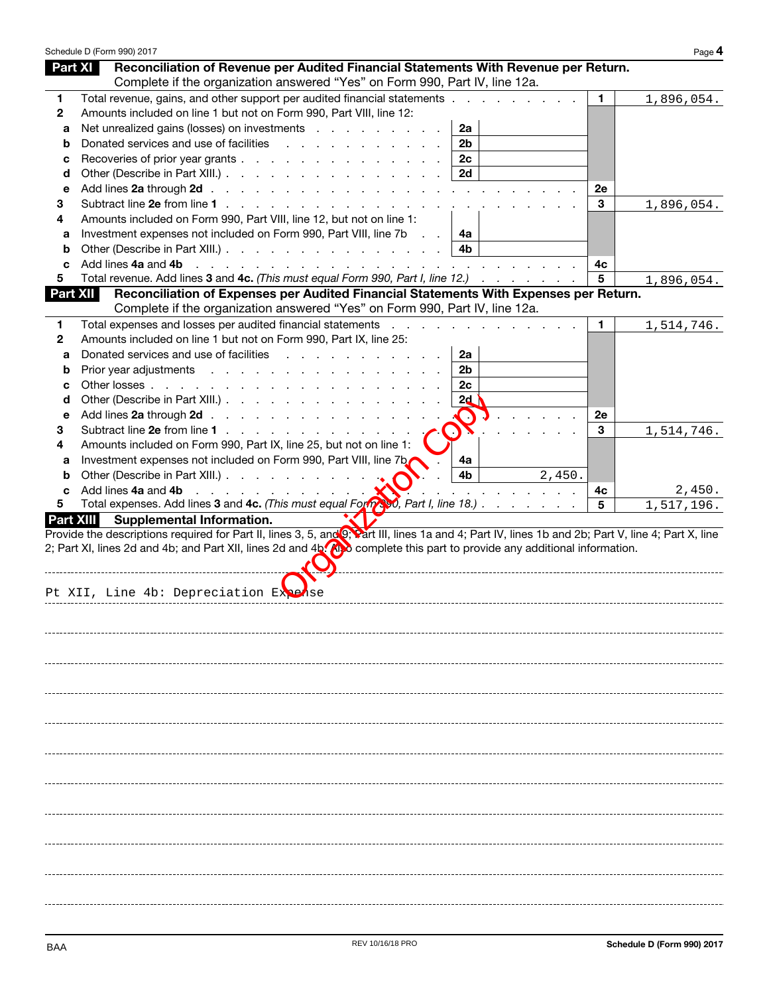|                  | Schedule D (Form 990) 2017                                                                                                                                                                                                                            |                |    | Page 4     |
|------------------|-------------------------------------------------------------------------------------------------------------------------------------------------------------------------------------------------------------------------------------------------------|----------------|----|------------|
| Part XI          | Reconciliation of Revenue per Audited Financial Statements With Revenue per Return.                                                                                                                                                                   |                |    |            |
|                  | Complete if the organization answered "Yes" on Form 990, Part IV, line 12a.                                                                                                                                                                           |                |    |            |
| 1                | Total revenue, gains, and other support per audited financial statements                                                                                                                                                                              |                | 1. | 1,896,054. |
| $\mathbf{2}$     | Amounts included on line 1 but not on Form 990, Part VIII, line 12:                                                                                                                                                                                   |                |    |            |
| a                | Net unrealized gains (losses) on investments                                                                                                                                                                                                          | 2a             |    |            |
| b                | Donated services and use of facilities                                                                                                                                                                                                                | 2 <sub>b</sub> |    |            |
| с                | Recoveries of prior year grants                                                                                                                                                                                                                       | 2c             |    |            |
| d                | Other (Describe in Part XIII.)                                                                                                                                                                                                                        | 2d             |    |            |
| е                |                                                                                                                                                                                                                                                       |                | 2e |            |
| 3                |                                                                                                                                                                                                                                                       |                | 3  | 1,896,054. |
| 4                | Amounts included on Form 990, Part VIII, line 12, but not on line 1:                                                                                                                                                                                  |                |    |            |
| а                | Investment expenses not included on Form 990, Part VIII, line 7b<br>$\sim 100$ km s $^{-1}$                                                                                                                                                           | 4a             |    |            |
| b                | Other (Describe in Part XIII.)                                                                                                                                                                                                                        | 4b             |    |            |
| С                | Add lines 4a and 4b<br>and the company of the company of the company of the company of the company of the company of the company of the company of the company of the company of the company of the company of the company of the company of the comp |                | 4c |            |
| 5                | Total revenue. Add lines 3 and 4c. (This must equal Form 990, Part I, line 12.)                                                                                                                                                                       |                | 5  | 1,896,054. |
| <b>Part XII</b>  | Reconciliation of Expenses per Audited Financial Statements With Expenses per Return.                                                                                                                                                                 |                |    |            |
|                  | Complete if the organization answered "Yes" on Form 990, Part IV, line 12a.                                                                                                                                                                           |                |    |            |
| 1                | Total expenses and losses per audited financial statements                                                                                                                                                                                            |                | 1. | 1,514,746. |
| $\mathbf 2$      | Amounts included on line 1 but not on Form 990, Part IX, line 25:                                                                                                                                                                                     |                |    |            |
| a                | Donated services and use of facilities                                                                                                                                                                                                                | 2a             |    |            |
| b                | Prior year adjustments                                                                                                                                                                                                                                | 2 <sub>b</sub> |    |            |
| с                |                                                                                                                                                                                                                                                       | 2c             |    |            |
| d                | Other (Describe in Part XIII.)                                                                                                                                                                                                                        | 2d             |    |            |
| е                | Add lines 2a through 2d                                                                                                                                                                                                                               | J.             | 2e |            |
| 3                | Subtract line 2e from line 1                                                                                                                                                                                                                          |                | 3  | 1,514,746. |
| 4                | Amounts included on Form 990, Part IX, line 25, but not on line 1:                                                                                                                                                                                    |                |    |            |
| а                | Investment expenses not included on Form 990, Part VIII, line 7b                                                                                                                                                                                      | 4а             |    |            |
| b                | Other (Describe in Part XIII.)                                                                                                                                                                                                                        | 4b<br>2,450.   |    |            |
| c                | Add lines 4a and 4b<br>and the contract of the contract of                                                                                                                                                                                            |                | 4с | 2,450.     |
| 5                | Total expenses. Add lines 3 and 4c. (This must equal Form Qu), Part I, line 18.)                                                                                                                                                                      |                | 5  | 1,517,196. |
| <b>Part XIII</b> | <b>Supplemental Information.</b>                                                                                                                                                                                                                      |                |    |            |
|                  | Provide the descriptions required for Part II, lines 3, 5, and ON Part III, lines 1a and 4; Part IV, lines 1b and 2b; Part V, line 4; Part X, line                                                                                                    |                |    |            |
|                  | 2; Part XI, lines 2d and 4b; and Part XII, lines 2d and 4b. Also complete this part to provide any additional information.                                                                                                                            |                |    |            |
|                  |                                                                                                                                                                                                                                                       |                |    |            |
|                  |                                                                                                                                                                                                                                                       |                |    |            |
|                  | Pt XII, Line 4b: Depreciation Expense                                                                                                                                                                                                                 |                |    |            |
|                  |                                                                                                                                                                                                                                                       |                |    |            |
|                  |                                                                                                                                                                                                                                                       |                |    |            |
|                  |                                                                                                                                                                                                                                                       |                |    |            |
|                  |                                                                                                                                                                                                                                                       |                |    |            |
|                  |                                                                                                                                                                                                                                                       |                |    |            |
|                  |                                                                                                                                                                                                                                                       |                |    |            |
|                  |                                                                                                                                                                                                                                                       |                |    |            |
|                  |                                                                                                                                                                                                                                                       |                |    |            |
|                  |                                                                                                                                                                                                                                                       |                |    |            |
|                  |                                                                                                                                                                                                                                                       |                |    |            |
|                  |                                                                                                                                                                                                                                                       |                |    |            |
|                  |                                                                                                                                                                                                                                                       |                |    |            |
|                  |                                                                                                                                                                                                                                                       |                |    |            |
|                  |                                                                                                                                                                                                                                                       |                |    |            |
|                  |                                                                                                                                                                                                                                                       |                |    |            |
|                  |                                                                                                                                                                                                                                                       |                |    |            |
|                  |                                                                                                                                                                                                                                                       |                |    |            |
|                  |                                                                                                                                                                                                                                                       |                |    |            |
|                  |                                                                                                                                                                                                                                                       |                |    |            |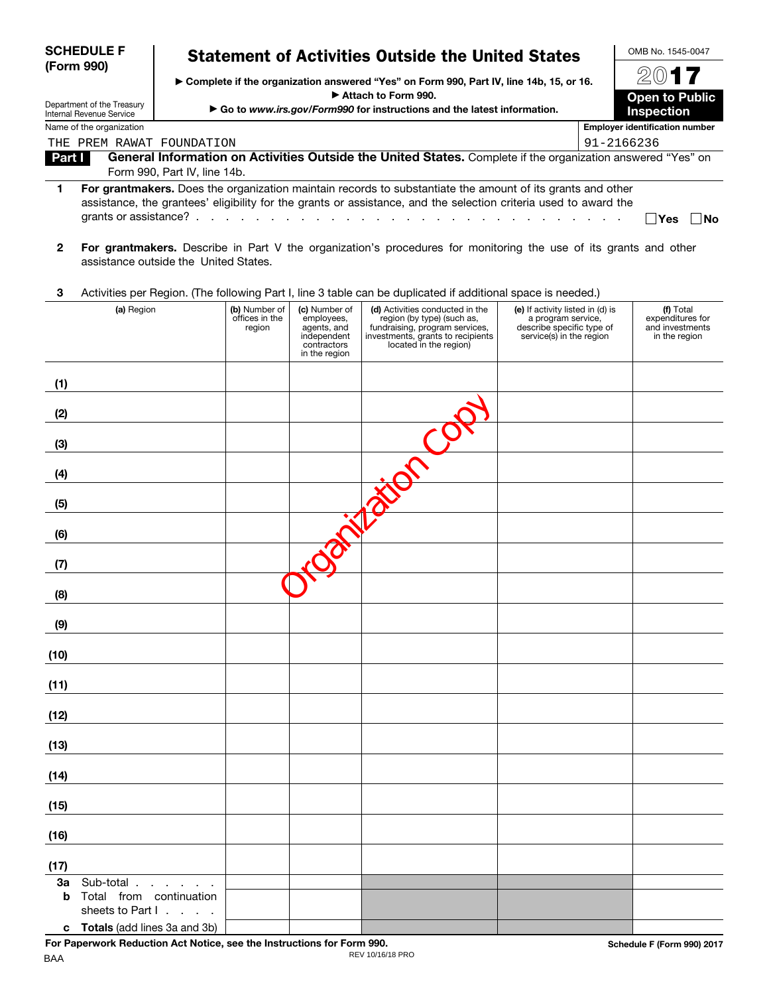| <b>SCHEDULE F</b><br>(Form 990) |                                                        |                                                                                          |                                                                                                             |                                                                                           | <b>Statement of Activities Outside the United States</b>                                                                                                                                                                       |                                                                                                                 |  | OMB No. 1545-0047                                                 |
|---------------------------------|--------------------------------------------------------|------------------------------------------------------------------------------------------|-------------------------------------------------------------------------------------------------------------|-------------------------------------------------------------------------------------------|--------------------------------------------------------------------------------------------------------------------------------------------------------------------------------------------------------------------------------|-----------------------------------------------------------------------------------------------------------------|--|-------------------------------------------------------------------|
|                                 |                                                        | ▶ Complete if the organization answered "Yes" on Form 990, Part IV, line 14b, 15, or 16. |                                                                                                             |                                                                                           |                                                                                                                                                                                                                                |                                                                                                                 |  | 2017                                                              |
|                                 |                                                        |                                                                                          |                                                                                                             |                                                                                           | Attach to Form 990.                                                                                                                                                                                                            |                                                                                                                 |  | Open to Public                                                    |
|                                 | Department of the Treasury<br>Internal Revenue Service |                                                                                          |                                                                                                             |                                                                                           | Go to www.irs.gov/Form990 for instructions and the latest information.                                                                                                                                                         |                                                                                                                 |  | <b>Inspection</b>                                                 |
|                                 | Name of the organization                               |                                                                                          |                                                                                                             |                                                                                           |                                                                                                                                                                                                                                |                                                                                                                 |  | <b>Employer identification number</b>                             |
| Part I                          | THE PREM RAWAT FOUNDATION                              | 91-2166236                                                                               | General Information on Activities Outside the United States. Complete if the organization answered "Yes" on |                                                                                           |                                                                                                                                                                                                                                |                                                                                                                 |  |                                                                   |
|                                 |                                                        | Form 990, Part IV, line 14b.                                                             |                                                                                                             |                                                                                           |                                                                                                                                                                                                                                |                                                                                                                 |  |                                                                   |
| 1                               | grants or assistance?                                  |                                                                                          |                                                                                                             |                                                                                           | For grantmakers. Does the organization maintain records to substantiate the amount of its grants and other<br>assistance, the grantees' eligibility for the grants or assistance, and the selection criteria used to award the |                                                                                                                 |  | ∣ ∣No<br>l lYes                                                   |
| $\mathbf{2}$                    | assistance outside the United States.                  |                                                                                          |                                                                                                             |                                                                                           | For grantmakers. Describe in Part V the organization's procedures for monitoring the use of its grants and other                                                                                                               |                                                                                                                 |  |                                                                   |
| 3                               |                                                        |                                                                                          |                                                                                                             |                                                                                           | Activities per Region. (The following Part I, line 3 table can be duplicated if additional space is needed.)                                                                                                                   |                                                                                                                 |  |                                                                   |
|                                 | (a) Region                                             |                                                                                          | (b) Number of<br>offices in the<br>region                                                                   | (c) Number of<br>employees,<br>agents, and<br>independent<br>contractors<br>in the region | (d) Activities conducted in the<br>region (by type) (such as,<br>fundraising, program services,<br>investments, grants to recipients<br>located in the region)                                                                 | (e) If activity listed in (d) is<br>a program service,<br>describe specific type of<br>service(s) in the region |  | (f) Total<br>expenditures for<br>and investments<br>in the region |
| (1)                             |                                                        |                                                                                          |                                                                                                             |                                                                                           |                                                                                                                                                                                                                                |                                                                                                                 |  |                                                                   |
| (2)                             |                                                        |                                                                                          |                                                                                                             |                                                                                           |                                                                                                                                                                                                                                |                                                                                                                 |  |                                                                   |
| (3)                             |                                                        |                                                                                          |                                                                                                             |                                                                                           |                                                                                                                                                                                                                                |                                                                                                                 |  |                                                                   |
| (4)                             |                                                        |                                                                                          |                                                                                                             |                                                                                           |                                                                                                                                                                                                                                |                                                                                                                 |  |                                                                   |
| (5)                             |                                                        |                                                                                          |                                                                                                             |                                                                                           |                                                                                                                                                                                                                                |                                                                                                                 |  |                                                                   |
| (6)                             |                                                        |                                                                                          |                                                                                                             |                                                                                           |                                                                                                                                                                                                                                |                                                                                                                 |  |                                                                   |
| (7)                             |                                                        |                                                                                          |                                                                                                             |                                                                                           |                                                                                                                                                                                                                                |                                                                                                                 |  |                                                                   |
| (8)                             |                                                        |                                                                                          |                                                                                                             |                                                                                           |                                                                                                                                                                                                                                |                                                                                                                 |  |                                                                   |
| (9)                             |                                                        |                                                                                          |                                                                                                             |                                                                                           |                                                                                                                                                                                                                                |                                                                                                                 |  |                                                                   |
| (10)                            |                                                        |                                                                                          |                                                                                                             |                                                                                           |                                                                                                                                                                                                                                |                                                                                                                 |  |                                                                   |
| (11)                            |                                                        |                                                                                          |                                                                                                             |                                                                                           |                                                                                                                                                                                                                                |                                                                                                                 |  |                                                                   |
| (12)                            |                                                        |                                                                                          |                                                                                                             |                                                                                           |                                                                                                                                                                                                                                |                                                                                                                 |  |                                                                   |
| (13)                            |                                                        |                                                                                          |                                                                                                             |                                                                                           |                                                                                                                                                                                                                                |                                                                                                                 |  |                                                                   |
| (14)                            |                                                        |                                                                                          |                                                                                                             |                                                                                           |                                                                                                                                                                                                                                |                                                                                                                 |  |                                                                   |
| (15)                            |                                                        |                                                                                          |                                                                                                             |                                                                                           |                                                                                                                                                                                                                                |                                                                                                                 |  |                                                                   |
| (16)                            |                                                        |                                                                                          |                                                                                                             |                                                                                           |                                                                                                                                                                                                                                |                                                                                                                 |  |                                                                   |
| (17)                            |                                                        |                                                                                          |                                                                                                             |                                                                                           |                                                                                                                                                                                                                                |                                                                                                                 |  |                                                                   |
| За                              | Sub-total.                                             | and a state of the                                                                       |                                                                                                             |                                                                                           |                                                                                                                                                                                                                                |                                                                                                                 |  |                                                                   |
| b                               | Total from continuation<br>sheets to Part I.           |                                                                                          |                                                                                                             |                                                                                           |                                                                                                                                                                                                                                |                                                                                                                 |  |                                                                   |
| c                               | Totals (add lines 3a and 3b)                           |                                                                                          |                                                                                                             |                                                                                           |                                                                                                                                                                                                                                |                                                                                                                 |  |                                                                   |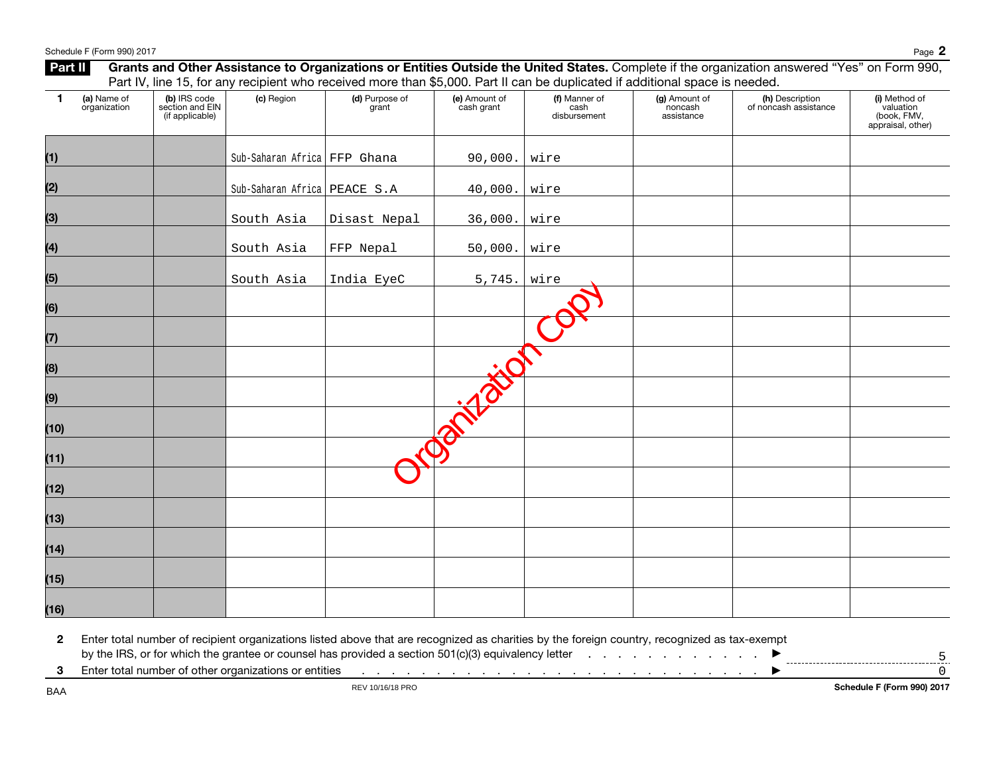BAA

|                |                             |                                                    |                              | Part IV, line 15, for any recipient who received more than \$5,000. Part II can be duplicated if additional space is needed. |                             |                                       |                                        |                                          |                                                                |
|----------------|-----------------------------|----------------------------------------------------|------------------------------|------------------------------------------------------------------------------------------------------------------------------|-----------------------------|---------------------------------------|----------------------------------------|------------------------------------------|----------------------------------------------------------------|
| $\mathbf{1}$   | (a) Name of<br>organization | (b) IRS code<br>section and EIN<br>(if applicable) | (c) Region                   | (d) Purpose of<br>grant                                                                                                      | (e) Amount of<br>cash grant | (f) Manner of<br>cash<br>disbursement | (g) Amount of<br>noncash<br>assistance | (h) Description<br>of noncash assistance | (i) Method of<br>valuation<br>(book, FMV,<br>appraisal, other) |
| (1)            |                             |                                                    | Sub-Saharan Africa FFP Ghana |                                                                                                                              | 90,000.                     | wire                                  |                                        |                                          |                                                                |
| (2)            |                             |                                                    | Sub-Saharan Africa PEACE S.A |                                                                                                                              | 40,000.                     | wire                                  |                                        |                                          |                                                                |
| (3)            |                             |                                                    | South Asia                   | Disast Nepal                                                                                                                 | 36,000.                     | wire                                  |                                        |                                          |                                                                |
| (4)            |                             |                                                    | South Asia                   | FFP Nepal                                                                                                                    | 50,000.                     | wire                                  |                                        |                                          |                                                                |
| (5)            |                             |                                                    | South Asia                   | India EyeC                                                                                                                   | 5,745.                      | wire                                  |                                        |                                          |                                                                |
| $\overline{6}$ |                             |                                                    |                              |                                                                                                                              |                             |                                       |                                        |                                          |                                                                |
| (7)            |                             |                                                    |                              |                                                                                                                              |                             |                                       |                                        |                                          |                                                                |
| (8)            |                             |                                                    |                              |                                                                                                                              |                             |                                       |                                        |                                          |                                                                |
| (9)            |                             |                                                    |                              |                                                                                                                              | <b>HIP HAY</b>              |                                       |                                        |                                          |                                                                |
| (10)           |                             |                                                    |                              |                                                                                                                              |                             |                                       |                                        |                                          |                                                                |
| (11)           |                             |                                                    |                              |                                                                                                                              |                             |                                       |                                        |                                          |                                                                |
| (12)           |                             |                                                    |                              |                                                                                                                              |                             |                                       |                                        |                                          |                                                                |
| (13)           |                             |                                                    |                              |                                                                                                                              |                             |                                       |                                        |                                          |                                                                |
| (14)           |                             |                                                    |                              |                                                                                                                              |                             |                                       |                                        |                                          |                                                                |
| (15)           |                             |                                                    |                              |                                                                                                                              |                             |                                       |                                        |                                          |                                                                |
| (16)           |                             |                                                    |                              |                                                                                                                              |                             |                                       |                                        |                                          |                                                                |

Part II Grants and Other Assistance to Organizations or Entities Outside the United States. Complete if the organization answered "Yes" on Form 990,

**2** Enter total number of recipient organizations listed above that are recognized as charities by the foreign country, recognized as tax-exempt by the IRS, or for which the grantee or counsel has provided a section 501(c)(3) equivalency letter ............ a **3** Enter total number of other organizations or entities ........................... a

REV 10/16/18 PRO

0  $\frac{5}{2}$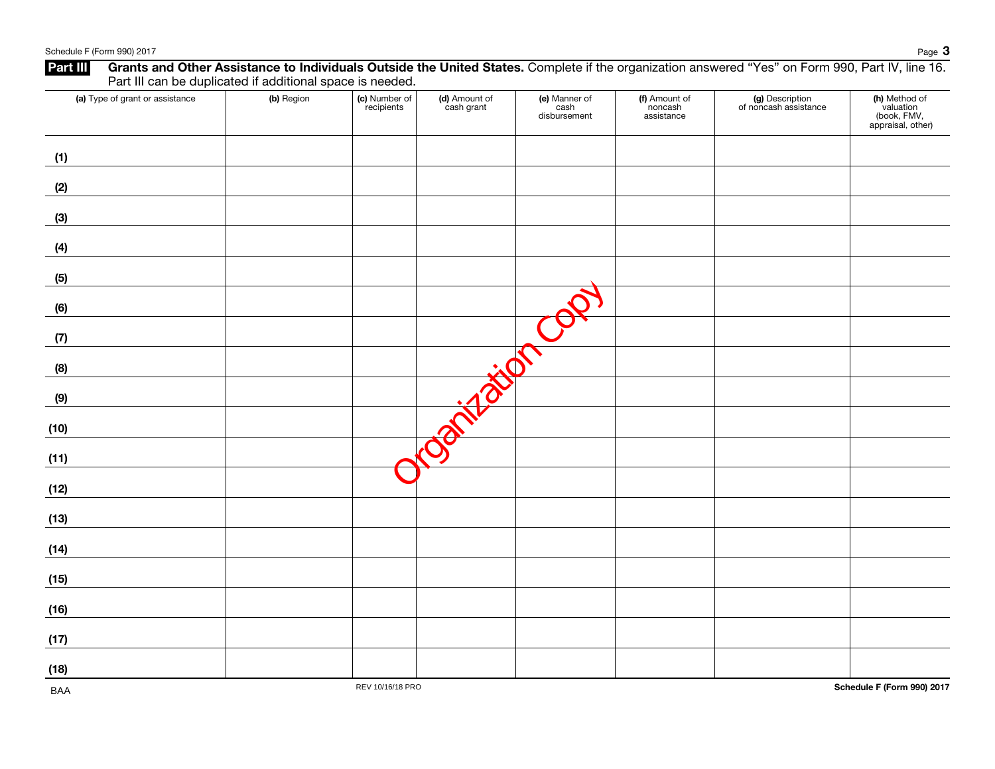| Part III can be duplicated if additional space is needed. |            |                             |                             |                                       |                                        |                                          |                                                                |
|-----------------------------------------------------------|------------|-----------------------------|-----------------------------|---------------------------------------|----------------------------------------|------------------------------------------|----------------------------------------------------------------|
| (a) Type of grant or assistance                           | (b) Region | (c) Number of<br>recipients | (d) Amount of<br>cash grant | (e) Manner of<br>cash<br>disbursement | (f) Amount of<br>noncash<br>assistance | (g) Description<br>of noncash assistance | (h) Method of<br>valuation<br>(book, FMV,<br>appraisal, other) |
| (1)                                                       |            |                             |                             |                                       |                                        |                                          |                                                                |
| (2)                                                       |            |                             |                             |                                       |                                        |                                          |                                                                |
| (3)                                                       |            |                             |                             |                                       |                                        |                                          |                                                                |
| (4)                                                       |            |                             |                             |                                       |                                        |                                          |                                                                |
| (5)                                                       |            |                             |                             |                                       |                                        |                                          |                                                                |
| (6)                                                       |            |                             |                             |                                       |                                        |                                          |                                                                |
| (7)                                                       |            |                             |                             |                                       |                                        |                                          |                                                                |
| (8)                                                       |            |                             |                             |                                       |                                        |                                          |                                                                |
| (9)                                                       |            |                             | $\frac{1}{2}$               |                                       |                                        |                                          |                                                                |
| (10)                                                      |            |                             |                             |                                       |                                        |                                          |                                                                |
| (11)                                                      |            |                             |                             |                                       |                                        |                                          |                                                                |
| (12)                                                      |            |                             |                             |                                       |                                        |                                          |                                                                |
| (13)                                                      |            |                             |                             |                                       |                                        |                                          |                                                                |
| (14)                                                      |            |                             |                             |                                       |                                        |                                          |                                                                |
| (15)                                                      |            |                             |                             |                                       |                                        |                                          |                                                                |
| (16)                                                      |            |                             |                             |                                       |                                        |                                          |                                                                |
| (17)                                                      |            |                             |                             |                                       |                                        |                                          |                                                                |
| (18)                                                      |            |                             |                             |                                       |                                        |                                          |                                                                |
| <b>BAA</b>                                                |            | REV 10/16/18 PRO            |                             |                                       |                                        |                                          | Schedule F (Form 990) 2017                                     |

Part III Grants and Other Assistance to Individuals Outside the United States. Complete if the organization answered "Yes" on Form 990, Part IV, line 16.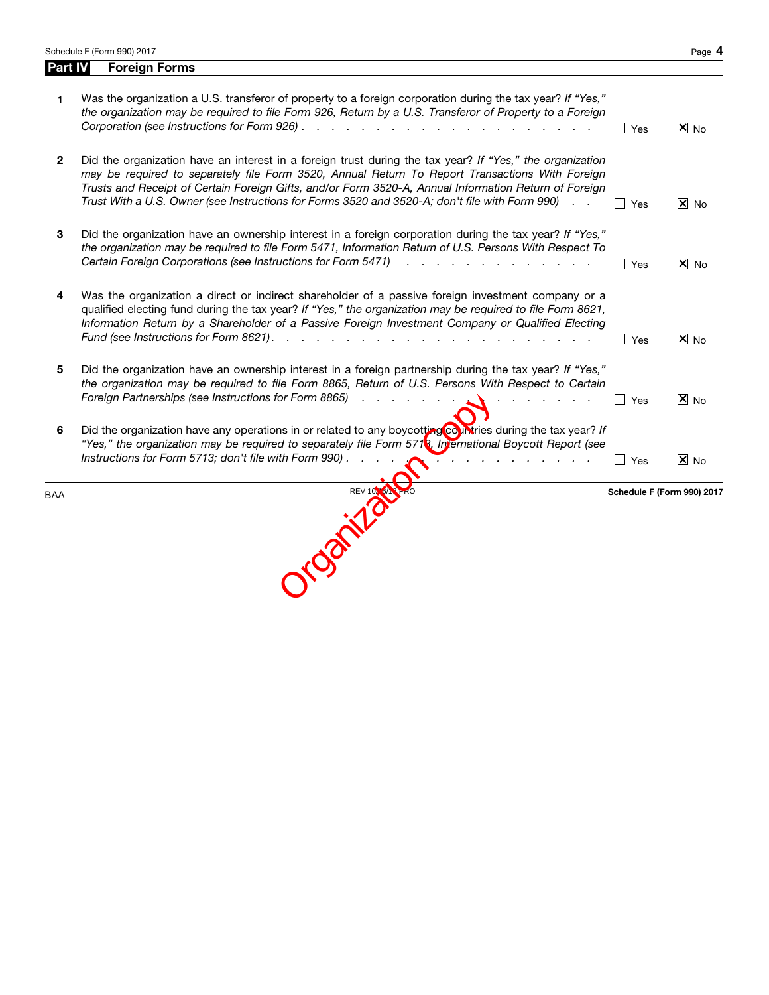Schedule F (Form 990) 2017 Page **4**

| <b>Foreign Forms</b><br>Part IV                                                                                                                                                                                                                                                                                                                                                        |                                                                                                                                                                                                                                                                                                                                                                                                                                                                                                                                                                                                                                                                                                                                                                                                                                                                                                                                                                                                                                                                                                             |                                                                                                                                                                                                                                                                                                                                                           |
|----------------------------------------------------------------------------------------------------------------------------------------------------------------------------------------------------------------------------------------------------------------------------------------------------------------------------------------------------------------------------------------|-------------------------------------------------------------------------------------------------------------------------------------------------------------------------------------------------------------------------------------------------------------------------------------------------------------------------------------------------------------------------------------------------------------------------------------------------------------------------------------------------------------------------------------------------------------------------------------------------------------------------------------------------------------------------------------------------------------------------------------------------------------------------------------------------------------------------------------------------------------------------------------------------------------------------------------------------------------------------------------------------------------------------------------------------------------------------------------------------------------|-----------------------------------------------------------------------------------------------------------------------------------------------------------------------------------------------------------------------------------------------------------------------------------------------------------------------------------------------------------|
|                                                                                                                                                                                                                                                                                                                                                                                        | Yes                                                                                                                                                                                                                                                                                                                                                                                                                                                                                                                                                                                                                                                                                                                                                                                                                                                                                                                                                                                                                                                                                                         | $X_{\text{No}}$                                                                                                                                                                                                                                                                                                                                           |
| Trust With a U.S. Owner (see Instructions for Forms 3520 and 3520-A; don't file with Form 990)                                                                                                                                                                                                                                                                                         | Yes                                                                                                                                                                                                                                                                                                                                                                                                                                                                                                                                                                                                                                                                                                                                                                                                                                                                                                                                                                                                                                                                                                         | $X$ No                                                                                                                                                                                                                                                                                                                                                    |
| Certain Foreign Corporations (see Instructions for Form 5471)<br>and a state of the state of the state of                                                                                                                                                                                                                                                                              | Yes                                                                                                                                                                                                                                                                                                                                                                                                                                                                                                                                                                                                                                                                                                                                                                                                                                                                                                                                                                                                                                                                                                         | $\overline{X}$ No                                                                                                                                                                                                                                                                                                                                         |
| qualified electing fund during the tax year? If "Yes," the organization may be required to file Form 8621,<br>Fund (see Instructions for Form 8621).<br>and the contract of the contract of the contract of the contract of the contract of the contract of the contract of the contract of the contract of the contract of the contract of the contract of the contract of the contra | Yes                                                                                                                                                                                                                                                                                                                                                                                                                                                                                                                                                                                                                                                                                                                                                                                                                                                                                                                                                                                                                                                                                                         | $X$ No                                                                                                                                                                                                                                                                                                                                                    |
| Foreign Partnerships (see Instructions for Form 8865)                                                                                                                                                                                                                                                                                                                                  | Yes                                                                                                                                                                                                                                                                                                                                                                                                                                                                                                                                                                                                                                                                                                                                                                                                                                                                                                                                                                                                                                                                                                         | $X$ No                                                                                                                                                                                                                                                                                                                                                    |
| Instructions for Form 5713; don't file with Form 990).                                                                                                                                                                                                                                                                                                                                 | Yes                                                                                                                                                                                                                                                                                                                                                                                                                                                                                                                                                                                                                                                                                                                                                                                                                                                                                                                                                                                                                                                                                                         | $X$ <sub>No</sub>                                                                                                                                                                                                                                                                                                                                         |
|                                                                                                                                                                                                                                                                                                                                                                                        |                                                                                                                                                                                                                                                                                                                                                                                                                                                                                                                                                                                                                                                                                                                                                                                                                                                                                                                                                                                                                                                                                                             |                                                                                                                                                                                                                                                                                                                                                           |
|                                                                                                                                                                                                                                                                                                                                                                                        | Was the organization a U.S. transferor of property to a foreign corporation during the tax year? If "Yes,"<br>Did the organization have an interest in a foreign trust during the tax year? If "Yes," the organization<br>may be required to separately file Form 3520, Annual Return To Report Transactions With Foreign<br>Trusts and Receipt of Certain Foreign Gifts, and/or Form 3520-A, Annual Information Return of Foreign<br>Did the organization have an ownership interest in a foreign corporation during the tax year? If "Yes,"<br>the organization may be required to file Form 5471, Information Return of U.S. Persons With Respect To<br>Was the organization a direct or indirect shareholder of a passive foreign investment company or a<br>Information Return by a Shareholder of a Passive Foreign Investment Company or Qualified Electing<br>Did the organization have an ownership interest in a foreign partnership during the tax year? If "Yes,"<br>"Yes," the organization may be required to separately file Form $571\%$ , International Boycott Report (see<br>REV 102 PRO | the organization may be required to file Form 926, Return by a U.S. Transferor of Property to a Foreign<br>the organization may be required to file Form 8865, Return of U.S. Persons With Respect to Certain<br>Did the organization have any operations in or related to any boycotting countries during the tax year? If<br>Schedule F (Form 990) 2017 |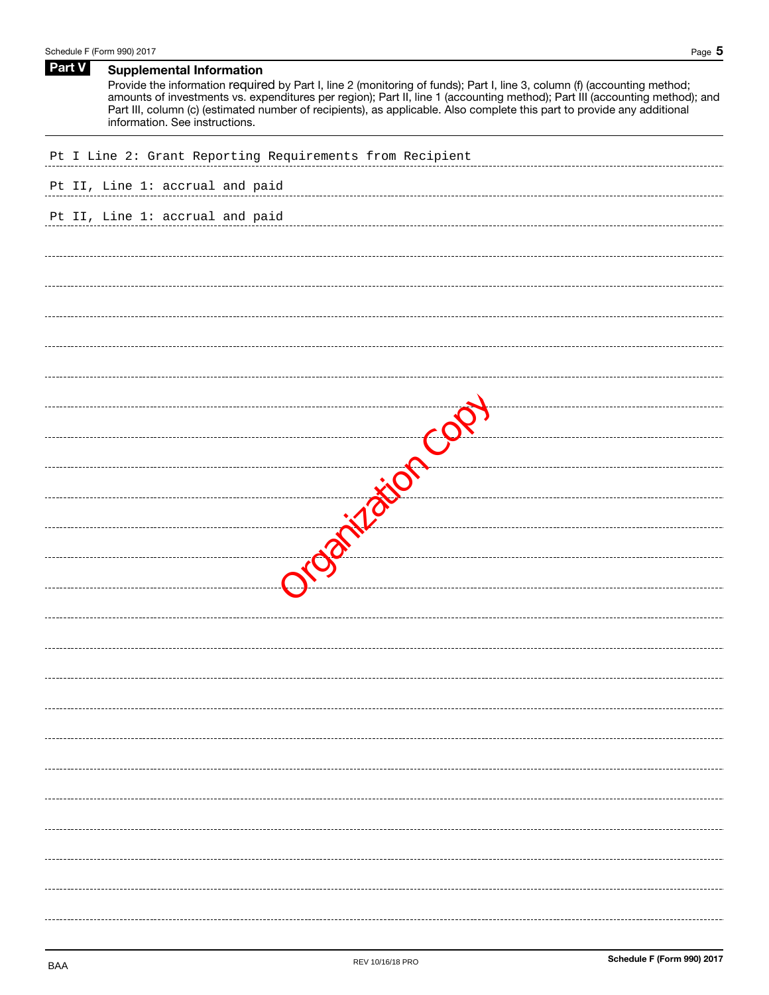# **Part V** Supplemental Information

Provide the information required by Part I, line 2 (monitoring of funds); Part I, line 3, column (f) (accounting method; amounts of investments vs. expenditures per region); Part II, line 1 (accounting method); Part III (accounting method); and Part III, column (c) (estimated number of recipients), as applicable. Also complete this part to provide any additional information. See instructions.

| Pt I Line 2: Grant Reporting Requirements from Recipient |
|----------------------------------------------------------|
| Pt II, Line 1: accrual and paid                          |
| Pt II, Line 1: accrual and paid                          |
|                                                          |
|                                                          |
|                                                          |
|                                                          |
|                                                          |
|                                                          |
|                                                          |
|                                                          |
|                                                          |
|                                                          |
|                                                          |
|                                                          |
| <b>12/11/2</b>                                           |
|                                                          |
|                                                          |
|                                                          |
|                                                          |
|                                                          |
|                                                          |
|                                                          |
|                                                          |
| ------------------------------------                     |
|                                                          |
|                                                          |
|                                                          |
|                                                          |
|                                                          |
|                                                          |
|                                                          |
|                                                          |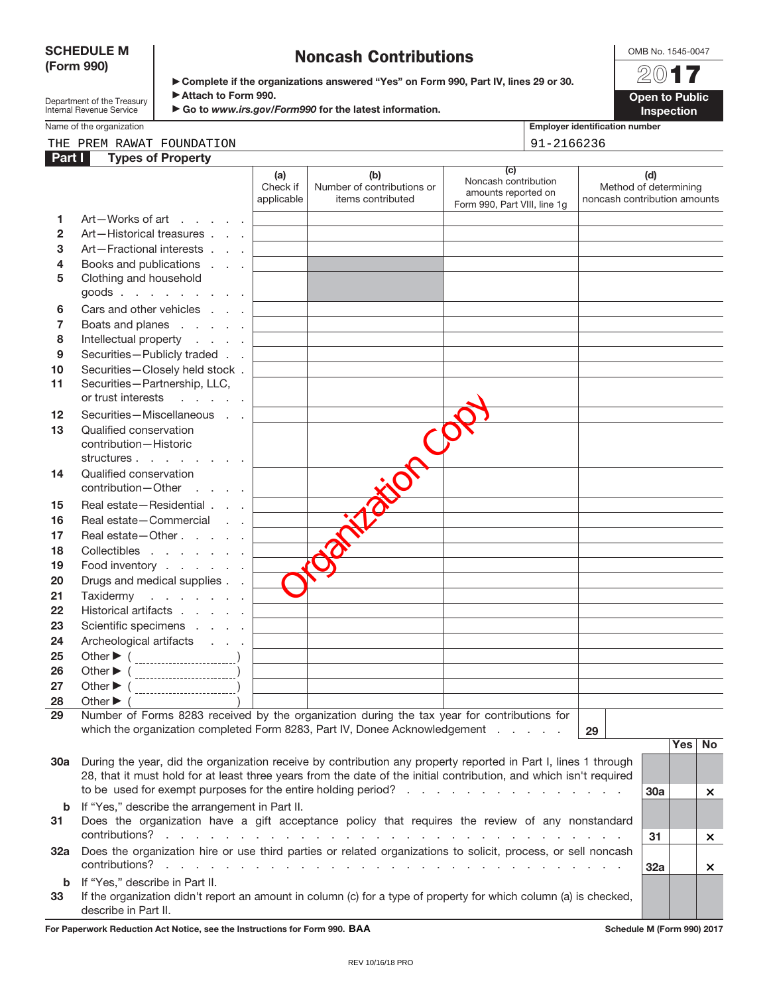# **SCHEDULE M (Form 990)**

# **Noncash Contributions**

OMB No. 1545-0047 20**17**

> **Open to Public Inspection**

a **Complete if the organizations answered "Yes" on Form 990, Part IV, lines 29 or 30.** Attach to Form 990.

Department of the Treasury Internal Revenue Service

▶ Go to *www.irs.gov/Form990* for the latest information.

| Name of<br>e organization (<br>r tne<br>. . | <br>· identification<br>ulover | number |
|---------------------------------------------|--------------------------------|--------|

|              | THE PREM RAWAT FOUNDATION                                                                                      |                               |                                                        |                                                                                    | 91-2166236                                                   |                         |
|--------------|----------------------------------------------------------------------------------------------------------------|-------------------------------|--------------------------------------------------------|------------------------------------------------------------------------------------|--------------------------------------------------------------|-------------------------|
| Part I       | <b>Types of Property</b>                                                                                       |                               |                                                        |                                                                                    |                                                              |                         |
|              |                                                                                                                | (a)<br>Check if<br>applicable | (b)<br>Number of contributions or<br>items contributed | (c)<br>Noncash contribution<br>amounts reported on<br>Form 990, Part VIII, line 1q | (d)<br>Method of determining<br>noncash contribution amounts |                         |
| 1            | Art-Works of art                                                                                               |                               |                                                        |                                                                                    |                                                              |                         |
| $\mathbf{2}$ | Art-Historical treasures                                                                                       |                               |                                                        |                                                                                    |                                                              |                         |
| 3            | Art-Fractional interests                                                                                       |                               |                                                        |                                                                                    |                                                              |                         |
| 4            | Books and publications                                                                                         |                               |                                                        |                                                                                    |                                                              |                         |
| 5            | Clothing and household<br>$goods$                                                                              |                               |                                                        |                                                                                    |                                                              |                         |
| 6            | Cars and other vehicles                                                                                        |                               |                                                        |                                                                                    |                                                              |                         |
| 7            | Boats and planes                                                                                               |                               |                                                        |                                                                                    |                                                              |                         |
| 8            | Intellectual property                                                                                          |                               |                                                        |                                                                                    |                                                              |                         |
| 9            | Securities-Publicly traded                                                                                     |                               |                                                        |                                                                                    |                                                              |                         |
| 10           | Securities-Closely held stock.                                                                                 |                               |                                                        |                                                                                    |                                                              |                         |
| 11           | Securities-Partnership, LLC,<br>or trust interests                                                             |                               |                                                        |                                                                                    |                                                              |                         |
| 12           | Securities-Miscellaneous.                                                                                      |                               |                                                        |                                                                                    |                                                              |                         |
| 13           | Qualified conservation<br>contribution - Historic<br>structures                                                |                               |                                                        |                                                                                    |                                                              |                         |
| 14           | Qualified conservation<br>contribution-Other                                                                   |                               |                                                        |                                                                                    |                                                              |                         |
| 15           | Real estate – Residential                                                                                      |                               |                                                        |                                                                                    |                                                              |                         |
| 16           | Real estate-Commercial                                                                                         |                               |                                                        |                                                                                    |                                                              |                         |
| 17           | Real estate - Other                                                                                            |                               |                                                        |                                                                                    |                                                              |                         |
| 18           | Collectibles                                                                                                   |                               |                                                        |                                                                                    |                                                              |                         |
| 19           | Food inventory                                                                                                 |                               |                                                        |                                                                                    |                                                              |                         |
| 20           | Drugs and medical supplies                                                                                     |                               |                                                        |                                                                                    |                                                              |                         |
| 21           | Taxidermy                                                                                                      |                               |                                                        |                                                                                    |                                                              |                         |
| 22           | Historical artifacts                                                                                           |                               |                                                        |                                                                                    |                                                              |                         |
| 23           | Scientific specimens                                                                                           |                               |                                                        |                                                                                    |                                                              |                         |
| 24           | Archeological artifacts                                                                                        |                               |                                                        |                                                                                    |                                                              |                         |
| 25           |                                                                                                                |                               |                                                        |                                                                                    |                                                              |                         |
| 26           | Other ▶ ( _______________________)                                                                             |                               |                                                        |                                                                                    |                                                              |                         |
| 27           | Other $\blacktriangleright$ ( ___________________________)                                                     |                               |                                                        |                                                                                    |                                                              |                         |
| 28           | Other $\blacktriangleright$ (                                                                                  |                               |                                                        |                                                                                    |                                                              |                         |
| 29           | Number of Forms 8283 received by the organization during the tax year for contributions for                    |                               |                                                        |                                                                                    |                                                              |                         |
|              | which the organization completed Form 8283, Part IV, Donee Acknowledgement                                     |                               |                                                        |                                                                                    | 29                                                           |                         |
|              |                                                                                                                |                               |                                                        |                                                                                    |                                                              | <b>No</b><br><b>Yes</b> |
| 30a          | During the year, did the organization receive by contribution any property reported in Part I, lines 1 through |                               |                                                        |                                                                                    |                                                              |                         |

| 30a | During the year, did the organization receive by contribution any property reported in Part I, lines 1 through<br>28, that it must hold for at least three years from the date of the initial contribution, and which isn't required |     |                           |
|-----|--------------------------------------------------------------------------------------------------------------------------------------------------------------------------------------------------------------------------------------|-----|---------------------------|
|     |                                                                                                                                                                                                                                      | 30a | $\times$                  |
|     | <b>b</b> If "Yes," describe the arrangement in Part II.                                                                                                                                                                              |     |                           |
| 31  | Does the organization have a gift acceptance policy that requires the review of any nonstandard                                                                                                                                      |     |                           |
|     |                                                                                                                                                                                                                                      | 31  | $\times$                  |
|     | 32a Does the organization hire or use third parties or related organizations to solicit, process, or sell noncash                                                                                                                    |     |                           |
|     |                                                                                                                                                                                                                                      | 32a | $\boldsymbol{\mathsf{x}}$ |
|     | <b>b</b> If "Yes," describe in Part II.                                                                                                                                                                                              |     |                           |
| 33  | If the organization didn't report an amount in column (c) for a type of property for which column (a) is checked,<br>describe in Part II.                                                                                            |     |                           |

**For Paperwork Reduction Act Notice, see the Instructions for Form 990. Schedule M (Form 990) 2017 BAA**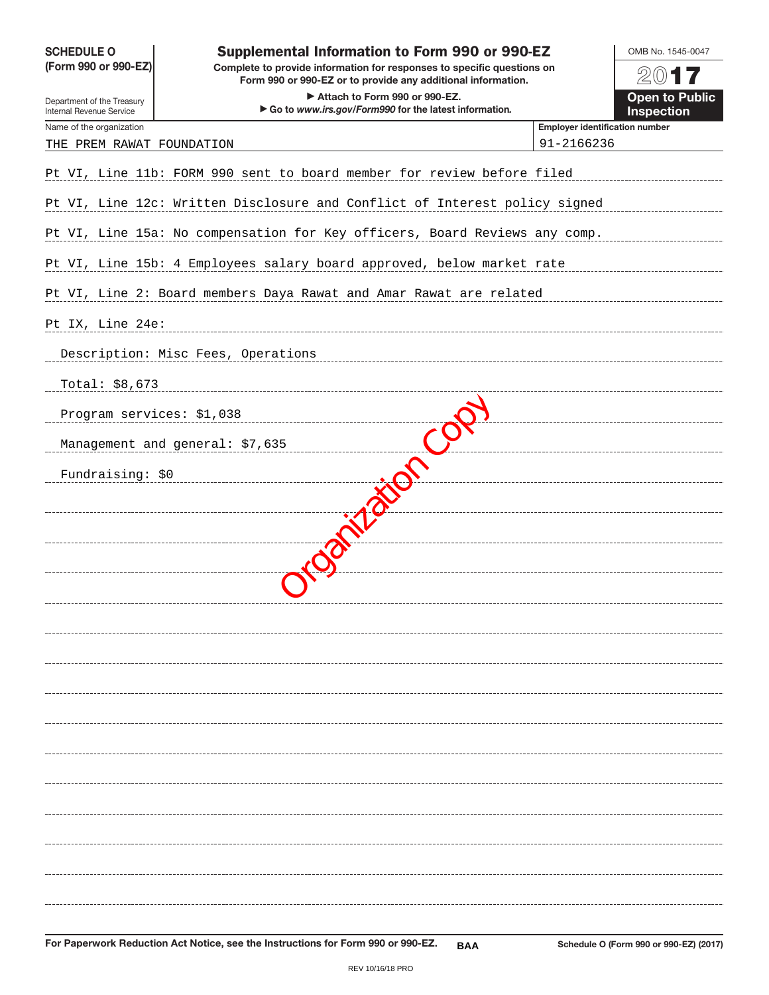| <b>SCHEDULE O</b><br><b>Supplemental Information to Form 990 or 990-EZ</b><br>(Form 990 or 990-EZ)<br>Complete to provide information for responses to specific questions on<br>Form 990 or 990-EZ or to provide any additional information. |                                                                                        |                                       | OMB No. 1545-0047<br>2017                  |  |  |  |  |  |
|----------------------------------------------------------------------------------------------------------------------------------------------------------------------------------------------------------------------------------------------|----------------------------------------------------------------------------------------|---------------------------------------|--------------------------------------------|--|--|--|--|--|
| Department of the Treasury<br>Internal Revenue Service                                                                                                                                                                                       | Attach to Form 990 or 990-EZ.<br>Go to www.irs.gov/Form990 for the latest information. |                                       | <b>Open to Public</b><br><b>Inspection</b> |  |  |  |  |  |
| Name of the organization                                                                                                                                                                                                                     |                                                                                        | <b>Employer identification number</b> |                                            |  |  |  |  |  |
| THE PREM RAWAT FOUNDATION                                                                                                                                                                                                                    |                                                                                        | 91-2166236                            |                                            |  |  |  |  |  |
|                                                                                                                                                                                                                                              | Pt VI, Line 11b: FORM 990 sent to board member for review before filed                 |                                       |                                            |  |  |  |  |  |
|                                                                                                                                                                                                                                              | Pt VI, Line 12c: Written Disclosure and Conflict of Interest policy signed             |                                       |                                            |  |  |  |  |  |
|                                                                                                                                                                                                                                              | Pt VI, Line 15a: No compensation for Key officers, Board Reviews any comp.             |                                       |                                            |  |  |  |  |  |
|                                                                                                                                                                                                                                              | Pt VI, Line 15b: 4 Employees salary board approved, below market rate                  |                                       |                                            |  |  |  |  |  |
|                                                                                                                                                                                                                                              | Pt VI, Line 2: Board members Daya Rawat and Amar Rawat are related                     |                                       |                                            |  |  |  |  |  |
| Pt IX, Line 24e:                                                                                                                                                                                                                             | Description: Misc Fees, Operations                                                     |                                       |                                            |  |  |  |  |  |
| Total: \$8,673                                                                                                                                                                                                                               |                                                                                        |                                       |                                            |  |  |  |  |  |
| Program services: \$1,038                                                                                                                                                                                                                    |                                                                                        |                                       |                                            |  |  |  |  |  |
|                                                                                                                                                                                                                                              | Management and general: \$7,635                                                        |                                       |                                            |  |  |  |  |  |
| Fundraising: \$0                                                                                                                                                                                                                             |                                                                                        |                                       |                                            |  |  |  |  |  |
|                                                                                                                                                                                                                                              |                                                                                        |                                       |                                            |  |  |  |  |  |
|                                                                                                                                                                                                                                              |                                                                                        |                                       |                                            |  |  |  |  |  |
|                                                                                                                                                                                                                                              | John Mary                                                                              |                                       |                                            |  |  |  |  |  |
|                                                                                                                                                                                                                                              |                                                                                        |                                       |                                            |  |  |  |  |  |
|                                                                                                                                                                                                                                              |                                                                                        |                                       |                                            |  |  |  |  |  |
|                                                                                                                                                                                                                                              |                                                                                        |                                       |                                            |  |  |  |  |  |
|                                                                                                                                                                                                                                              |                                                                                        |                                       |                                            |  |  |  |  |  |
|                                                                                                                                                                                                                                              |                                                                                        |                                       |                                            |  |  |  |  |  |
|                                                                                                                                                                                                                                              |                                                                                        |                                       |                                            |  |  |  |  |  |
|                                                                                                                                                                                                                                              |                                                                                        |                                       |                                            |  |  |  |  |  |
|                                                                                                                                                                                                                                              |                                                                                        |                                       |                                            |  |  |  |  |  |
|                                                                                                                                                                                                                                              |                                                                                        |                                       |                                            |  |  |  |  |  |
|                                                                                                                                                                                                                                              |                                                                                        |                                       |                                            |  |  |  |  |  |
|                                                                                                                                                                                                                                              |                                                                                        |                                       |                                            |  |  |  |  |  |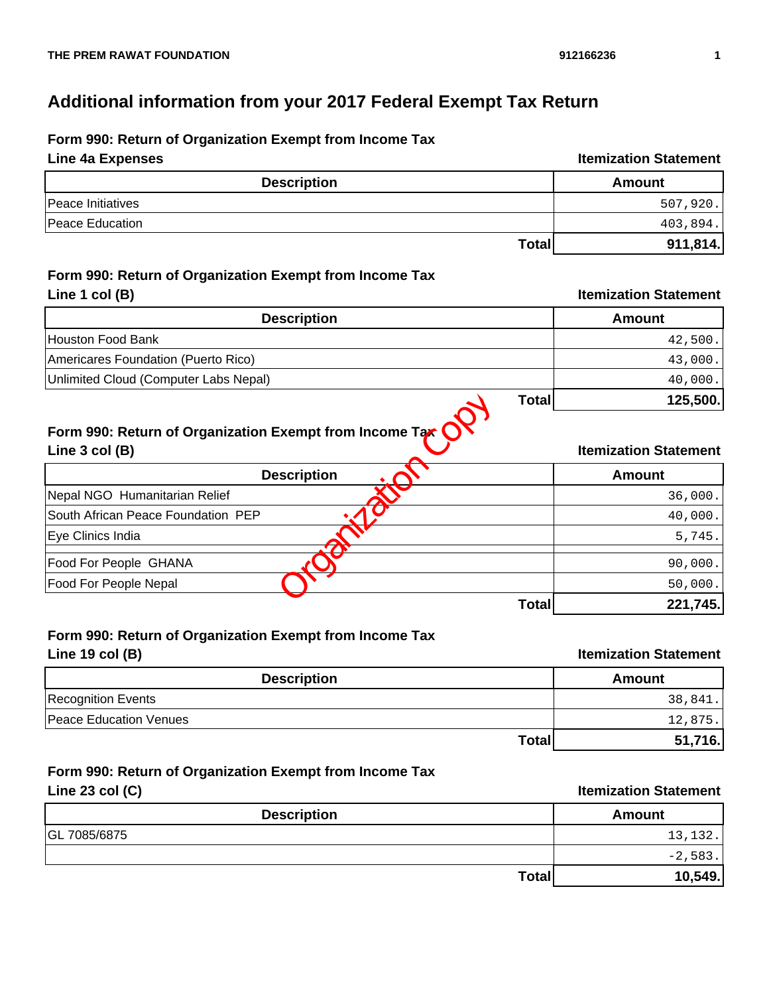# **Additional information from your 2017 Federal Exempt Tax Return**

# **Form 990: Return of Organization Exempt from Income Tax Line 4a Expenses Itemization Statement**

| LING 4d EXPENSES   | <b>Heilizauon Statement</b> |          |
|--------------------|-----------------------------|----------|
| <b>Description</b> |                             | Amount   |
| Peace Initiatives  |                             | 507,920. |
| Peace Education    |                             | 403,894. |
|                    | <b>Total</b>                | 911,814. |

# **Form 990: Return of Organization Exempt from Income Tax**

| <b>Description</b>                    | Amount   |
|---------------------------------------|----------|
| Houston Food Bank                     | 42,500.  |
| Americares Foundation (Puerto Rico)   | 43,000.  |
| Unlimited Cloud (Computer Labs Nepal) | 40,000.  |
| <b>Total</b>                          | 125,500. |

# **Form 990: Return of Organization Exempt from Income Tax**

| <b>Total</b>                                                                  | 125,500.                     |
|-------------------------------------------------------------------------------|------------------------------|
| Form 990: Return of Organization Exempt from Income Tax<br>Line $3$ col $(B)$ | <b>Itemization Statement</b> |
| <b>Description</b>                                                            | <b>Amount</b>                |
| Nepal NGO Humanitarian Relief                                                 | 36,000.                      |
| South African Peace Foundation PEP                                            | 40,000.                      |
| Eye Clinics India                                                             | 5,745.                       |
| Food For People GHANA                                                         | 90,000.                      |
| Food For People Nepal                                                         | 50,000.                      |
| <b>Total</b>                                                                  | 221,745.                     |

# **Form 990: Return of Organization Exempt from Income Tax Line 19 col (B) Itemization Statement**

| <b>Description</b>        | Amount  |
|---------------------------|---------|
| <b>Recognition Events</b> | 38,841. |
| Peace Education Venues    | 12,875. |
| Total                     | 51,716. |

# **Form 990: Return of Organization Exempt from Income Tax Line 23 col (C) Itemization Statement**

| <b>Description</b> | <b>Amount</b> |
|--------------------|---------------|
| GL 7085/6875       | 13,132.       |
|                    | $-2,583.$     |
| Total              | 10,549.       |

# **Line 1 col (B) Itemization Statement**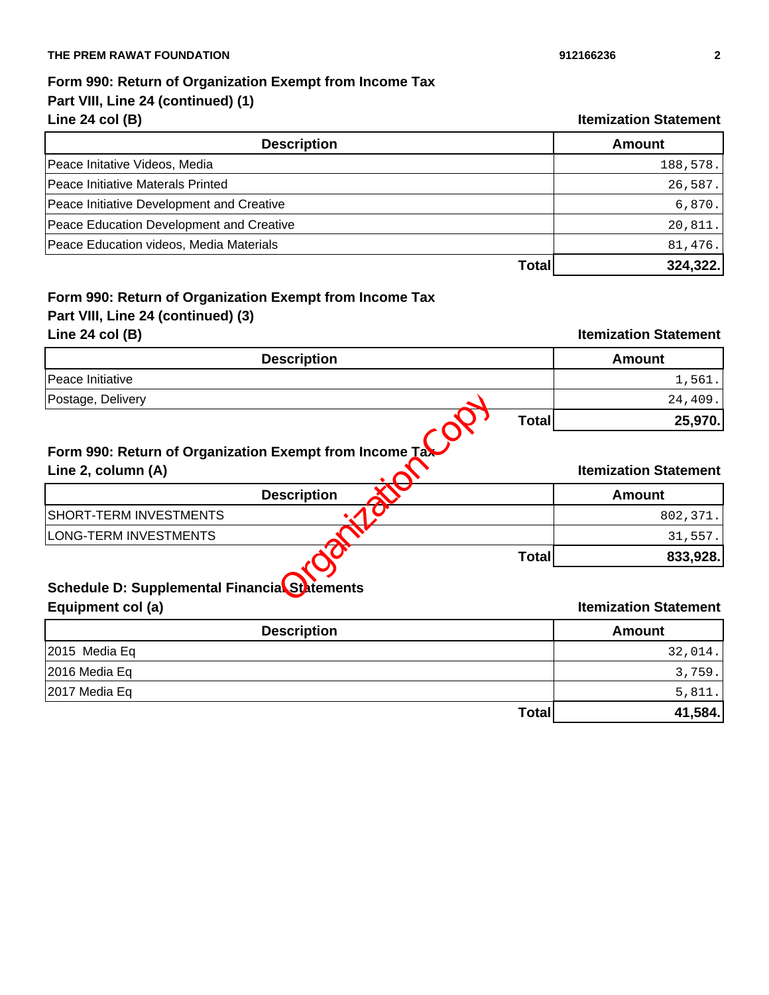# **Form 990: Return of Organization Exempt from Income Tax Part VIII, Line 24 (continued) (1) Line 24 col (B) Itemization Statement**

| <b>Description</b>                        | Amount   |  |  |  |  |
|-------------------------------------------|----------|--|--|--|--|
| Peace Initative Videos, Media             | 188,578. |  |  |  |  |
| Peace Initiative Materals Printed         | 26,587.  |  |  |  |  |
| Peace Initiative Development and Creative | 6,870.   |  |  |  |  |
| Peace Education Development and Creative  | 20,811.  |  |  |  |  |
| Peace Education videos, Media Materials   | 81,476.  |  |  |  |  |
| <b>Total</b>                              | 324,322. |  |  |  |  |

# **Form 990: Return of Organization Exempt from Income Tax Part VIII, Line 24 (continued) (3)**

**Line 24 col (B) Itemization Statement**

| $\blacksquare$    |                    | 10011112001011000000110110 |
|-------------------|--------------------|----------------------------|
|                   | <b>Description</b> | Amount                     |
| Peace Initiative  |                    | 1,561.                     |
| Postage, Delivery |                    | 24,409.                    |
|                   | Total              | 25,970.                    |
|                   | -                  |                            |

# **Form 990: Return of Organization Exempt from Income Tax**

| Postage, Delivery                                       |       | 24, 409.                     |
|---------------------------------------------------------|-------|------------------------------|
|                                                         | Total | 25,970.                      |
| Form 990: Return of Organization Exempt from Income Tax |       |                              |
| Line 2, column (A)                                      |       | <b>Itemization Statement</b> |
| <b>Description</b>                                      |       | Amount                       |
| SHORT-TERM INVESTMENTS                                  |       | 802,371.                     |
| <b>LONG-TERM INVESTMENTS</b>                            |       | 31,557.                      |
|                                                         | Total | 833,928.                     |
| Schedule D: Supplemental Financial Statements           |       |                              |

# **Schedule D: Supplemental Financial Statements Equipment col (a) Itemization Statement**

| <b>Description</b>        | Amount  |
|---------------------------|---------|
| $ 2015 \text{ Media Eq} $ | 32,014. |
| 2016 Media Eq             | 3,759.  |
| 2017 Media Eq             | 5,811.  |
| Total                     | 41,584. |